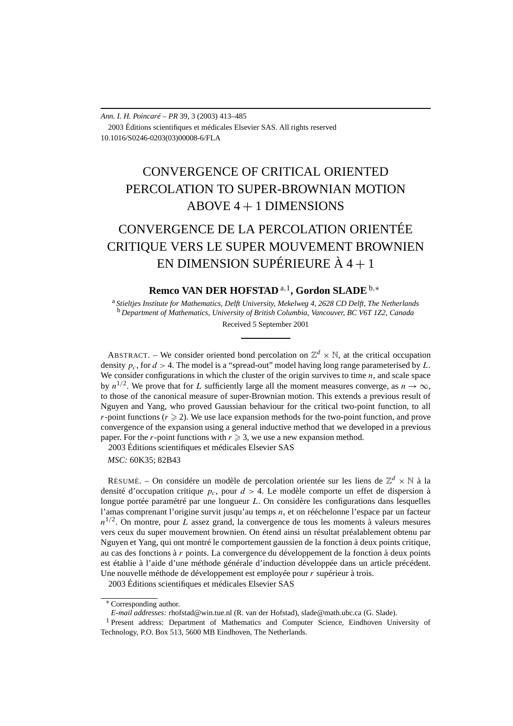# CONVERGENCE OF CRITICAL ORIENTED PERCOLATION TO SUPER-BROWNIAN MOTION ABOVE 4 + 1 DIMENSIONS

# CONVERGENCE DE LA PERCOLATION ORIENTÉE CRITIQUE VERS LE SUPER MOUVEMENT BROWNIEN EN DIMENSION SUPÉRIEURE  $\hat{A}$  4 + 1

**Remco VAN DER HOFSTAD** <sup>a</sup>*,*1**, Gordon SLADE** <sup>b</sup>*,*<sup>∗</sup>

<sup>a</sup> *Stieltjes Institute for Mathematics, Delft University, Mekelweg 4, 2628 CD Delft, The Netherlands* <sup>b</sup> *Department of Mathematics, University of British Columbia, Vancouver, BC V6T 1Z2, Canada* Received 5 September 2001

ABSTRACT. – We consider oriented bond percolation on  $\mathbb{Z}^d \times \mathbb{N}$ , at the critical occupation density  $p_c$ , for  $d > 4$ . The model is a "spread-out" model having long range parameterised by L. We consider configurations in which the cluster of the origin survives to time  $n$ , and scale space by  $n^{1/2}$ . We prove that for *L* sufficiently large all the moment measures converge, as  $n \to \infty$ , to those of the canonical measure of super-Brownian motion. This extends a previous result of Nguyen and Yang, who proved Gaussian behaviour for the critical two-point function, to all *r*-point functions ( $r \ge 2$ ). We use lace expansion methods for the two-point function, and prove convergence of the expansion using a general inductive method that we developed in a previous paper. For the *r*-point functions with  $r \geq 3$ , we use a new expansion method.

2003 Éditions scientifiques et médicales Elsevier SAS

*MSC:* 60K35; 82B43

RÉSUMÉ. – On considére un modèle de percolation orientée sur les liens de  $\mathbb{Z}^d \times \mathbb{N}$  à la densité d'occupation critique  $p_c$ , pour  $d > 4$ . Le modèle comporte un effet de dispersion à longue portée paramétré par une longueur *L*. On considère les configurations dans lesquelles l'amas comprenant l'origine survit jusqu'au temps *n*, et on rééchelonne l'espace par un facteur  $n^{1/2}$ . On montre, pour *L* assez grand, la convergence de tous les moments à valeurs mesures vers ceux du super mouvement brownien. On étend ainsi un résultat préalablement obtenu par Nguyen et Yang, qui ont montré le comportement gaussien de la fonction à deux points critique, au cas des fonctions à *r* points. La convergence du développement de la fonction à deux points est établie à l'aide d'une méthode générale d'induction développée dans un article précédent. Une nouvelle méthode de développement est employée pour *r* supérieur à trois.

2003 Éditions scientifiques et médicales Elsevier SAS

<sup>∗</sup> Corresponding author.

*E-mail addresses:* rhofstad@win.tue.nl (R. van der Hofstad), slade@math.ubc.ca (G. Slade).

<sup>1</sup> Present address: Department of Mathematics and Computer Science, Eindhoven University of Technology, P.O. Box 513, 5600 MB Eindhoven, The Netherlands.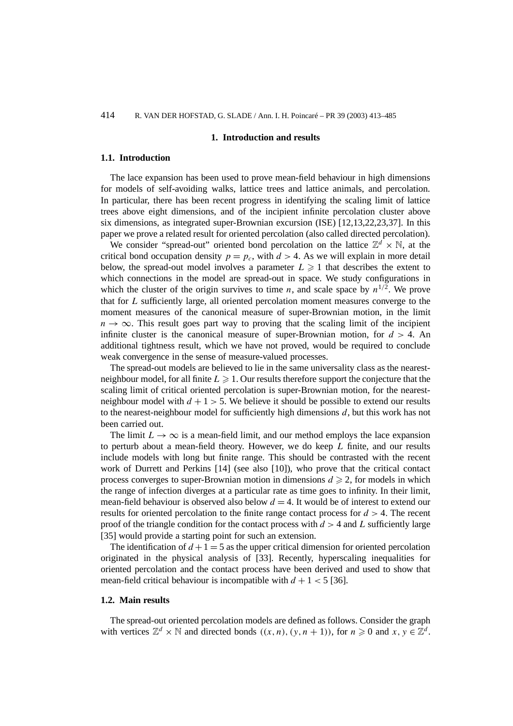#### **1. Introduction and results**

# **1.1. Introduction**

The lace expansion has been used to prove mean-field behaviour in high dimensions for models of self-avoiding walks, lattice trees and lattice animals, and percolation. In particular, there has been recent progress in identifying the scaling limit of lattice trees above eight dimensions, and of the incipient infinite percolation cluster above six dimensions, as integrated super-Brownian excursion (ISE) [12,13,22,23,37]. In this paper we prove a related result for oriented percolation (also called directed percolation).

We consider "spread-out" oriented bond percolation on the lattice  $\mathbb{Z}^d \times \mathbb{N}$ , at the critical bond occupation density  $p = p_c$ , with  $d > 4$ . As we will explain in more detail below, the spread-out model involves a parameter  $L \geq 1$  that describes the extent to which connections in the model are spread-out in space. We study configurations in which the cluster of the origin survives to time *n*, and scale space by  $n^{1/2}$ . We prove that for *L* sufficiently large, all oriented percolation moment measures converge to the moment measures of the canonical measure of super-Brownian motion, in the limit  $n \to \infty$ . This result goes part way to proving that the scaling limit of the incipient infinite cluster is the canonical measure of super-Brownian motion, for  $d > 4$ . An additional tightness result, which we have not proved, would be required to conclude weak convergence in the sense of measure-valued processes.

The spread-out models are believed to lie in the same universality class as the nearestneighbour model, for all finite  $L \geqslant 1$ . Our results therefore support the conjecture that the scaling limit of critical oriented percolation is super-Brownian motion, for the nearestneighbour model with  $d + 1 > 5$ . We believe it should be possible to extend our results to the nearest-neighbour model for sufficiently high dimensions *d*, but this work has not been carried out.

The limit  $L \to \infty$  is a mean-field limit, and our method employs the lace expansion to perturb about a mean-field theory. However, we do keep *L* finite, and our results include models with long but finite range. This should be contrasted with the recent work of Durrett and Perkins [14] (see also [10]), who prove that the critical contact process converges to super-Brownian motion in dimensions  $d \ge 2$ , for models in which the range of infection diverges at a particular rate as time goes to infinity. In their limit, mean-field behaviour is observed also below  $d = 4$ . It would be of interest to extend our results for oriented percolation to the finite range contact process for *d >* 4. The recent proof of the triangle condition for the contact process with  $d > 4$  and L sufficiently large [35] would provide a starting point for such an extension.

The identification of  $d+1=5$  as the upper critical dimension for oriented percolation originated in the physical analysis of [33]. Recently, hyperscaling inequalities for oriented percolation and the contact process have been derived and used to show that mean-field critical behaviour is incompatible with  $d + 1 < 5$  [36].

# **1.2. Main results**

The spread-out oriented percolation models are defined as follows. Consider the graph with vertices  $\mathbb{Z}^d \times \mathbb{N}$  and directed bonds  $((x, n), (y, n + 1))$ , for  $n \ge 0$  and  $x, y \in \mathbb{Z}^d$ .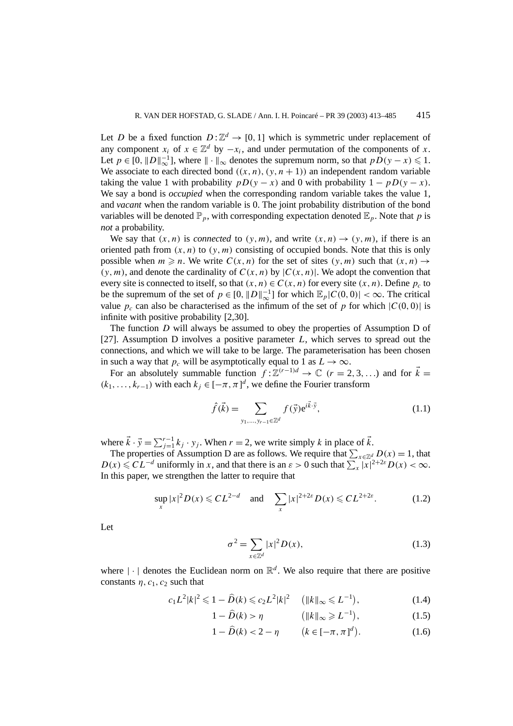Let *D* be a fixed function  $D: \mathbb{Z}^d \to [0, 1]$  which is symmetric under replacement of any component  $x_i$  of  $x \in \mathbb{Z}^d$  by  $-x_i$ , and under permutation of the components of *x*. Let  $p \in [0, ||D||_{\infty}^{-1}]$ , where  $|| \cdot ||_{\infty}$  denotes the supremum norm, so that  $pD(y - x) \leq 1$ . We associate to each directed bond  $((x, n), (y, n + 1))$  an independent random variable taking the value 1 with probability  $pD(y - x)$  and 0 with probability  $1 - pD(y - x)$ . We say a bond is *occupied* when the corresponding random variable takes the value 1, and *vacant* when the random variable is 0. The joint probability distribution of the bond variables will be denoted  $\mathbb{P}_p$ , with corresponding expectation denoted  $\mathbb{E}_p$ . Note that *p* is *not* a probability.

We say that  $(x, n)$  is *connected* to  $(y, m)$ , and write  $(x, n) \rightarrow (y, m)$ , if there is an oriented path from  $(x, n)$  to  $(y, m)$  consisting of occupied bonds. Note that this is only possible when  $m \ge n$ . We write  $C(x, n)$  for the set of sites  $(y, m)$  such that  $(x, n) \rightarrow$  $(y, m)$ , and denote the cardinality of  $C(x, n)$  by  $|C(x, n)|$ . We adopt the convention that every site is connected to itself, so that  $(x, n) \in C(x, n)$  for every site  $(x, n)$ . Define  $p_c$  to be the supremum of the set of  $p \in [0, ||D||_{\infty}^{-1}]$  for which  $\mathbb{E}_p |C(0,0)| < \infty$ . The critical value  $p_c$  can also be characterised as the infimum of the set of *p* for which  $|C(0, 0)|$  is infinite with positive probability [2,30].

The function *D* will always be assumed to obey the properties of Assumption D of [27]. Assumption D involves a positive parameter *L*, which serves to spread out the connections, and which we will take to be large. The parameterisation has been chosen in such a way that  $p_c$  will be asymptotically equal to 1 as  $L \to \infty$ .

For an absolutely summable function  $f: \mathbb{Z}^{(r-1)d} \to \mathbb{C}$   $(r = 2, 3, ...)$  and for  $\vec{k} =$  $(k_1, ..., k_{r-1})$  with each  $k_j$  ∈  $[-\pi, \pi]^d$ , we define the Fourier transform

$$
\hat{f}(\vec{k}) = \sum_{y_1, \dots, y_{r-1} \in \mathbb{Z}^d} f(\vec{y}) e^{i\vec{k}\cdot\vec{y}},
$$
\n(1.1)

where  $\vec{k} \cdot \vec{y} = \sum_{j=1}^{r-1} k_j \cdot y_j$ . When  $r = 2$ , we write simply k in place of  $\vec{k}$ .

The properties of Assumption D are as follows. We require that  $\sum_{x \in \mathbb{Z}^d} D(x) = 1$ , that  $D(x) \leq C L^{-d}$  uniformly in *x*, and that there is an  $\varepsilon > 0$  such that  $\sum_{x} |x|^{2+2\varepsilon} D(x) < \infty$ . In this paper, we strengthen the latter to require that

$$
\sup_{x} |x|^2 D(x) \leqslant CL^{2-d} \quad \text{and} \quad \sum_{x} |x|^{2+2\varepsilon} D(x) \leqslant CL^{2+2\varepsilon}.
$$
 (1.2)

Let

$$
\sigma^2 = \sum_{x \in \mathbb{Z}^d} |x|^2 D(x),\tag{1.3}
$$

where  $|\cdot|$  denotes the Euclidean norm on  $\mathbb{R}^d$ . We also require that there are positive constants  $\eta$ ,  $c_1$ ,  $c_2$  such that

$$
c_1 L^2 |k|^2 \leq 1 - \widehat{D}(k) \leq c_2 L^2 |k|^2 \quad (||k||_{\infty} \leq L^{-1}), \tag{1.4}
$$

$$
1 - \widehat{D}(k) > \eta \qquad \left( \|k\|_{\infty} \geqslant L^{-1} \right), \tag{1.5}
$$

 $1 - \widehat{D}(k) < 2 - \eta$   $(k \in [-\pi, \pi]^d)$ *.* (1.6)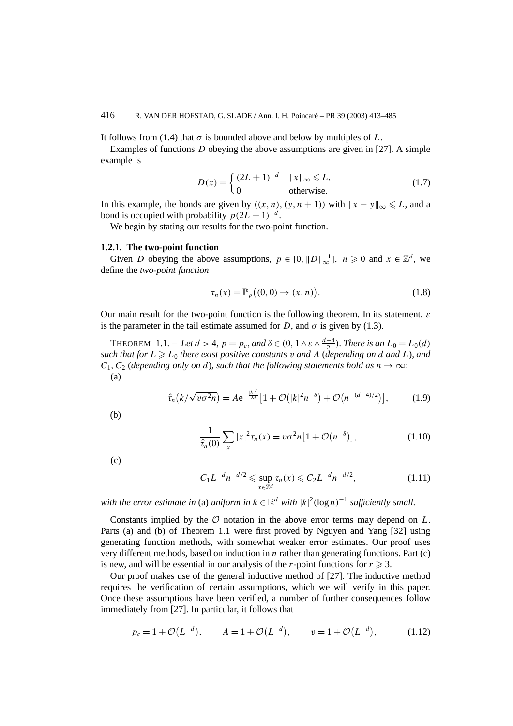It follows from (1.4) that  $\sigma$  is bounded above and below by multiples of *L*.

Examples of functions *D* obeying the above assumptions are given in [27]. A simple example is

$$
D(x) = \begin{cases} (2L+1)^{-d} & \|x\|_{\infty} \le L, \\ 0 & \text{otherwise.} \end{cases} \tag{1.7}
$$

In this example, the bonds are given by  $((x, n), (y, n + 1))$  with  $||x - y||_{\infty} \le L$ , and a bond is occupied with probability  $p(2L + 1)^{-d}$ .

We begin by stating our results for the two-point function.

## **1.2.1. The two-point function**

Given *D* obeying the above assumptions,  $p \in [0, ||D||_{\infty}^{-1}]$ ,  $n \ge 0$  and  $x \in \mathbb{Z}^d$ , we define the *two-point function*

$$
\tau_n(x) = \mathbb{P}_p((0,0) \to (x,n)). \tag{1.8}
$$

Our main result for the two-point function is the following theorem. In its statement, *ε* is the parameter in the tail estimate assumed for *D*, and  $\sigma$  is given by (1.3).

THEOREM 1.1. – Let  $d > 4$ ,  $p = p_c$ , and  $\delta \in (0, 1 \wedge \varepsilon \wedge \frac{d-4}{2})$ . There is an  $L_0 = L_0(d)$ *such that for*  $L \ge L_0$  *there exist positive constants v and*  $A$  (*depending on d and*  $L$ )*, and*  $C_1, C_2$  (*depending only on d*)*, such that the following statements hold as*  $n \rightarrow \infty$ : (a)

$$
\hat{\tau}_n(k/\sqrt{v\sigma^2 n}) = A e^{-\frac{|k|^2}{2d}} \left[ 1 + \mathcal{O}(|k|^2 n^{-\delta}) + \mathcal{O}(n^{-(d-4)/2}) \right],\tag{1.9}
$$

(b)

$$
\frac{1}{\hat{\tau}_n(0)} \sum_{x} |x|^2 \tau_n(x) = v \sigma^2 n \left[ 1 + \mathcal{O}(n^{-\delta}) \right],
$$
 (1.10)

(c)

$$
C_1 L^{-d} n^{-d/2} \leq \sup_{x \in \mathbb{Z}^d} \tau_n(x) \leq C_2 L^{-d} n^{-d/2},
$$
 (1.11)

*with the error estimate in* (a) *uniform in*  $k \in \mathbb{R}^d$  *with*  $|k|^2(\log n)^{-1}$  *sufficiently small.* 

Constants implied by the O notation in the above error terms may depend on *L*. Parts (a) and (b) of Theorem 1.1 were first proved by Nguyen and Yang [32] using generating function methods, with somewhat weaker error estimates. Our proof uses very different methods, based on induction in *n* rather than generating functions. Part (c) is new, and will be essential in our analysis of the *r*-point functions for  $r \geq 3$ .

Our proof makes use of the general inductive method of [27]. The inductive method requires the verification of certain assumptions, which we will verify in this paper. Once these assumptions have been verified, a number of further consequences follow immediately from [27]. In particular, it follows that

$$
p_c = 1 + \mathcal{O}(L^{-d}), \qquad A = 1 + \mathcal{O}(L^{-d}), \qquad v = 1 + \mathcal{O}(L^{-d}),
$$
 (1.12)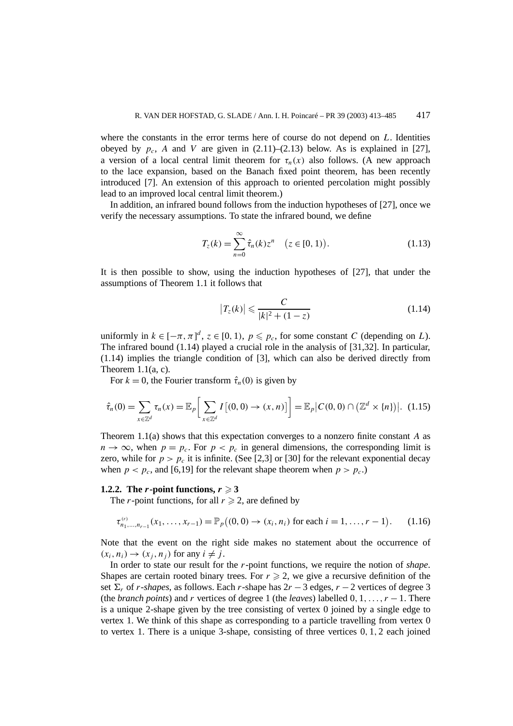where the constants in the error terms here of course do not depend on *L*. Identities obeyed by  $p_c$ , *A* and *V* are given in  $(2.11)$ – $(2.13)$  below. As is explained in [27], a version of a local central limit theorem for  $\tau_n(x)$  also follows. (A new approach to the lace expansion, based on the Banach fixed point theorem, has been recently introduced [7]. An extension of this approach to oriented percolation might possibly lead to an improved local central limit theorem.)

In addition, an infrared bound follows from the induction hypotheses of [27], once we verify the necessary assumptions. To state the infrared bound, we define

$$
T_z(k) = \sum_{n=0}^{\infty} \hat{\tau}_n(k) z^n \quad (z \in [0, 1)).
$$
 (1.13)

It is then possible to show, using the induction hypotheses of [27], that under the assumptions of Theorem 1.1 it follows that

$$
\left|T_z(k)\right| \leqslant \frac{C}{|k|^2 + (1-z)}\tag{1.14}
$$

uniformly in  $k \in [-\pi, \pi]^d$ ,  $z \in [0, 1)$ ,  $p \leq p_c$ , for some constant *C* (depending on *L*). The infrared bound (1.14) played a crucial role in the analysis of [31,32]. In particular, (1.14) implies the triangle condition of [3], which can also be derived directly from Theorem  $1.1(a, c)$ .

For  $k = 0$ , the Fourier transform  $\hat{\tau}_n(0)$  is given by

$$
\hat{\tau}_n(0) = \sum_{x \in \mathbb{Z}^d} \tau_n(x) = \mathbb{E}_p \bigg[ \sum_{x \in \mathbb{Z}^d} I\left[ (0,0) \to (x,n) \right] \bigg] = \mathbb{E}_p \big| C(0,0) \cap \big( \mathbb{Z}^d \times \{n\} \big) \big|.
$$
 (1.15)

Theorem 1.1(a) shows that this expectation converges to a nonzero finite constant *A* as  $n \to \infty$ , when  $p = p_c$ . For  $p < p_c$  in general dimensions, the corresponding limit is zero, while for  $p > p_c$  it is infinite. (See [2,3] or [30] for the relevant exponential decay when  $p < p_c$ , and [6,19] for the relevant shape theorem when  $p > p_c$ .)

# **1.2.2.** The *r***-point functions,**  $r \ge 3$

The *r*-point functions, for all  $r \ge 2$ , are defined by

$$
\tau_{n_1,\dots,n_{r-1}}^{(r)}(x_1,\dots,x_{r-1}) = \mathbb{P}_p((0,0) \to (x_i,n_i) \text{ for each } i=1,\dots,r-1).
$$
 (1.16)

Note that the event on the right side makes no statement about the occurrence of  $(x_i, n_i) \rightarrow (x_i, n_j)$  for any  $i \neq j$ .

In order to state our result for the *r*-point functions, we require the notion of *shape*. Shapes are certain rooted binary trees. For  $r \geq 2$ , we give a recursive definition of the set  $\Sigma_r$  of *r*-*shapes*, as follows. Each *r*-shape has  $2r - 3$  edges,  $r - 2$  vertices of degree 3 (the *branch points*) and *r* vertices of degree 1 (the *leaves*) labelled  $0, 1, \ldots, r - 1$ . There is a unique 2-shape given by the tree consisting of vertex 0 joined by a single edge to vertex 1. We think of this shape as corresponding to a particle travelling from vertex 0 to vertex 1. There is a unique 3-shape, consisting of three vertices 0*,* 1*,* 2 each joined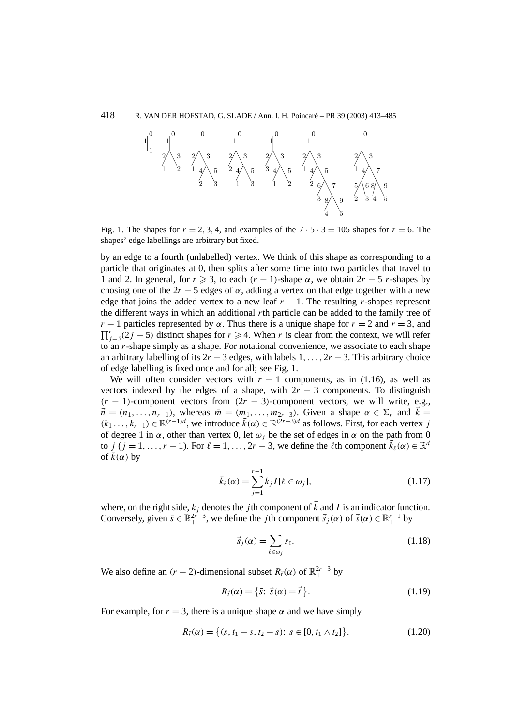

Fig. 1. The shapes for  $r = 2, 3, 4$ , and examples of the  $7 \cdot 5 \cdot 3 = 105$  shapes for  $r = 6$ . The shapes' edge labellings are arbitrary but fixed.

by an edge to a fourth (unlabelled) vertex. We think of this shape as corresponding to a particle that originates at 0, then splits after some time into two particles that travel to 1 and 2. In general, for  $r \ge 3$ , to each  $(r - 1)$ -shape  $\alpha$ , we obtain  $2r - 5$  *r*-shapes by chosing one of the  $2r - 5$  edges of  $\alpha$ , adding a vertex on that edge together with a new edge that joins the added vertex to a new leaf  $r - 1$ . The resulting *r*-shapes represent the different ways in which an additional *r*th particle can be added to the family tree of *r* − 1 particles represented by  $\alpha$ . Thus there is a unique shape for *r* = 2 and *r* = 3, and  $\prod_{j=3}^{r} (2j-5)$  distinct shapes for  $r \ge 4$ . When *r* is clear from the context, we will refer to an *r*-shape simply as a shape. For notational convenience, we associate to each shape an arbitrary labelling of its  $2r - 3$  edges, with labels  $1, \ldots, 2r - 3$ . This arbitrary choice of edge labelling is fixed once and for all; see Fig. 1.

We will often consider vectors with  $r - 1$  components, as in (1.16), as well as vectors indexed by the edges of a shape, with  $2r - 3$  components. To distinguish  $(r - 1)$ -component vectors from  $(2r - 3)$ -component vectors, we will write, e.g.,  $\vec{n} = (n_1, \ldots, n_{r-1})$ , whereas  $\vec{m} = (m_1, \ldots, m_{2r-3})$ . Given a shape  $\alpha \in \Sigma_r$  and  $\vec{k} =$  $(k_1 \ldots, k_{r-1}) \in \mathbb{R}^{(r-1)d}$ , we introduce  $\overline{k}(\alpha) \in \mathbb{R}^{(2r-3)d}$  as follows. First, for each vertex *j* of degree 1 in  $\alpha$ , other than vertex 0, let  $\omega_i$  be the set of edges in  $\alpha$  on the path from 0 to *j*  $(j = 1, ..., r - 1)$ . For  $\ell = 1, ..., 2r - 3$ , we define the  $\ell$ th component  $\overline{k}_{\ell}(\alpha) \in \mathbb{R}^d$ of  $k(\alpha)$  by

$$
\bar{k}_{\ell}(\alpha) = \sum_{j=1}^{r-1} k_j I[\ell \in \omega_j],\tag{1.17}
$$

where, on the right side,  $k_j$  denotes the *j* th component of  $\vec{k}$  and *I* is an indicator function. Conversely, given  $\bar{s} \in \mathbb{R}_+^{2r-3}$ , we define the *j*th component  $\vec{s}_j(\alpha)$  of  $\vec{s}(\alpha) \in \mathbb{R}_+^{r-1}$  by

$$
\vec{s}_j(\alpha) = \sum_{\ell \in \omega_j} s_\ell. \tag{1.18}
$$

We also define an  $(r - 2)$ -dimensional subset  $R_{\vec{l}}(\alpha)$  of  $\mathbb{R}^{2r-3}_+$  by

$$
R_{\vec{t}}(\alpha) = \{\vec{s} \colon \vec{s}(\alpha) = \vec{t}\}. \tag{1.19}
$$

For example, for  $r = 3$ , there is a unique shape  $\alpha$  and we have simply

$$
R_{\vec{t}}(\alpha) = \{(s, t_1 - s, t_2 - s): s \in [0, t_1 \wedge t_2]\}.
$$
 (1.20)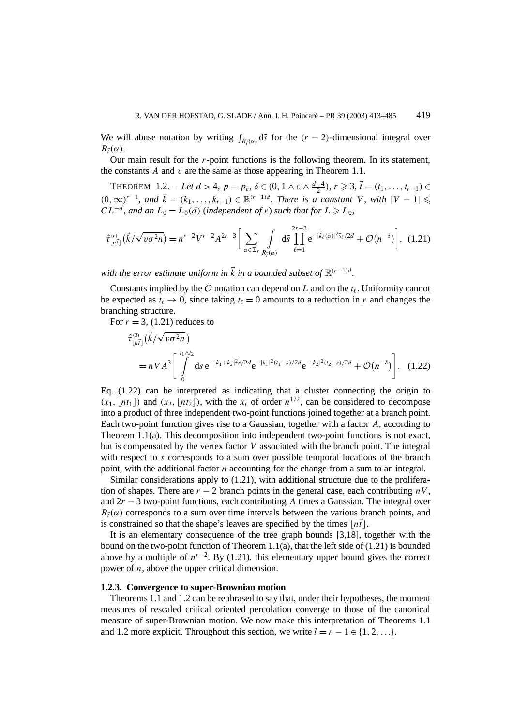We will abuse notation by writing  $\int_{R_f(\alpha)} d\bar{s}$  for the  $(r-2)$ -dimensional integral over  $R_{\vec{t}}(\alpha)$ .

Our main result for the *r*-point functions is the following theorem. In its statement, the constants *A* and *v* are the same as those appearing in Theorem 1.1.

THEOREM 1.2. − Let  $d > 4$ ,  $p = p_c$ ,  $\delta \in (0, 1 \land \varepsilon \land \frac{d-4}{2})$ ,  $r \geq 3$ ,  $\vec{t} = (t_1, \ldots, t_{r-1}) \in$  $(0, ∞)^{r-1}$ *, and*  $\vec{k} = (k_1, \ldots, k_{r-1}) \in \mathbb{R}^{(r-1)d}$ *. There is a constant V, with*  $|V - 1|$  ≤  $CL^{-d}$ , and an  $L_0 = L_0(d)$  (independent of *r*) *such that for*  $L \ge L_0$ ,

$$
\hat{\tau}_{\lfloor n\vec{i} \rfloor}^{(r)}(\vec{k}/\sqrt{v\sigma^2 n}) = n^{r-2}V^{r-2}A^{2r-3}\bigg[\sum_{\alpha \in \Sigma_r} \int\limits_{R_{\vec{i}}(\alpha)} d\vec{s} \prod_{\ell=1}^{2r-3} e^{-|\vec{k}_{\ell}(\alpha)|^2 \vec{s}_{\ell}/2d} + \mathcal{O}(n^{-\delta})\bigg], (1.21)
$$

*with the error estimate uniform in*  $\vec{k}$  *in a bounded subset of*  $\mathbb{R}^{(r-1)d}$ *.* 

Constants implied by the  $\mathcal O$  notation can depend on *L* and on the  $t_\ell$ . Uniformity cannot be expected as  $t_{\ell} \rightarrow 0$ , since taking  $t_{\ell} = 0$  amounts to a reduction in *r* and changes the branching structure.

For  $r = 3$ , (1.21) reduces to

$$
\hat{\tau}_{\lfloor n\vec{t} \rfloor}^{(3)}(\vec{k}/\sqrt{v\sigma^2 n})
$$
\n
$$
= nVA^3 \left[ \int_{0}^{t_1 \wedge t_2} ds \, e^{-|k_1 + k_2|^2 s/2d} e^{-|k_1|^2 (t_1 - s)/2d} e^{-|k_2|^2 (t_2 - s)/2d} + \mathcal{O}(n^{-\delta}) \right]. \tag{1.22}
$$

Eq.  $(1.22)$  can be interpreted as indicating that a cluster connecting the origin to  $(x_1, \lfloor nt_1 \rfloor)$  and  $(x_2, \lfloor nt_2 \rfloor)$ , with the  $x_i$  of order  $n^{1/2}$ , can be considered to decompose into a product of three independent two-point functions joined together at a branch point. Each two-point function gives rise to a Gaussian, together with a factor *A*, according to Theorem 1.1(a). This decomposition into independent two-point functions is not exact, but is compensated by the vertex factor *V* associated with the branch point. The integral with respect to *s* corresponds to a sum over possible temporal locations of the branch point, with the additional factor *n* accounting for the change from a sum to an integral.

Similar considerations apply to (1.21), with additional structure due to the proliferation of shapes. There are  $r - 2$  branch points in the general case, each contributing  $nV$ , and 2*r* − 3 two-point functions, each contributing *A* times a Gaussian. The integral over  $R_{\tau}(\alpha)$  corresponds to a sum over time intervals between the various branch points, and is constrained so that the shape's leaves are specified by the times  $\lfloor n\vec{t} \rfloor$ .

It is an elementary consequence of the tree graph bounds [3,18], together with the bound on the two-point function of Theorem  $1.1(a)$ , that the left side of  $(1.21)$  is bounded above by a multiple of  $n^{r-2}$ . By (1.21), this elementary upper bound gives the correct power of *n*, above the upper critical dimension.

#### **1.2.3. Convergence to super-Brownian motion**

Theorems 1.1 and 1.2 can be rephrased to say that, under their hypotheses, the moment measures of rescaled critical oriented percolation converge to those of the canonical measure of super-Brownian motion. We now make this interpretation of Theorems 1.1 and 1.2 more explicit. Throughout this section, we write  $l = r - 1 \in \{1, 2, ...\}$ .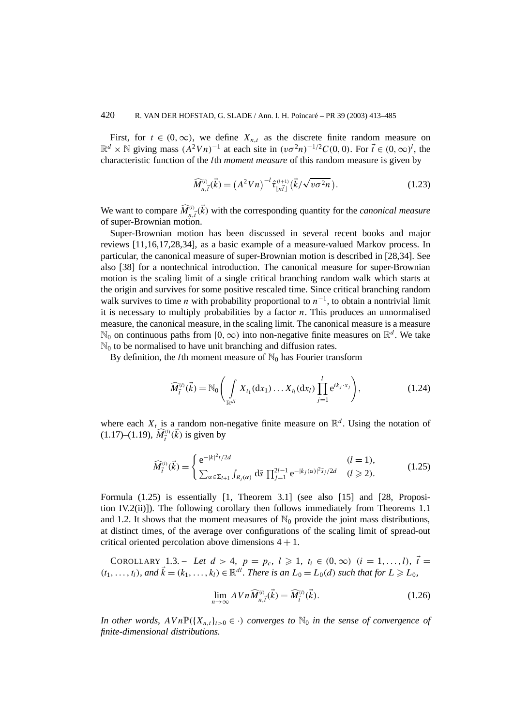First, for  $t \in (0, \infty)$ , we define  $X_{n,t}$  as the discrete finite random measure on  $\mathbb{R}^d$  ×  $\mathbb{N}$  giving mass  $(A^2Vn)^{-1}$  at each site in  $(v\sigma^2n)^{-1/2}C(0,0)$ . For  $\vec{t} \in (0,\infty)^l$ , the characteristic function of the *l*th *moment measure* of this random measure is given by

$$
\widehat{M}_{n,\vec{t}}^{(l)}(\vec{k}) = (A^2 V n)^{-l} \hat{\tau}_{\lfloor n\vec{t} \rfloor}^{(l+1)} (\vec{k}/\sqrt{v\sigma^2 n}). \tag{1.23}
$$

We want to compare  $\widehat{M}^{(l)}_{n,\vec{l}}(\vec{k})$  with the corresponding quantity for the *canonical measure* of super-Brownian motion.

Super-Brownian motion has been discussed in several recent books and major reviews [11,16,17,28,34], as a basic example of a measure-valued Markov process. In particular, the canonical measure of super-Brownian motion is described in [28,34]. See also [38] for a nontechnical introduction. The canonical measure for super-Brownian motion is the scaling limit of a single critical branching random walk which starts at the origin and survives for some positive rescaled time. Since critical branching random walk survives to time *n* with probability proportional to  $n^{-1}$ , to obtain a nontrivial limit it is necessary to multiply probabilities by a factor  $n$ . This produces an unnormalised measure, the canonical measure, in the scaling limit. The canonical measure is a measure N<sub>0</sub> on continuous paths from [0, ∞) into non-negative finite measures on  $\mathbb{R}^d$ . We take  $\mathbb{N}_0$  to be normalised to have unit branching and diffusion rates.

By definition, the *l*th moment measure of  $\mathbb{N}_0$  has Fourier transform

$$
\widehat{M}_{\vec{i}}^{(l)}(\vec{k}) = \mathbb{N}_0 \Bigg( \int_{\mathbb{R}^{dl}} X_{t_1}(\mathrm{d}x_1) \dots X_{t_l}(\mathrm{d}x_l) \prod_{j=1}^l e^{ik_j \cdot x_j} \Bigg), \tag{1.24}
$$

where each  $X_t$  is a random non-negative finite measure on  $\mathbb{R}^d$ . Using the notation of  $(1.17)$ – $(1.19)$ ,  $\widehat{M}^{(l)}_{\vec{t}}(\vec{k})$  is given by

$$
\widehat{M}_{\vec{i}}^{(l)}(\vec{k}) = \begin{cases} e^{-|k|^2 t/2d} & (l = 1), \\ \sum_{\alpha \in \Sigma_{l+1}} \int_{R_{\vec{i}}(\alpha)} d\bar{s} \prod_{j=1}^{2l-1} e^{-|k_j(\alpha)|^2 \bar{s}_j/2d} & (l \ge 2). \end{cases}
$$
(1.25)

Formula (1.25) is essentially [1, Theorem 3.1] (see also [15] and [28, Proposition IV.2(ii)]). The following corollary then follows immediately from Theorems 1.1 and 1.2. It shows that the moment measures of  $\mathbb{N}_0$  provide the joint mass distributions, at distinct times, of the average over configurations of the scaling limit of spread-out critical oriented percolation above dimensions  $4 + 1$ .

COROLLARY 1.3. – Let  $d > 4$ ,  $p = p_c$ ,  $l \geq 1$ ,  $t_i \in (0, \infty)$   $(i = 1, ..., l)$ ,  $\vec{t} =$  $(k_1, \ldots, k_l)$ *, and*  $\vec{k} = (k_1, \ldots, k_l) \in \mathbb{R}^{dl}$ . There is an  $L_0 = L_0(d)$  such that for  $L \ge L_0$ *,* 

$$
\lim_{n \to \infty} AVn\widehat{M}_{n,\vec{t}}^{(l)}(\vec{k}) = \widehat{M}_{\vec{t}}^{(l)}(\vec{k}).
$$
\n(1.26)

*In other words,*  $AVn\mathbb{P}(\lbrace X_{n,t}\rbrace_{t>0} \in \cdot)$  *converges to*  $\mathbb{N}_0$  *in the sense of convergence of finite-dimensional distributions.*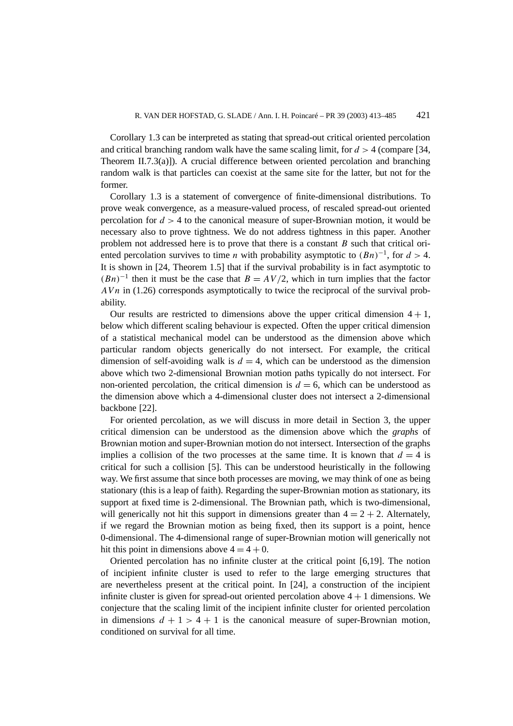Corollary 1.3 can be interpreted as stating that spread-out critical oriented percolation and critical branching random walk have the same scaling limit, for  $d > 4$  (compare [34, Theorem II.7.3(a)]). A crucial difference between oriented percolation and branching random walk is that particles can coexist at the same site for the latter, but not for the former.

Corollary 1.3 is a statement of convergence of finite-dimensional distributions. To prove weak convergence, as a measure-valued process, of rescaled spread-out oriented percolation for  $d > 4$  to the canonical measure of super-Brownian motion, it would be necessary also to prove tightness. We do not address tightness in this paper. Another problem not addressed here is to prove that there is a constant *B* such that critical oriented percolation survives to time *n* with probability asymptotic to  $(Bn)^{-1}$ , for  $d > 4$ . It is shown in [24, Theorem 1.5] that if the survival probability is in fact asymptotic to  $(Bn)^{-1}$  then it must be the case that  $B = AV/2$ , which in turn implies that the factor *AV n* in (1.26) corresponds asymptotically to twice the reciprocal of the survival probability.

Our results are restricted to dimensions above the upper critical dimension  $4 + 1$ , below which different scaling behaviour is expected. Often the upper critical dimension of a statistical mechanical model can be understood as the dimension above which particular random objects generically do not intersect. For example, the critical dimension of self-avoiding walk is  $d = 4$ , which can be understood as the dimension above which two 2-dimensional Brownian motion paths typically do not intersect. For non-oriented percolation, the critical dimension is  $d = 6$ , which can be understood as the dimension above which a 4-dimensional cluster does not intersect a 2-dimensional backbone [22].

For oriented percolation, as we will discuss in more detail in Section 3, the upper critical dimension can be understood as the dimension above which the *graphs* of Brownian motion and super-Brownian motion do not intersect. Intersection of the graphs implies a collision of the two processes at the same time. It is known that  $d = 4$  is critical for such a collision [5]. This can be understood heuristically in the following way. We first assume that since both processes are moving, we may think of one as being stationary (this is a leap of faith). Regarding the super-Brownian motion as stationary, its support at fixed time is 2-dimensional. The Brownian path, which is two-dimensional, will generically not hit this support in dimensions greater than  $4 = 2 + 2$ . Alternately, if we regard the Brownian motion as being fixed, then its support is a point, hence 0-dimensional. The 4-dimensional range of super-Brownian motion will generically not hit this point in dimensions above  $4 = 4 + 0$ .

Oriented percolation has no infinite cluster at the critical point [6,19]. The notion of incipient infinite cluster is used to refer to the large emerging structures that are nevertheless present at the critical point. In [24], a construction of the incipient infinite cluster is given for spread-out oriented percolation above  $4 + 1$  dimensions. We conjecture that the scaling limit of the incipient infinite cluster for oriented percolation in dimensions  $d + 1 > 4 + 1$  is the canonical measure of super-Brownian motion, conditioned on survival for all time.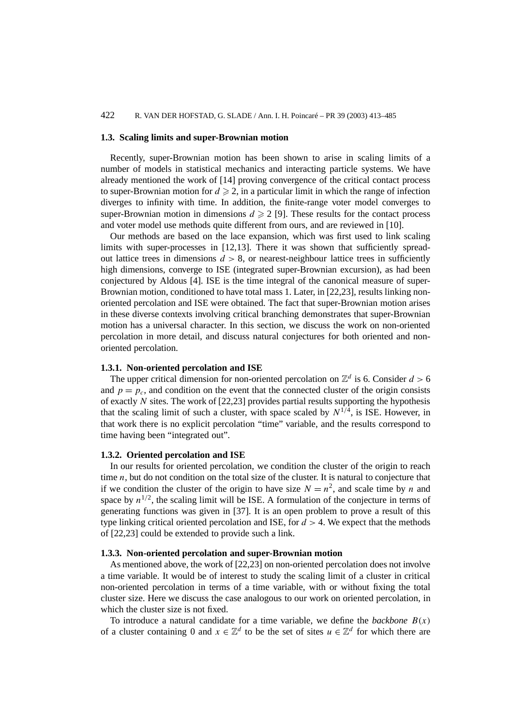# 422 R. VAN DER HOFSTAD, G. SLADE / Ann. I. H. Poincaré – PR 39 (2003) 413–485

## **1.3. Scaling limits and super-Brownian motion**

Recently, super-Brownian motion has been shown to arise in scaling limits of a number of models in statistical mechanics and interacting particle systems. We have already mentioned the work of [14] proving convergence of the critical contact process to super-Brownian motion for  $d \ge 2$ , in a particular limit in which the range of infection diverges to infinity with time. In addition, the finite-range voter model converges to super-Brownian motion in dimensions  $d \geq 2$  [9]. These results for the contact process and voter model use methods quite different from ours, and are reviewed in [10].

Our methods are based on the lace expansion, which was first used to link scaling limits with super-processes in [12,13]. There it was shown that sufficiently spreadout lattice trees in dimensions  $d > 8$ , or nearest-neighbour lattice trees in sufficiently high dimensions, converge to ISE (integrated super-Brownian excursion), as had been conjectured by Aldous [4]. ISE is the time integral of the canonical measure of super-Brownian motion, conditioned to have total mass 1. Later, in [22,23], results linking nonoriented percolation and ISE were obtained. The fact that super-Brownian motion arises in these diverse contexts involving critical branching demonstrates that super-Brownian motion has a universal character. In this section, we discuss the work on non-oriented percolation in more detail, and discuss natural conjectures for both oriented and nonoriented percolation.

# **1.3.1. Non-oriented percolation and ISE**

The upper critical dimension for non-oriented percolation on  $\mathbb{Z}^d$  is 6. Consider  $d > 6$ and  $p = p_c$ , and condition on the event that the connected cluster of the origin consists of exactly *N* sites. The work of [22,23] provides partial results supporting the hypothesis that the scaling limit of such a cluster, with space scaled by  $N^{1/4}$ , is ISE. However, in that work there is no explicit percolation "time" variable, and the results correspond to time having been "integrated out".

## **1.3.2. Oriented percolation and ISE**

In our results for oriented percolation, we condition the cluster of the origin to reach time *n*, but do not condition on the total size of the cluster. It is natural to conjecture that if we condition the cluster of the origin to have size  $N = n^2$ , and scale time by *n* and space by  $n^{1/2}$ , the scaling limit will be ISE. A formulation of the conjecture in terms of generating functions was given in [37]. It is an open problem to prove a result of this type linking critical oriented percolation and ISE, for  $d > 4$ . We expect that the methods of [22,23] could be extended to provide such a link.

# **1.3.3. Non-oriented percolation and super-Brownian motion**

As mentioned above, the work of [22,23] on non-oriented percolation does not involve a time variable. It would be of interest to study the scaling limit of a cluster in critical non-oriented percolation in terms of a time variable, with or without fixing the total cluster size. Here we discuss the case analogous to our work on oriented percolation, in which the cluster size is not fixed.

To introduce a natural candidate for a time variable, we define the *backbone*  $B(x)$ of a cluster containing 0 and  $x \in \mathbb{Z}^d$  to be the set of sites  $u \in \mathbb{Z}^d$  for which there are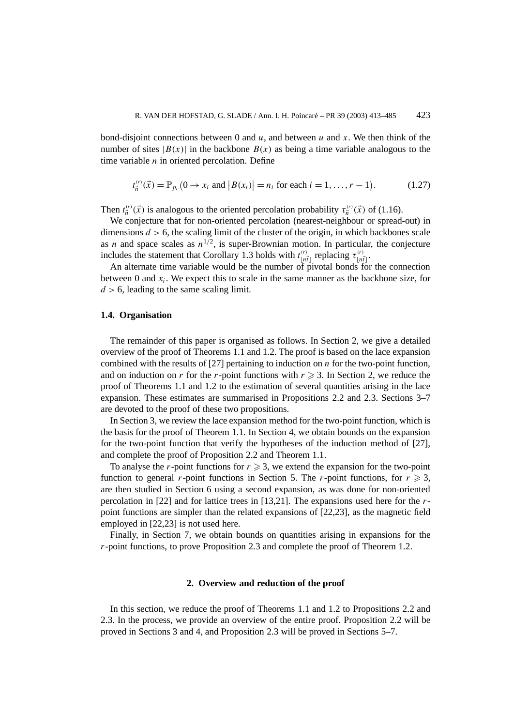bond-disjoint connections between 0 and  $u$ , and between  $u$  and  $x$ . We then think of the number of sites  $|B(x)|$  in the backbone  $B(x)$  as being a time variable analogous to the time variable *n* in oriented percolation. Define

$$
t_{\vec{n}}^{(r)}(\vec{x}) = \mathbb{P}_{p_c}(0 \to x_i \text{ and } |B(x_i)| = n_i \text{ for each } i = 1, ..., r - 1).
$$
 (1.27)

Then  $t_{\vec{n}}^{(r)}(\vec{x})$  is analogous to the oriented percolation probability  $\tau_{\vec{n}}^{(r)}(\vec{x})$  of (1.16).

We conjecture that for non-oriented percolation (nearest-neighbour or spread-out) in dimensions  $d > 6$ , the scaling limit of the cluster of the origin, in which backbones scale as *n* and space scales as  $n^{1/2}$ , is super-Brownian motion. In particular, the conjecture includes the statement that Corollary 1.3 holds with  $t_{\lfloor n\tilde{t}\rfloor}^{(r)}$  replacing  $\tau_{\lfloor n\tilde{t}\rfloor}^{(r)}$ .

An alternate time variable would be the number of pivotal bonds for the connection between 0 and  $x_i$ . We expect this to scale in the same manner as the backbone size, for *d >* 6, leading to the same scaling limit.

# **1.4. Organisation**

The remainder of this paper is organised as follows. In Section 2, we give a detailed overview of the proof of Theorems 1.1 and 1.2. The proof is based on the lace expansion combined with the results of [27] pertaining to induction on *n* for the two-point function, and on induction on *r* for the *r*-point functions with  $r \geq 3$ . In Section 2, we reduce the proof of Theorems 1.1 and 1.2 to the estimation of several quantities arising in the lace expansion. These estimates are summarised in Propositions 2.2 and 2.3. Sections 3–7 are devoted to the proof of these two propositions.

In Section 3, we review the lace expansion method for the two-point function, which is the basis for the proof of Theorem 1.1. In Section 4, we obtain bounds on the expansion for the two-point function that verify the hypotheses of the induction method of [27], and complete the proof of Proposition 2.2 and Theorem 1.1.

To analyse the *r*-point functions for  $r \geq 3$ , we extend the expansion for the two-point function to general *r*-point functions in Section 5. The *r*-point functions, for  $r \ge 3$ , are then studied in Section 6 using a second expansion, as was done for non-oriented percolation in [22] and for lattice trees in [13,21]. The expansions used here for the *r*point functions are simpler than the related expansions of [22,23], as the magnetic field employed in [22,23] is not used here.

Finally, in Section 7, we obtain bounds on quantities arising in expansions for the *r*-point functions, to prove Proposition 2.3 and complete the proof of Theorem 1.2.

#### **2. Overview and reduction of the proof**

In this section, we reduce the proof of Theorems 1.1 and 1.2 to Propositions 2.2 and 2.3. In the process, we provide an overview of the entire proof. Proposition 2.2 will be proved in Sections 3 and 4, and Proposition 2.3 will be proved in Sections 5–7.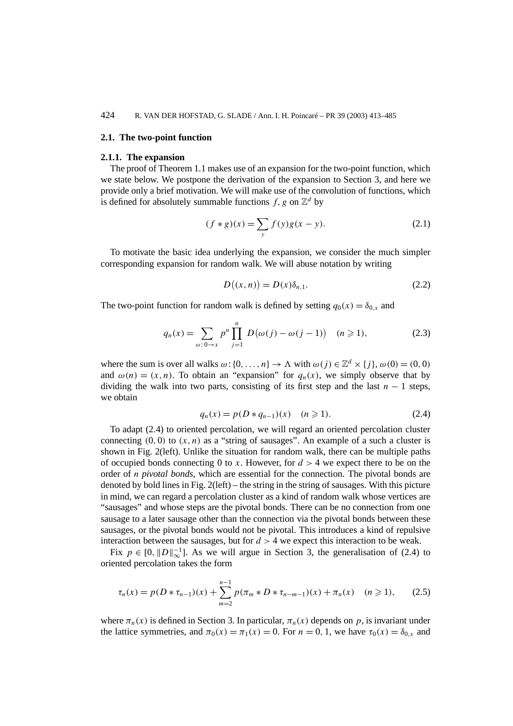## **2.1. The two-point function**

#### **2.1.1. The expansion**

The proof of Theorem 1.1 makes use of an expansion for the two-point function, which we state below. We postpone the derivation of the expansion to Section 3, and here we provide only a brief motivation. We will make use of the convolution of functions, which is defined for absolutely summable functions  $f$ , g on  $\mathbb{Z}^d$  by

$$
(f * g)(x) = \sum_{y} f(y)g(x - y).
$$
 (2.1)

To motivate the basic idea underlying the expansion, we consider the much simpler corresponding expansion for random walk. We will abuse notation by writing

$$
D((x, n)) = D(x)\delta_{n,1}.
$$
\n(2.2)

The two-point function for random walk is defined by setting  $q_0(x) = \delta_{0,x}$  and

$$
q_n(x) = \sum_{\omega: 0 \to x} p^n \prod_{j=1}^n D(\omega(j) - \omega(j-1)) \quad (n \geqslant 1), \tag{2.3}
$$

where the sum is over all walks  $\omega$ : {0, ...,n}  $\rightarrow \Lambda$  with  $\omega(j) \in \mathbb{Z}^d \times \{j\}$ ,  $\omega(0) = (0,0)$ and  $\omega(n) = (x, n)$ . To obtain an "expansion" for  $q_n(x)$ , we simply observe that by dividing the walk into two parts, consisting of its first step and the last  $n - 1$  steps, we obtain

$$
q_n(x) = p(D * q_{n-1})(x) \quad (n \ge 1).
$$
 (2.4)

To adapt (2.4) to oriented percolation, we will regard an oriented percolation cluster connecting  $(0, 0)$  to  $(x, n)$  as a "string of sausages". An example of a such a cluster is shown in Fig. 2(left). Unlike the situation for random walk, there can be multiple paths of occupied bonds connecting 0 to *x*. However, for  $d > 4$  we expect there to be on the order of *n pivotal bonds*, which are essential for the connection. The pivotal bonds are denoted by bold lines in Fig. 2(left) – the string in the string of sausages. With this picture in mind, we can regard a percolation cluster as a kind of random walk whose vertices are "sausages" and whose steps are the pivotal bonds. There can be no connection from one sausage to a later sausage other than the connection via the pivotal bonds between these sausages, or the pivotal bonds would not be pivotal. This introduces a kind of repulsive interaction between the sausages, but for  $d > 4$  we expect this interaction to be weak.

Fix  $p \in [0, ||D||_{\infty}^{-1}]$ . As we will argue in Section 3, the generalisation of (2.4) to oriented percolation takes the form

$$
\tau_n(x) = p(D * \tau_{n-1})(x) + \sum_{m=2}^{n-1} p(\pi_m * D * \tau_{n-m-1})(x) + \pi_n(x) \quad (n \ge 1), \tag{2.5}
$$

where  $\pi_n(x)$  is defined in Section 3. In particular,  $\pi_n(x)$  depends on p, is invariant under the lattice symmetries, and  $\pi_0(x) = \pi_1(x) = 0$ . For  $n = 0, 1$ , we have  $\tau_0(x) = \delta_{0,x}$  and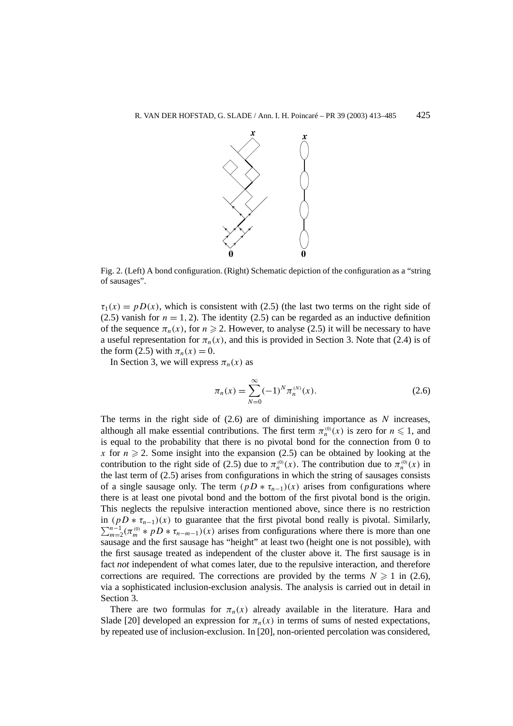

Fig. 2. (Left) A bond configuration. (Right) Schematic depiction of the configuration as a "string of sausages".

 $\tau_1(x) = p(x)$ , which is consistent with (2.5) (the last two terms on the right side of (2.5) vanish for  $n = 1, 2$ ). The identity (2.5) can be regarded as an inductive definition of the sequence  $\pi_n(x)$ , for  $n \ge 2$ . However, to analyse (2.5) it will be necessary to have a useful representation for  $\pi_n(x)$ , and this is provided in Section 3. Note that (2.4) is of the form (2.5) with  $\pi_n(x) = 0$ .

In Section 3, we will express  $\pi_n(x)$  as

$$
\pi_n(x) = \sum_{N=0}^{\infty} (-1)^N \pi_n^{(N)}(x).
$$
 (2.6)

The terms in the right side of (2.6) are of diminishing importance as *N* increases, although all make essential contributions. The first term  $\pi_n^{(0)}(x)$  is zero for  $n \leq 1$ , and is equal to the probability that there is no pivotal bond for the connection from 0 to *x* for  $n \ge 2$ . Some insight into the expansion (2.5) can be obtained by looking at the contribution to the right side of (2.5) due to  $\pi_n^{(0)}(x)$ . The contribution due to  $\pi_n^{(0)}(x)$  in the last term of (2.5) arises from configurations in which the string of sausages consists of a single sausage only. The term  $(pD * \tau_{n-1})(x)$  arises from configurations where there is at least one pivotal bond and the bottom of the first pivotal bond is the origin. This neglects the repulsive interaction mentioned above, since there is no restriction in  $(pD * \tau_{n-1})(x)$  to guarantee that the first pivotal bond really is pivotal. Similarly,  $\sum_{m=2}^{n-1} (\pi_m^{(0)} * pD * \tau_{n-m-1})(x)$  arises from configurations where there is more than one sausage and the first sausage has "height" at least two (height one is not possible), with the first sausage treated as independent of the cluster above it. The first sausage is in fact *not* independent of what comes later, due to the repulsive interaction, and therefore corrections are required. The corrections are provided by the terms  $N \ge 1$  in (2.6), via a sophisticated inclusion-exclusion analysis. The analysis is carried out in detail in Section 3.

There are two formulas for  $\pi_n(x)$  already available in the literature. Hara and Slade [20] developed an expression for  $\pi_n(x)$  in terms of sums of nested expectations, by repeated use of inclusion-exclusion. In [20], non-oriented percolation was considered,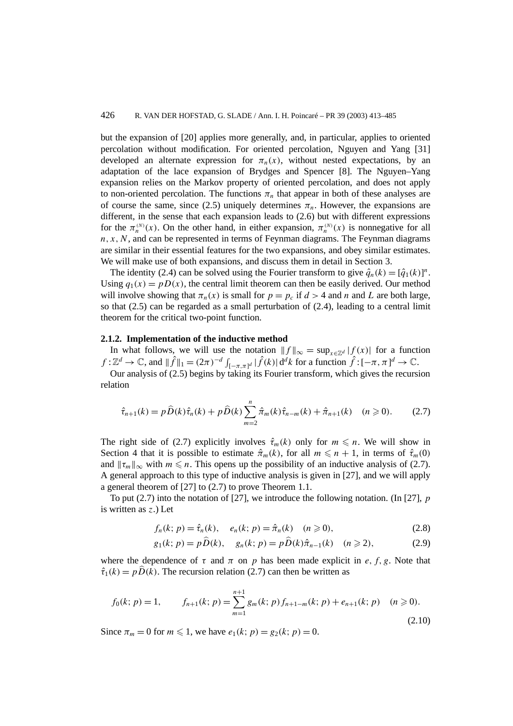but the expansion of [20] applies more generally, and, in particular, applies to oriented percolation without modification. For oriented percolation, Nguyen and Yang [31] developed an alternate expression for  $\pi_n(x)$ , without nested expectations, by an adaptation of the lace expansion of Brydges and Spencer [8]. The Nguyen–Yang expansion relies on the Markov property of oriented percolation, and does not apply to non-oriented percolation. The functions  $\pi_n$  that appear in both of these analyses are of course the same, since (2.5) uniquely determines  $\pi_n$ . However, the expansions are different, in the sense that each expansion leads to (2.6) but with different expressions for the  $\pi_n^{(N)}(x)$ . On the other hand, in either expansion,  $\pi_n^{(N)}(x)$  is nonnegative for all  $n, x, N$ , and can be represented in terms of Feynman diagrams. The Feynman diagrams are similar in their essential features for the two expansions, and obey similar estimates. We will make use of both expansions, and discuss them in detail in Section 3.

The identity (2.4) can be solved using the Fourier transform to give  $\hat{q}_n(k) = [\hat{q}_1(k)]^n$ . Using  $q_1(x) = pD(x)$ , the central limit theorem can then be easily derived. Our method will involve showing that  $\pi_n(x)$  is small for  $p = p_c$  if  $d > 4$  and *n* and *L* are both large, so that  $(2.5)$  can be regarded as a small perturbation of  $(2.4)$ , leading to a central limit theorem for the critical two-point function.

# **2.1.2. Implementation of the inductive method**

In what follows, we will use the notation  $|| f ||_{\infty} = \sup_{x \in \mathbb{Z}^d} |f(x)|$  for a function  $f: \mathbb{Z}^d \to \mathbb{C}$ , and  $\|\hat{f}\|_1 = (2\pi)^{-d} \int_{[-\pi,\pi]^d} |\hat{f}(k)| d^dk$  for a function  $\hat{f}: [-\pi,\pi]^d \to \mathbb{C}$ .

Our analysis of (2.5) begins by taking its Fourier transform, which gives the recursion relation

$$
\hat{\tau}_{n+1}(k) = p\,\hat{D}(k)\,\hat{\tau}_n(k) + p\,\hat{D}(k)\sum_{m=2}^n\hat{\pi}_m(k)\,\hat{\tau}_{n-m}(k) + \hat{\pi}_{n+1}(k) \quad (n \geq 0). \tag{2.7}
$$

The right side of (2.7) explicitly involves  $\hat{\tau}_m(k)$  only for  $m \leq n$ . We will show in Section 4 that it is possible to estimate  $\hat{\pi}_m(k)$ , for all  $m \leq n + 1$ , in terms of  $\hat{\tau}_m(0)$ and  $\|\tau_m\|_{\infty}$  with  $m \leq n$ . This opens up the possibility of an inductive analysis of (2.7). A general approach to this type of inductive analysis is given in [27], and we will apply a general theorem of [27] to (2.7) to prove Theorem 1.1.

To put (2.7) into the notation of [27], we introduce the following notation. (In [27], *p* is written as *z*.) Let

$$
f_n(k; p) = \hat{\tau}_n(k), \quad e_n(k; p) = \hat{\pi}_n(k) \quad (n \ge 0),
$$
 (2.8)

$$
g_1(k; p) = p\widehat{D}(k), \quad g_n(k; p) = p\widehat{D}(k)\widehat{\pi}_{n-1}(k) \quad (n \ge 2),
$$
 (2.9)

where the dependence of  $\tau$  and  $\pi$  on  $p$  has been made explicit in  $e, f, g$ . Note that  $\hat{\tau}_1(k) = p\hat{D}(k)$ . The recursion relation (2.7) can then be written as

$$
f_0(k; p) = 1, \qquad f_{n+1}(k; p) = \sum_{m=1}^{n+1} g_m(k; p) f_{n+1-m}(k; p) + e_{n+1}(k; p) \quad (n \ge 0).
$$
\n(2.10)

Since  $\pi_m = 0$  for  $m \le 1$ , we have  $e_1(k; p) = g_2(k; p) = 0$ .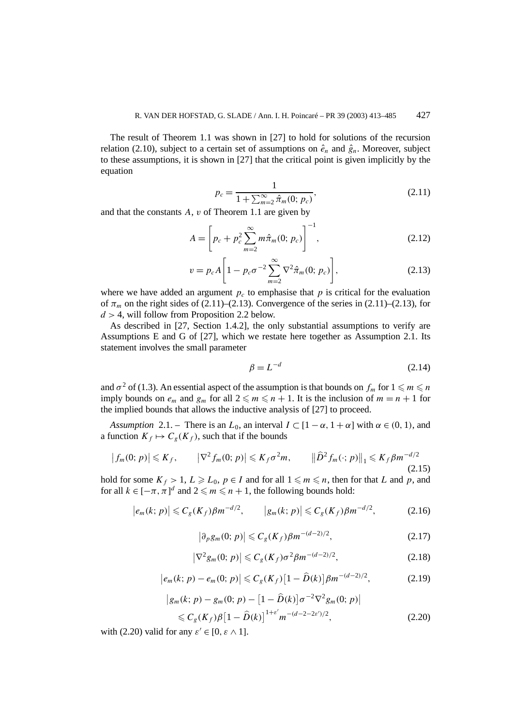The result of Theorem 1.1 was shown in [27] to hold for solutions of the recursion relation (2.10), subject to a certain set of assumptions on  $\hat{e}_n$  and  $\hat{g}_n$ . Moreover, subject to these assumptions, it is shown in [27] that the critical point is given implicitly by the equation

$$
p_c = \frac{1}{1 + \sum_{m=2}^{\infty} \hat{\pi}_m(0; p_c)},
$$
\n(2.11)

and that the constants *A*, *v* of Theorem 1.1 are given by

$$
A = \left[ p_c + p_c^2 \sum_{m=2}^{\infty} m \hat{\pi}_m(0; p_c) \right]^{-1},
$$
 (2.12)

$$
v = p_c A \left[ 1 - p_c \sigma^{-2} \sum_{m=2}^{\infty} \nabla^2 \hat{\pi}_m(0; p_c) \right],
$$
 (2.13)

where we have added an argument  $p_c$  to emphasise that p is critical for the evaluation of  $\pi_m$  on the right sides of (2.11)–(2.13). Convergence of the series in (2.11)–(2.13), for *d >* 4, will follow from Proposition 2.2 below.

As described in [27, Section 1.4.2], the only substantial assumptions to verify are Assumptions E and G of [27], which we restate here together as Assumption 2.1. Its statement involves the small parameter

$$
\beta = L^{-d} \tag{2.14}
$$

and  $\sigma^2$  of (1.3). An essential aspect of the assumption is that bounds on  $f_m$  for  $1 \leq m \leq n$ imply bounds on  $e_m$  and  $g_m$  for all  $2 \leq m \leq n + 1$ . It is the inclusion of  $m = n + 1$  for the implied bounds that allows the inductive analysis of [27] to proceed.

*Assumption* 2.1. – There is an  $L_0$ , an interval  $I \subset [1 - \alpha, 1 + \alpha]$  with  $\alpha \in (0, 1)$ , and a function  $K_f \mapsto C_g(K_f)$ , such that if the bounds

$$
\left|f_m(0;p)\right| \leqslant K_f, \qquad \left|\nabla^2 f_m(0;p)\right| \leqslant K_f \sigma^2 m, \qquad \left\|\widehat{D}^2 f_m(\cdot;p)\right\|_1 \leqslant K_f \beta m^{-d/2} \tag{2.15}
$$

hold for some  $K_f > 1$ ,  $L \ge L_0$ ,  $p \in I$  and for all  $1 \le m \le n$ , then for that *L* and *p*, and for all  $k \in [-\pi, \pi]^d$  and  $2 \leq m \leq n + 1$ , the following bounds hold:

$$
|e_m(k; p)| \leq C_g(K_f)\beta m^{-d/2}, \qquad |g_m(k; p)| \leq C_g(K_f)\beta m^{-d/2}, \qquad (2.16)
$$

$$
\left|\partial_p g_m(0;p)\right| \leqslant C_g(K_f)\beta m^{-(d-2)/2},\tag{2.17}
$$

$$
\left|\nabla^2 g_m(0; \, p)\right| \leqslant C_g(K_f) \sigma^2 \beta m^{-(d-2)/2},\tag{2.18}
$$

$$
|e_m(k; p) - e_m(0; p)| \leqslant C_g(K_f) \left[1 - \widehat{D}(k)\right] \beta m^{-(d-2)/2}, \tag{2.19}
$$

$$
\begin{aligned} \left| g_m(k; \, p) - g_m(0; \, p) - \left[ 1 - \widehat{D}(k) \right] \sigma^{-2} \nabla^2 g_m(0; \, p) \right| \\ &\leq C_g(K_f) \beta \left[ 1 - \widehat{D}(k) \right]^{1 + \varepsilon'} m^{-(d - 2 - 2\varepsilon')/2}, \end{aligned} \tag{2.20}
$$

with (2.20) valid for any  $\varepsilon' \in [0, \varepsilon \wedge 1]$ .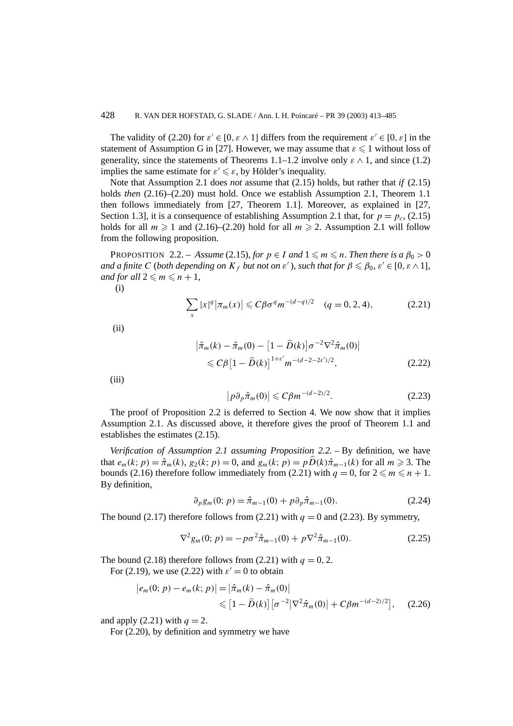The validity of (2.20) for  $\varepsilon \in [0, \varepsilon \wedge 1]$  differs from the requirement  $\varepsilon \in [0, \varepsilon]$  in the statement of Assumption G in [27]. However, we may assume that  $\varepsilon \leq 1$  without loss of generality, since the statements of Theorems 1.1–1.2 involve only  $\varepsilon \wedge 1$ , and since (1.2) implies the same estimate for  $\varepsilon' \leq \varepsilon$ , by Hölder's inequality.

Note that Assumption 2.1 does *not* assume that (2.15) holds, but rather that *if* (2.15) holds *then* (2.16)–(2.20) must hold. Once we establish Assumption 2.1, Theorem 1.1 then follows immediately from [27, Theorem 1.1]. Moreover, as explained in [27, Section 1.3], it is a consequence of establishing Assumption 2.1 that, for  $p = p_c$ , (2.15) holds for all  $m \ge 1$  and (2.16)–(2.20) hold for all  $m \ge 2$ . Assumption 2.1 will follow from the following proposition.

**PROPOSITION** 2.2. – Assume (2.15), for  $p \in I$  and  $1 \leq m \leq n$ . Then there is a  $\beta_0 > 0$ *and a finite C* (*both depending on*  $K_f$  *but not on*  $\varepsilon'$ ), such that for  $\beta \leq \beta_0$ ,  $\varepsilon' \in [0, \varepsilon \wedge 1]$ , *and for all*  $2 \le m \le n + 1$ *,* 

(i)

$$
\sum_{x} |x|^{q} |\pi_m(x)| \leq C \beta \sigma^q m^{-(d-q)/2} \quad (q = 0, 2, 4), \tag{2.21}
$$

(ii)

$$
\begin{aligned} \left| \hat{\pi}_m(k) - \hat{\pi}_m(0) - \left[ 1 - \hat{D}(k) \right] \sigma^{-2} \nabla^2 \hat{\pi}_m(0) \right| \\ &\leqslant C \beta \left[ 1 - \hat{D}(k) \right]^{1 + \varepsilon'} m^{-(d - 2 - 2\varepsilon')/2}, \end{aligned} \tag{2.22}
$$

 $(iii)$ 

$$
\left|p\partial_p\hat{\pi}_m(0)\right| \leqslant C\beta m^{-(d-2)/2}.\tag{2.23}
$$

The proof of Proposition 2.2 is deferred to Section 4. We now show that it implies Assumption 2.1. As discussed above, it therefore gives the proof of Theorem 1.1 and establishes the estimates (2.15).

*Verification of Assumption 2.1 assuming Proposition 2.2. –* By definition, we have that  $e_m(k; p) = \hat{\pi}_m(k)$ ,  $g_2(k; p) = 0$ , and  $g_m(k; p) = p\hat{D}(k)\hat{\pi}_{m-1}(k)$  for all  $m \ge 3$ . The bounds (2.16) therefore follow immediately from (2.21) with  $q = 0$ , for  $2 \le m \le n + 1$ . By definition,

$$
\partial_p g_m(0; p) = \hat{\pi}_{m-1}(0) + p \partial_p \hat{\pi}_{m-1}(0). \tag{2.24}
$$

The bound (2.17) therefore follows from (2.21) with  $q = 0$  and (2.23). By symmetry,

$$
\nabla^2 g_m(0; p) = -p\sigma^2 \hat{\pi}_{m-1}(0) + p\nabla^2 \hat{\pi}_{m-1}(0). \tag{2.25}
$$

The bound (2.18) therefore follows from (2.21) with  $q = 0, 2$ .

For (2.19), we use (2.22) with  $\varepsilon' = 0$  to obtain

$$
|e_m(0; p) - e_m(k; p)| = |\hat{\pi}_m(k) - \hat{\pi}_m(0)|
$$
  
\$\leq [1 - \hat{D}(k)] [\sigma^{-2} |\nabla^2 \hat{\pi}\_m(0)| + C\beta m^{-(d-2)/2}], (2.26)

and apply  $(2.21)$  with  $q = 2$ .

For (2.20), by definition and symmetry we have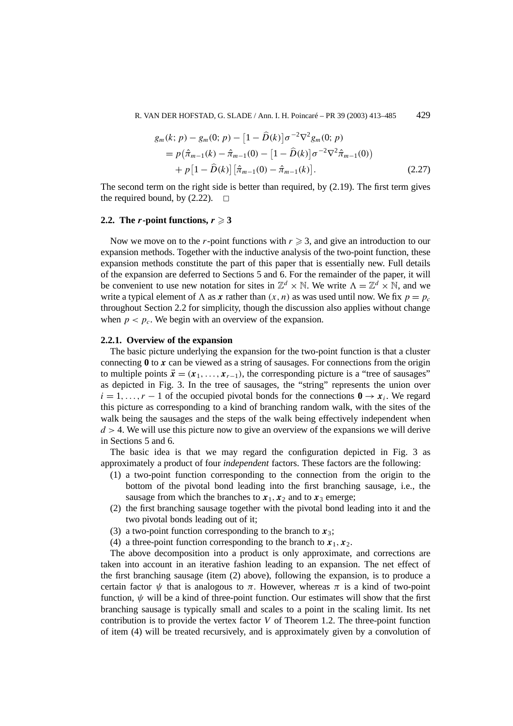R. VAN DER HOFSTAD, G. SLADE / Ann. I. H. Poincaré – PR 39 (2003) 413–485 429

$$
g_m(k; p) - g_m(0; p) - [1 - \hat{D}(k)]\sigma^{-2} \nabla^2 g_m(0; p)
$$
  
=  $p(\hat{\pi}_{m-1}(k) - \hat{\pi}_{m-1}(0) - [1 - \hat{D}(k)]\sigma^{-2} \nabla^2 \hat{\pi}_{m-1}(0)$   
+  $p[1 - \hat{D}(k)][\hat{\pi}_{m-1}(0) - \hat{\pi}_{m-1}(k)].$  (2.27)

The second term on the right side is better than required, by (2.19). The first term gives the required bound, by  $(2.22)$ .  $\Box$ 

## **2.2.** The *r***-point functions,**  $r \ge 3$

Now we move on to the *r*-point functions with  $r \geq 3$ , and give an introduction to our expansion methods. Together with the inductive analysis of the two-point function, these expansion methods constitute the part of this paper that is essentially new. Full details of the expansion are deferred to Sections 5 and 6. For the remainder of the paper, it will be convenient to use new notation for sites in  $\mathbb{Z}^d \times \mathbb{N}$ . We write  $\Lambda = \mathbb{Z}^d \times \mathbb{N}$ , and we write a typical element of  $\Lambda$  as x rather than  $(x, n)$  as was used until now. We fix  $p = p_c$ throughout Section 2.2 for simplicity, though the discussion also applies without change when  $p < p_c$ . We begin with an overview of the expansion.

# **2.2.1. Overview of the expansion**

The basic picture underlying the expansion for the two-point function is that a cluster connecting **0** to *x* can be viewed as a string of sausages. For connections from the origin to multiple points  $\vec{x} = (x_1, \ldots, x_{r-1})$ , the corresponding picture is a "tree of sausages" as depicted in Fig. 3. In the tree of sausages, the "string" represents the union over  $i = 1, \ldots, r - 1$  of the occupied pivotal bonds for the connections  $\mathbf{0} \to \mathbf{x}_i$ . We regard this picture as corresponding to a kind of branching random walk, with the sites of the walk being the sausages and the steps of the walk being effectively independent when  $d > 4$ . We will use this picture now to give an overview of the expansions we will derive in Sections 5 and 6.

The basic idea is that we may regard the configuration depicted in Fig. 3 as approximately a product of four *independent* factors. These factors are the following:

- (1) a two-point function corresponding to the connection from the origin to the bottom of the pivotal bond leading into the first branching sausage, i.e., the sausage from which the branches to  $x_1$ ,  $x_2$  and to  $x_3$  emerge;
- (2) the first branching sausage together with the pivotal bond leading into it and the two pivotal bonds leading out of it;
- (3) a two-point function corresponding to the branch to  $x_3$ ;
- (4) a three-point function corresponding to the branch to  $x_1, x_2$ .

The above decomposition into a product is only approximate, and corrections are taken into account in an iterative fashion leading to an expansion. The net effect of the first branching sausage (item (2) above), following the expansion, is to produce a certain factor  $\psi$  that is analogous to  $\pi$ . However, whereas  $\pi$  is a kind of two-point function,  $\psi$  will be a kind of three-point function. Our estimates will show that the first branching sausage is typically small and scales to a point in the scaling limit. Its net contribution is to provide the vertex factor *V* of Theorem 1.2. The three-point function of item (4) will be treated recursively, and is approximately given by a convolution of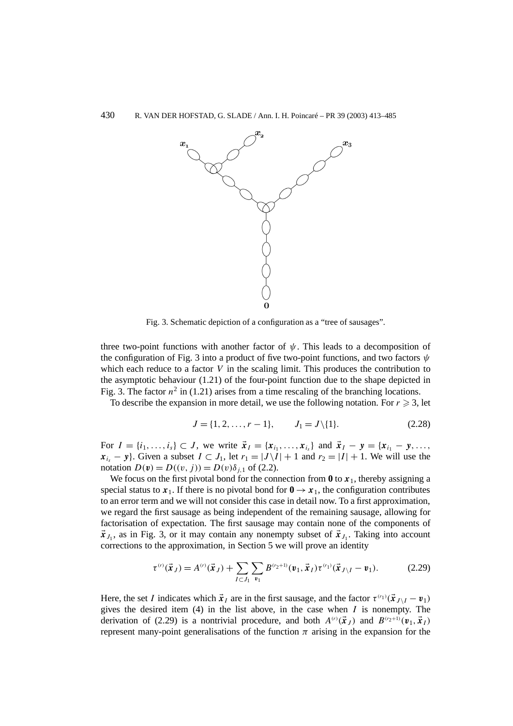

Fig. 3. Schematic depiction of a configuration as a "tree of sausages".

three two-point functions with another factor of *ψ*. This leads to a decomposition of the configuration of Fig. 3 into a product of five two-point functions, and two factors *ψ* which each reduce to a factor *V* in the scaling limit. This produces the contribution to the asymptotic behaviour (1.21) of the four-point function due to the shape depicted in Fig. 3. The factor  $n^2$  in (1.21) arises from a time rescaling of the branching locations.

To describe the expansion in more detail, we use the following notation. For  $r \geq 3$ , let

$$
J = \{1, 2, \dots, r - 1\}, \qquad J_1 = J \setminus \{1\}.
$$
 (2.28)

For  $I = \{i_1, \ldots, i_s\} \subset J$ , we write  $\vec{x}_I = \{x_{i_1}, \ldots, x_{i_s}\}$  and  $\vec{x}_I - y = \{x_{i_1} - y, \ldots, x_{i_s}\}$  $x_i - y$ . Given a subset  $I \subset J_1$ , let  $r_1 = |J \setminus I| + 1$  and  $r_2 = |I| + 1$ . We will use the notation  $D(v) = D(v, j) = D(v)\delta_{i,1}$  of (2.2).

We focus on the first pivotal bond for the connection from  $\mathbf{0}$  to  $x_1$ , thereby assigning a special status to  $x_1$ . If there is no pivotal bond for  $0 \rightarrow x_1$ , the configuration contributes to an error term and we will not consider this case in detail now. To a first approximation, we regard the first sausage as being independent of the remaining sausage, allowing for factorisation of expectation. The first sausage may contain none of the components of  $\vec{x}_{J_1}$ , as in Fig. 3, or it may contain any nonempty subset of  $\vec{x}_{J_1}$ . Taking into account corrections to the approximation, in Section 5 we will prove an identity

$$
\tau^{(r)}(\vec{x}_J) = A^{(r)}(\vec{x}_J) + \sum_{I \subset J_1} \sum_{\nu_1} B^{(\nu_2+1)}(\nu_1, \vec{x}_I) \tau^{(\nu_1)}(\vec{x}_{J \setminus I} - \nu_1). \tag{2.29}
$$

Here, the set *I* indicates which  $\vec{x}_I$  are in the first sausage, and the factor  $\tau^{(r_1)}(\vec{x}_{J \setminus I} - \vec{v}_1)$ gives the desired item (4) in the list above, in the case when *I* is nonempty. The derivation of (2.29) is a nontrivial procedure, and both  $A^{(r)}(\vec{x}_J)$  and  $B^{(r_2+1)}(\mathbf{v}_1, \vec{x}_J)$ represent many-point generalisations of the function  $\pi$  arising in the expansion for the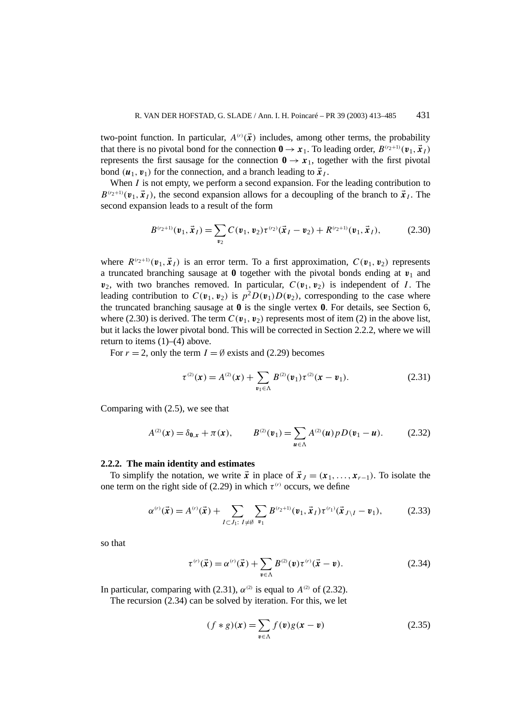two-point function. In particular,  $A^{(r)}(\vec{x})$  includes, among other terms, the probability that there is no pivotal bond for the connection  $0 \rightarrow x_1$ . To leading order,  $B^{(r_2+1)}(\mathbf{v}_1, \vec{x}_1)$ represents the first sausage for the connection  $0 \rightarrow x_1$ , together with the first pivotal bond  $(\boldsymbol{u}_1, \boldsymbol{v}_1)$  for the connection, and a branch leading to  $\vec{x}_I$ .

When *I* is not empty, we perform a second expansion. For the leading contribution to  $B^{(r_2+1)}(\mathbf{v}_1, \mathbf{x}_I)$ , the second expansion allows for a decoupling of the branch to  $\mathbf{x}_I$ . The second expansion leads to a result of the form

$$
B^{(r_2+1)}(\mathbf{v}_1, \vec{\mathbf{x}}_I) = \sum_{\mathbf{v}_2} C(\mathbf{v}_1, \mathbf{v}_2) \tau^{(r_2)}(\vec{\mathbf{x}}_I - \mathbf{v}_2) + R^{(r_2+1)}(\mathbf{v}_1, \vec{\mathbf{x}}_I),
$$
(2.30)

where  $R^{(r_2+1)}(\mathbf{v}_1, \mathbf{x}_I)$  is an error term. To a first approximation,  $C(\mathbf{v}_1, \mathbf{v}_2)$  represents a truncated branching sausage at  $\bf{0}$  together with the pivotal bonds ending at  $\bf{v}_1$  and  $v_2$ , with two branches removed. In particular,  $C(v_1, v_2)$  is independent of *I*. The leading contribution to  $C(\mathbf{v}_1, \mathbf{v}_2)$  is  $p^2 D(\mathbf{v}_1) D(\mathbf{v}_2)$ , corresponding to the case where the truncated branching sausage at **0** is the single vertex **0**. For details, see Section 6, where (2.30) is derived. The term  $C(\mathbf{v}_1, \mathbf{v}_2)$  represents most of item (2) in the above list, but it lacks the lower pivotal bond. This will be corrected in Section 2.2.2, where we will return to items  $(1)$ – $(4)$  above.

For  $r = 2$ , only the term  $I = \emptyset$  exists and (2.29) becomes

$$
\tau^{(2)}(x) = A^{(2)}(x) + \sum_{v_1 \in \Lambda} B^{(2)}(v_1) \tau^{(2)}(x - v_1).
$$
 (2.31)

Comparing with (2.5), we see that

$$
A^{(2)}(x) = \delta_{0,x} + \pi(x), \qquad B^{(2)}(v_1) = \sum_{u \in \Lambda} A^{(2)}(u) p D(v_1 - u). \tag{2.32}
$$

#### **2.2.2. The main identity and estimates**

To simplify the notation, we write  $\vec{x}$  in place of  $\vec{x}_J = (x_1, \ldots, x_{r-1})$ . To isolate the one term on the right side of (2.29) in which  $\tau^{(r)}$  occurs, we define

$$
\alpha^{(r)}(\vec{x}) = A^{(r)}(\vec{x}) + \sum_{I \subset J_1: I \neq \emptyset} \sum_{v_1} B^{(v_2+1)}(v_1, \vec{x}_I) \tau^{(v_1)}(\vec{x}_{J \setminus I} - v_1), \tag{2.33}
$$

so that

$$
\tau^{(r)}(\vec{x}) = \alpha^{(r)}(\vec{x}) + \sum_{v \in \Lambda} B^{(2)}(v) \tau^{(r)}(\vec{x} - v).
$$
 (2.34)

In particular, comparing with (2.31),  $\alpha^{(2)}$  is equal to  $A^{(2)}$  of (2.32).

The recursion (2.34) can be solved by iteration. For this, we let

$$
(f * g)(x) = \sum_{v \in \Lambda} f(v)g(x - v)
$$
\n(2.35)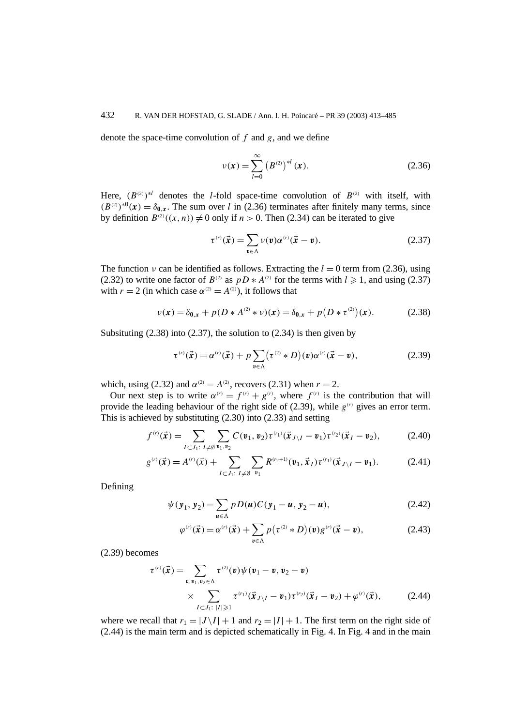# 432 R. VAN DER HOFSTAD, G. SLADE / Ann. I. H. Poincaré – PR 39 (2003) 413–485

denote the space-time convolution of *f* and *g*, and we define

$$
\nu(x) = \sum_{l=0}^{\infty} (B^{(2)})^{*l} (x).
$$
 (2.36)

Here,  $(B^{(2)})^{*l}$  denotes the *l*-fold space-time convolution of  $B^{(2)}$  with itself, with  $(B^{(2)})^{*0}(\mathbf{x}) = \delta_{0,\mathbf{x}}$ . The sum over *l* in (2.36) terminates after finitely many terms, since by definition  $B^{(2)}((x, n)) \neq 0$  only if  $n > 0$ . Then (2.34) can be iterated to give

$$
\tau^{(r)}(\vec{x}) = \sum_{v \in \Lambda} \nu(v) \alpha^{(r)}(\vec{x} - v).
$$
 (2.37)

The function *ν* can be identified as follows. Extracting the  $l = 0$  term from (2.36), using (2.32) to write one factor of  $B^{(2)}$  as  $pD * A^{(2)}$  for the terms with  $l \ge 1$ , and using (2.37) with  $r = 2$  (in which case  $\alpha^{(2)} = A^{(2)}$ ), it follows that

$$
\nu(x) = \delta_{0,x} + p(D * A^{(2)} * \nu)(x) = \delta_{0,x} + p(D * \tau^{(2)})(x).
$$
 (2.38)

Subsituting  $(2.38)$  into  $(2.37)$ , the solution to  $(2.34)$  is then given by

$$
\tau^{(r)}(\vec{x}) = \alpha^{(r)}(\vec{x}) + p \sum_{\mathbf{v} \in \Lambda} (\tau^{(2)} * D)(\mathbf{v}) \alpha^{(r)}(\vec{x} - \mathbf{v}), \qquad (2.39)
$$

which, using (2.32) and  $\alpha^{(2)} = A^{(2)}$ , recovers (2.31) when  $r = 2$ .

Our next step is to write  $\alpha^{(r)} = f^{(r)} + g^{(r)}$ , where  $f^{(r)}$  is the contribution that will provide the leading behaviour of the right side of (2.39), while  $g^{(r)}$  gives an error term. This is achieved by substituting (2.30) into (2.33) and setting

$$
f^{(r)}(\vec{x}) = \sum_{I \subset J_1: \ I \neq \emptyset} \sum_{v_1, v_2} C(v_1, v_2) \tau^{(v_1)}(\vec{x}_{J \setminus I} - v_1) \tau^{(v_2)}(\vec{x}_I - v_2), \tag{2.40}
$$

$$
g^{(r)}(\vec{x}) = A^{(r)}(\vec{x}) + \sum_{I \subset J_1: I \neq \emptyset} \sum_{v_1} R^{(r_2+1)}(v_1, \vec{x}_I) \tau^{(r_1)}(\vec{x}_{J \setminus I} - v_1).
$$
 (2.41)

Defining

$$
\psi(y_1, y_2) = \sum_{u \in \Lambda} p D(u) C(y_1 - u, y_2 - u), \qquad (2.42)
$$

$$
\varphi^{(r)}(\vec{x}) = \alpha^{(r)}(\vec{x}) + \sum_{v \in \Lambda} p(\tau^{(2)} * D)(v)g^{(r)}(\vec{x} - v), \qquad (2.43)
$$

(2.39) becomes

$$
\tau^{(r)}(\vec{x}) = \sum_{\substack{\bm{v}, \bm{v}_1, \bm{v}_2 \in \Lambda \\ \times \sum_{I \subset J_1: \ |I| \geqslant 1}} \tau^{(2)}(\bm{v}) \psi(\bm{v}_1 - \bm{v}, \bm{v}_2 - \bm{v}) \\ \times \sum_{I \subset J_1: \ |I| \geqslant 1} \tau^{(r_1)}(\vec{x}_{J \setminus I} - \bm{v}_1) \tau^{(r_2)}(\vec{x}_I - \bm{v}_2) + \varphi^{(r)}(\vec{x}), \tag{2.44}
$$

where we recall that  $r_1 = |J \setminus I| + 1$  and  $r_2 = |I| + 1$ . The first term on the right side of (2.44) is the main term and is depicted schematically in Fig. 4. In Fig. 4 and in the main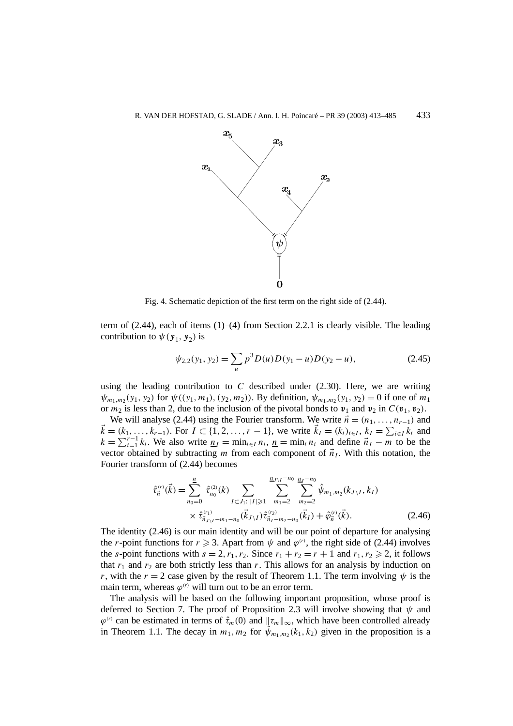

Fig. 4. Schematic depiction of the first term on the right side of (2.44).

term of (2.44), each of items (1)–(4) from Section 2.2.1 is clearly visible. The leading contribution to  $\psi(y_1, y_2)$  is

$$
\psi_{2,2}(y_1, y_2) = \sum_{u} p^3 D(u) D(y_1 - u) D(y_2 - u), \qquad (2.45)
$$

using the leading contribution to  $C$  described under  $(2.30)$ . Here, we are writing  $\psi_{m_1,m_2}(y_1, y_2)$  for  $\psi((y_1, m_1), (y_2, m_2))$ . By definition,  $\psi_{m_1,m_2}(y_1, y_2) = 0$  if one of  $m_1$ or  $m_2$  is less than 2, due to the inclusion of the pivotal bonds to  $v_1$  and  $v_2$  in  $C(v_1, v_2)$ .

We will analyse (2.44) using the Fourier transform. We write  $\vec{n} = (n_1, \ldots, n_{r-1})$  and  $\vec{k} = (k_1, \ldots, k_{r-1})$ . For  $I \subset \{1, 2, \ldots, r-1\}$ , we write  $\vec{k}_I = (k_i)_{i \in I}, k_I = \sum_{i \in I} k_i$  and  $k = \sum_{i=1}^{r-1} k_i$ . We also write  $n_I = \min_{i \in I} n_i$ ,  $n_I = \min_i n_i$  and define  $\vec{n_I} - \vec{m}$  to be the vector obtained by subtracting *m* from each component of  $\vec{n}_I$ . With this notation, the Fourier transform of (2.44) becomes

$$
\hat{\tau}_{\vec{n}}^{(r)}(\vec{k}) = \sum_{n_0=0}^{n} \hat{\tau}_{n_0}^{(2)}(k) \sum_{I \subset J_1: \; |I| \geq 1} \sum_{m_1=2}^{n_{J \setminus I} - n_0} \sum_{m_2=2}^{n_{J-1} - n_0} \hat{\psi}_{m_1, m_2}(k_{J \setminus I}, k_I) \times \hat{\tau}_{\vec{n}_{J \setminus I} - m_1 - n_0}^{(r_1)}(\vec{k}_{J \setminus I}) \hat{\tau}_{\vec{n}_I - m_2 - n_0}^{(r_2)}(\vec{k}_I) + \hat{\varphi}_{\vec{n}}^{(r)}(\vec{k}).
$$
\n(2.46)

The identity (2.46) is our main identity and will be our point of departure for analysing the *r*-point functions for  $r \ge 3$ . Apart from  $\psi$  and  $\varphi^{(r)}$ , the right side of (2.44) involves the *s*-point functions with  $s = 2, r_1, r_2$ . Since  $r_1 + r_2 = r + 1$  and  $r_1, r_2 \ge 2$ , it follows that  $r_1$  and  $r_2$  are both strictly less than  $r$ . This allows for an analysis by induction on *r*, with the  $r = 2$  case given by the result of Theorem 1.1. The term involving  $\psi$  is the main term, whereas  $\varphi^{(r)}$  will turn out to be an error term.

The analysis will be based on the following important proposition, whose proof is deferred to Section 7. The proof of Proposition 2.3 will involve showing that  $\psi$  and  $\varphi^{(r)}$  can be estimated in terms of  $\hat{\tau}_m(0)$  and  $\|\tau_m\|_{\infty}$ , which have been controlled already in Theorem 1.1. The decay in  $m_1, m_2$  for  $\psi_{m_1,m_2}(k_1, k_2)$  given in the proposition is a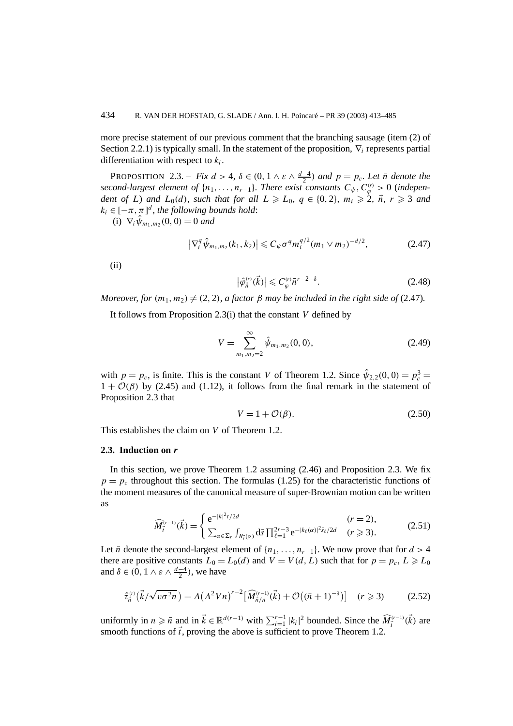more precise statement of our previous comment that the branching sausage (item (2) of Section 2.2.1) is typically small. In the statement of the proposition, ∇*<sup>i</sup>* represents partial differentiation with respect to *ki*.

PROPOSITION 2.3. – *Fix*  $d > 4$ ,  $\delta \in (0, 1 \wedge \varepsilon \wedge \frac{d-4}{2})$  and  $p = p_c$ . Let  $\bar{n}$  denote the *second-largest element of*  $\{n_1, \ldots, n_{r-1}\}$ *. There exist constants*  $C_{\psi}, C_{\varphi}^{(r)} > 0$  (*independent of L*) *and*  $L_0(d)$ *, such that for all*  $L \ge L_0$ *,*  $q \in \{0, 2\}$ *,*  $m_i \ge 2$ *,*  $\vec{n}$ *,*  $r \ge 3$  *<i>and*  $k_i \in [-\pi, \pi]^d$ , the following bounds hold:

 $(i) \nabla_i \hat{\psi}_{m_1,m_2}(0,0) = 0$  *and* 

$$
\left|\nabla_i^q \hat{\psi}_{m_1,m_2}(k_1,k_2)\right| \leqslant C_{\psi} \sigma^q m_i^{q/2} (m_1 \vee m_2)^{-d/2}, \tag{2.47}
$$

(ii)

$$
\left|\hat{\varphi}_{\vec{n}}^{(r)}(\vec{k})\right| \leqslant C_{\varphi}^{(r)} \bar{n}^{r-2-\delta}.
$$
\n(2.48)

*Moreover, for*  $(m_1, m_2) \neq (2, 2)$ *, a factor*  $\beta$  *may be included in the right side of* (2.47)*.* 

It follows from Proposition 2.3(i) that the constant *V* defined by

$$
V = \sum_{m_1, m_2 = 2}^{\infty} \hat{\psi}_{m_1, m_2}(0, 0),
$$
 (2.49)

with  $p = p_c$ , is finite. This is the constant *V* of Theorem 1.2. Since  $\hat{\psi}_{2,2}(0,0) = p_c^3 =$  $1 + \mathcal{O}(\beta)$  by (2.45) and (1.12), it follows from the final remark in the statement of Proposition 2.3 that

$$
V = 1 + \mathcal{O}(\beta). \tag{2.50}
$$

This establishes the claim on *V* of Theorem 1.2.

# **2.3. Induction on** *r*

In this section, we prove Theorem 1.2 assuming (2.46) and Proposition 2.3. We fix  $p = p_c$  throughout this section. The formulas (1.25) for the characteristic functions of the moment measures of the canonical measure of super-Brownian motion can be written as

$$
\widehat{M}_{\vec{t}}^{(r-1)}(\vec{k}) = \begin{cases} e^{-|k|^2 t/2d} & (r = 2), \\ \sum_{\alpha \in \Sigma_r} \int_{R_{\vec{t}}(\alpha)} d\bar{s} \prod_{\ell=1}^{2r-3} e^{-|k_{\ell}(\alpha)|^2 \bar{s}_{\ell}/2d} & (r \ge 3). \end{cases}
$$
(2.51)

Let  $\bar{n}$  denote the second-largest element of  $\{n_1, \ldots, n_{r-1}\}$ . We now prove that for  $d > 4$ there are positive constants  $L_0 = L_0(d)$  and  $V = V(d, L)$  such that for  $p = p_c, L \ge L_0$ and  $\delta \in (0, 1 \wedge \varepsilon \wedge \frac{d-4}{2})$ , we have

$$
\hat{\tau}_{\vec{n}}^{(r)}(\vec{k}/\sqrt{v\sigma^2 n}) = A(A^2 V n)^{r-2} [\widehat{M}_{\vec{n}/n}^{(r-1)}(\vec{k}) + \mathcal{O}((\bar{n}+1)^{-\delta})] \quad (r \ge 3)
$$
 (2.52)

uniformly in  $n \geq \overline{n}$  and in  $\vec{k} \in \mathbb{R}^{d(r-1)}$  with  $\sum_{i=1}^{r-1} |k_i|^2$  bounded. Since the  $\widehat{M}_{\vec{i}}^{(r-1)}(\vec{k})$  are smooth functions of  $\vec{t}$ , proving the above is sufficient to prove Theorem 1.2.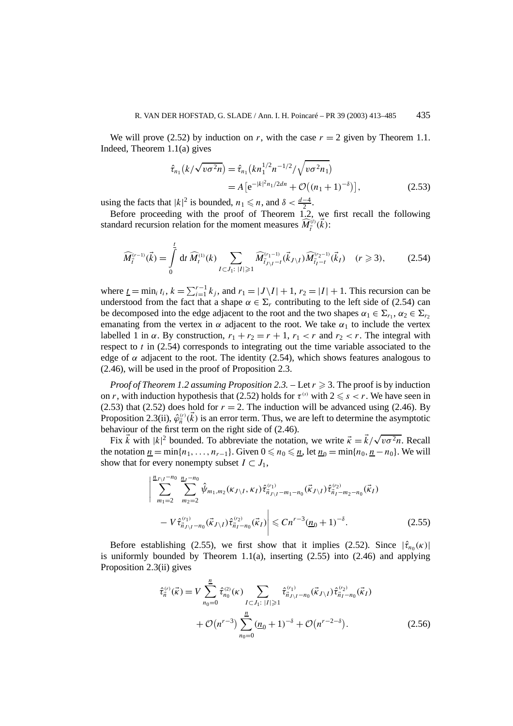We will prove (2.52) by induction on *r*, with the case  $r = 2$  given by Theorem 1.1. Indeed, Theorem 1.1(a) gives

$$
\hat{\tau}_{n_1}(k/\sqrt{v\sigma^2 n}) = \hat{\tau}_{n_1}(k n_1^{1/2} n^{-1/2} / \sqrt{v\sigma^2 n_1})
$$
  
=  $A[e^{-|k|^2 n_1 / 2dn} + \mathcal{O}((n_1 + 1)^{-\delta})],$  (2.53)

using the facts that  $|k|^2$  is bounded,  $n_1 \le n$ , and  $\delta < \frac{d-4}{2}$ .

Before proceeding with the proof of Theorem 1.2, we first recall the following standard recursion relation for the moment measures  $\widehat{M}_{\vec{t}}^{(l)}(\vec{k})$ :

$$
\widehat{M}_{\vec{l}}^{(r-1)}(\vec{k}) = \int_{0}^{\underline{t}} dt \,\widehat{M}_{t}^{(1)}(k) \sum_{I \subset J_{1}: \;|I| \geqslant 1} \widehat{M}_{\vec{l}_{J \setminus I} - t}^{(r_{1} - 1)}(\vec{k}_{J \setminus I}) \widehat{M}_{\vec{l}_{I} - t}^{(r_{2} - 1)}(\vec{k}_{I}) \quad (r \geqslant 3), \tag{2.54}
$$

where  $\underline{t} = \min_i t_i$ ,  $k = \sum_{i=1}^{r-1} k_j$ , and  $r_1 = |J \setminus I| + 1$ ,  $r_2 = |I| + 1$ . This recursion can be understood from the fact that a shape  $\alpha \in \Sigma_r$  contributing to the left side of (2.54) can be decomposed into the edge adjacent to the root and the two shapes  $\alpha_1 \in \Sigma_{r_1}$ ,  $\alpha_2 \in \Sigma_{r_2}$ emanating from the vertex in  $\alpha$  adjacent to the root. We take  $\alpha_1$  to include the vertex labelled 1 in  $\alpha$ . By construction,  $r_1 + r_2 = r + 1$ ,  $r_1 < r$  and  $r_2 < r$ . The integral with respect to *t* in (2.54) corresponds to integrating out the time variable associated to the edge of  $\alpha$  adjacent to the root. The identity (2.54), which shows features analogous to (2.46), will be used in the proof of Proposition 2.3.

*Proof of Theorem 1.2 assuming Proposition 2.3.* – Let  $r \ge 3$ . The proof is by induction on *r*, with induction hypothesis that (2.52) holds for  $\tau^{(s)}$  with  $2 \leq s < r$ . We have seen in (2.53) that (2.52) does hold for  $r = 2$ . The induction will be advanced using (2.46). By Proposition 2.3(ii),  $\hat{\varphi}^{(r)}_{\vec{n}}(\vec{k})$  is an error term. Thus, we are left to determine the asymptotic behaviour of the first term on the right side of (2.46).

haviour of the first term on the right side of (2.46).<br>Fix  $\vec{k}$  with  $|k|^2$  bounded. To abbreviate the notation, we write  $\vec{k} = \vec{k}/\sqrt{v\sigma^2 n}$ . Recall the notation  $\underline{n} = \min\{n_1, \ldots, n_{r-1}\}$ . Given  $0 \le n_0 \le \underline{n}$ , let  $\underline{n}_0 = \min\{n_0, \underline{n} - n_0\}$ . We will show that for every nonempty subset  $I \subset J_1$ ,

$$
\left| \sum_{m_1=2}^{n_{J \setminus I} - n_0} \sum_{m_2=2}^{n_{I} - n_0} \hat{\psi}_{m_1, m_2}(\kappa_{J \setminus I}, \kappa_I) \hat{\tau}_{\vec{n}_{J \setminus I} - m_1 - n_0}^{(r_1)}(\vec{\kappa}_{J \setminus I}) \hat{\tau}_{\vec{n}_I - m_2 - n_0}^{(r_2)}(\vec{\kappa}_I) - V \hat{\tau}_{\vec{n}_{J \setminus I} - n_0}^{(r_1)}(\vec{\kappa}_{J \setminus I}) \hat{\tau}_{\vec{n}_I - n_0}^{(r_2)}(\vec{\kappa}_I) \right| \le C n^{r-3} (\underline{n}_0 + 1)^{-\delta}.
$$
 (2.55)

Before establishing (2.55), we first show that it implies (2.52). Since  $|\hat{\tau}_{n_0}(\kappa)|$ is uniformly bounded by Theorem  $1.1(a)$ , inserting  $(2.55)$  into  $(2.46)$  and applying Proposition 2.3(ii) gives

$$
\hat{\tau}_{\vec{n}}^{(r)}(\vec{\kappa}) = V \sum_{n_0=0}^{\underline{n}} \hat{\tau}_{n_0}^{(2)}(\kappa) \sum_{I \subset J_1: \; |I| \geqslant 1} \hat{\tau}_{\vec{n}_{J \setminus I} - n_0}^{(r_1)}(\vec{\kappa}_{J \setminus I}) \hat{\tau}_{\vec{n}_I - n_0}^{(r_2)}(\vec{\kappa}_I) + \mathcal{O}(n^{r-3}) \sum_{n_0=0}^{\underline{n}} (\underline{n}_0 + 1)^{-\delta} + \mathcal{O}(n^{r-2-\delta}).
$$
\n(2.56)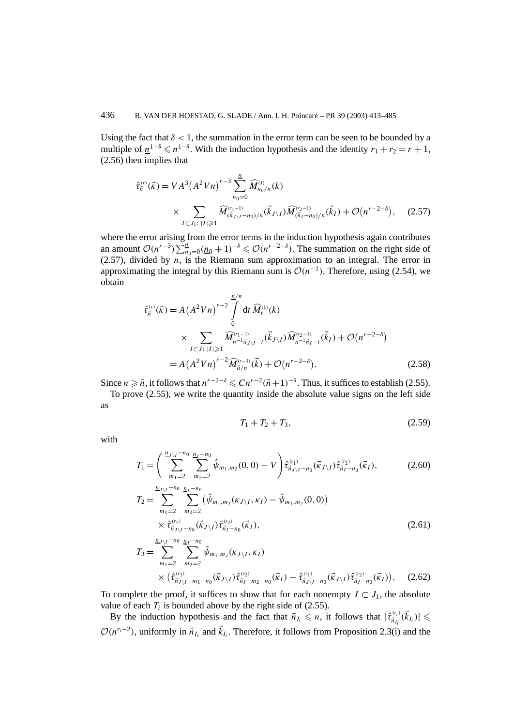Using the fact that  $\delta$  < 1, the summation in the error term can be seen to be bounded by a multiple of  $n^{1-\delta} \le n^{1-\delta}$ . With the induction hypothesis and the identity  $r_1 + r_2 = r + 1$ , (2.56) then implies that

$$
\hat{\tau}_{\vec{n}}^{(r)}(\vec{\kappa}) = V A^3 (A^2 V n)^{r-3} \sum_{n_0=0}^{n} \widehat{M}_{n_0/n}^{(1)}(k)
$$
  
 
$$
\times \sum_{I \subset J_1: \ |I| \ge 1} \widehat{M}_{(\vec{n}_{J \setminus I} - n_0)/n}^{(r_1 - 1)}(\vec{k}_{J \setminus I}) \widehat{M}_{(\vec{n}_{I} - n_0)/n}^{(r_2 - 1)}(\vec{k}_{I}) + \mathcal{O}(n^{r-2-\delta}), \quad (2.57)
$$

where the error arising from the error terms in the induction hypothesis again contributes an amount  $\mathcal{O}(n^{r-3}) \sum_{n=0}^{\infty} \frac{(n-1)}{n} (n-1)^{-\delta} \leq \mathcal{O}(n^{r-2-\delta})$ . The summation on the right side of (2.57), divided by *n*, is the Riemann sum approximation to an integral. The error in approximating the integral by this Riemann sum is  $O(n^{-1})$ . Therefore, using (2.54), we obtain

$$
\hat{\tau}_{\vec{n}}^{(r)}(\vec{\kappa}) = A (A^2 V n)^{r-2} \int_{0}^{\frac{n}{n}} dt \,\widehat{M}_{t}^{(1)}(k)
$$
\n
$$
\times \sum_{I \subset J: \; |I| \geqslant 1} \widehat{M}_{n-1}^{(r_{1}-1)} \widehat{\kappa}_{J \setminus I} \widehat{M}_{n-1}^{(r_{2}-1)} \widehat{\kappa}_{I} + \mathcal{O}(n^{r-2-\delta})
$$
\n
$$
= A (A^2 V n)^{r-2} \widehat{M}_{\vec{n}/n}^{(r-1)}(\vec{k}) + \mathcal{O}(n^{r-2-\delta}). \tag{2.58}
$$

Since  $n \geqslant \bar{n}$ , it follows that  $n^{r-2-\delta} \leqslant C n^{r-2} (\bar{n}+1)^{-\delta}$ . Thus, it suffices to establish (2.55).

To prove (2.55), we write the quantity inside the absolute value signs on the left side as

$$
T_1 + T_2 + T_3, \t\t(2.59)
$$

with

$$
T_1 = \left(\sum_{m_1=2}^{\frac{n_{J\setminus I} - n_0}{2}} \sum_{m_2=2}^{\frac{n_{J} - n_0}{2}} \hat{\psi}_{m_1, m_2}(0, 0) - V\right) \hat{\tau}_{\vec{n}_{J\setminus I} - n_0}^{(r_1)}(\vec{\kappa}_{J\setminus I}) \hat{\tau}_{\vec{n}_{I} - n_0}^{(r_2)}(\vec{\kappa}_{I}), \tag{2.60}
$$

$$
T_2 = \sum_{m_1=2}^{\frac{n_{J\setminus I} - n_0}{2}} \sum_{m_2=2}^{\frac{n_{J\setminus I} - n_0}{2}} (\hat{\psi}_{m_1, m_2}(\kappa_{J\setminus I}, \kappa_I) - \hat{\psi}_{m_1, m_2}(0, 0)) \times \hat{\tau}^{(r_1)}_{\vec{n}_{J\setminus I} - n_0}(\vec{\kappa}_{J\setminus I}) \hat{\tau}^{(r_2)}_{\vec{n}_I - n_0}(\vec{\kappa}_I),
$$
\n(2.61)

$$
T_3 = \sum_{m_1=2}^{\underline{n}_{J\setminus I} - n_0} \sum_{m_2=2}^{\underline{n}_{J\setminus I} - n_0} \hat{\psi}_{m_1, m_2}(\kappa_{J\setminus I}, \kappa_I) \times \left(\hat{\tau}_{\vec{n}_{J\setminus I} - m_1 - n_0}^{(\tau_1)}(\vec{\kappa}_{J\setminus I}) \hat{\tau}_{\vec{n}_I - m_2 - n_0}^{(\tau_2)}(\vec{\kappa}_I) - \hat{\tau}_{\vec{n}_{J\setminus I} - n_0}^{(\tau_1)}(\vec{\kappa}_{J\setminus I}) \hat{\tau}_{\vec{n}_I - n_0}^{(\tau_2)}(\vec{\kappa}_I) \right).
$$
 (2.62)

To complete the proof, it suffices to show that for each nonempty  $I \subset J_1$ , the absolute value of each  $T_i$  is bounded above by the right side of (2.55).

By the induction hypothesis and the fact that  $\bar{n}_{I_i} \leq n$ , it follows that  $|\hat{\tau}_{\bar{n}_{I_i}}^{(r_i)}(\vec{k}_{I_i})| \leq$  $O(n^{r_i-2})$ , uniformly in  $\vec{n}_{I_i}$  and  $\vec{k}_{I_i}$ . Therefore, it follows from Proposition 2.3(i) and the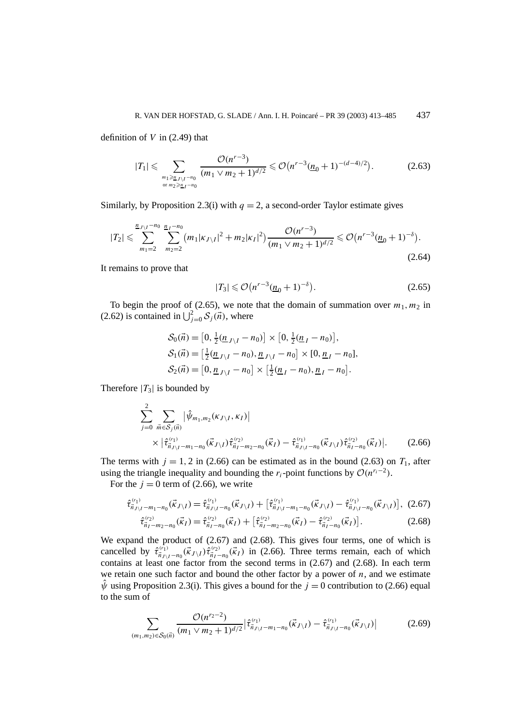definition of *V* in (2.49) that

$$
|T_1| \leqslant \sum_{\substack{m_1 \geqslant n_{J \setminus I^{-n_0}} \\ \text{or } m_2 \geqslant n_I - n_0}} \frac{\mathcal{O}(n^{r-3})}{(m_1 \vee m_2 + 1)^{d/2}} \leqslant \mathcal{O}(n^{r-3}(\underline{n}_0 + 1)^{-(d-4)/2}). \tag{2.63}
$$

Similarly, by Proposition 2.3(i) with  $q = 2$ , a second-order Taylor estimate gives

$$
|T_2| \leqslant \sum_{m_1=2}^{\frac{n}{2} \cdot \sqrt{1-n_0}} \sum_{m_2=2}^{\frac{n}{2} \cdot \sqrt{1-n_0}} (m_1 |\kappa_{J \setminus I}|^2 + m_2 |\kappa_I|^2) \frac{\mathcal{O}(n^{r-3})}{(m_1 \vee m_2 + 1)^{d/2}} \leqslant \mathcal{O}(n^{r-3} (\underline{n}_0 + 1)^{-\delta}). \tag{2.64}
$$

It remains to prove that

$$
|T_3| \leqslant \mathcal{O}\big(n^{r-3}(\underline{n}_0 + 1)^{-\delta}\big). \tag{2.65}
$$

To begin the proof of (2.65), we note that the domain of summation over  $m_1, m_2$  in (2.62) is contained in  $\bigcup_{j=0}^{2} S_j(\vec{n})$ , where

$$
\mathcal{S}_0(\vec{n}) = [0, \frac{1}{2}(\underline{n}_{J \setminus I} - n_0)] \times [0, \frac{1}{2}(\underline{n}_I - n_0)],
$$
  
\n
$$
\mathcal{S}_1(\vec{n}) = [\frac{1}{2}(\underline{n}_{J \setminus I} - n_0), \underline{n}_{J \setminus I} - n_0] \times [0, \underline{n}_I - n_0],
$$
  
\n
$$
\mathcal{S}_2(\vec{n}) = [0, \underline{n}_{J \setminus I} - n_0] \times [\frac{1}{2}(\underline{n}_I - n_0), \underline{n}_I - n_0].
$$

Therefore  $|T_3|$  is bounded by

$$
\sum_{j=0}^{2} \sum_{\vec{m} \in S_j(\vec{n})} |\hat{\psi}_{m_1, m_2}(\kappa_{J \setminus I}, \kappa_I)|
$$
\n
$$
\times |\hat{\tau}_{\vec{n}_{J \setminus I} - m_1 - n_0}^{(r_1)}(\vec{\kappa}_{J \setminus I}) \hat{\tau}_{\vec{n}_I - m_2 - n_0}^{(r_2)}(\vec{\kappa}_I) - \hat{\tau}_{\vec{n}_{J \setminus I} - n_0}^{(r_1)}(\vec{\kappa}_{J \setminus I}) \hat{\tau}_{\vec{n}_I - n_0}^{(r_2)}(\vec{\kappa}_I)|. \tag{2.66}
$$

The terms with  $j = 1, 2$  in (2.66) can be estimated as in the bound (2.63) on  $T_1$ , after using the triangle inequality and bounding the *r<sub>i</sub>*-point functions by  $\mathcal{O}(n^{r_i-2})$ .

For the  $j = 0$  term of (2.66), we write

$$
\hat{\tau}_{\vec{n}_{J\setminus I}-m_1-n_0}^{(r_1)}(\vec{\kappa}_{J\setminus I}) = \hat{\tau}_{\vec{n}_{J\setminus I}-n_0}^{(r_1)}(\vec{\kappa}_{J\setminus I}) + \left[\hat{\tau}_{\vec{n}_{J\setminus I}-m_1-n_0}^{(r_1)}(\vec{\kappa}_{J\setminus I}) - \hat{\tau}_{\vec{n}_{J\setminus I}-n_0}^{(r_1)}(\vec{\kappa}_{J\setminus I})\right], (2.67)
$$

$$
\hat{\tau}_{\vec{n}_I - m_2 - n_0}^{(r_2)}(\vec{\kappa}_I) = \hat{\tau}_{\vec{n}_I - n_0}^{(r_2)}(\vec{\kappa}_I) + \left[ \hat{\tau}_{\vec{n}_I - m_2 - n_0}^{(r_2)}(\vec{\kappa}_I) - \hat{\tau}_{\vec{n}_I - n_0}^{(r_2)}(\vec{\kappa}_I) \right].
$$
 (2.68)

We expand the product of (2.67) and (2.68). This gives four terms, one of which is cancelled by  $\hat{\tau}_{\vec{n}_{J\setminus I}-n_0}^{(r_1)}(\vec{k}_{J\setminus I})\hat{\tau}_{\vec{n}_I-n_0}^{(r_2)}(\vec{k}_I)$  in (2.66). Three terms remain, each of which contains at least one factor from the second terms in (2.67) and (2.68). In each term we retain one such factor and bound the other factor by a power of  $n$ , and we estimate  $\hat{\psi}$  using Proposition 2.3(i). This gives a bound for the  $j = 0$  contribution to (2.66) equal to the sum of

$$
\sum_{(m_1,m_2)\in\mathcal{S}_0(\vec{n})}\frac{\mathcal{O}(n^{r_2-2})}{(m_1\vee m_2+1)^{d/2}}\big|\hat{\tau}_{\vec{n}_{J\setminus I}-m_1-n_0}^{(r_1)}(\vec{\kappa}_{J\setminus I})-\hat{\tau}_{\vec{n}_{J\setminus I}-n_0}^{(r_1)}(\vec{\kappa}_{J\setminus I})\big|\tag{2.69}
$$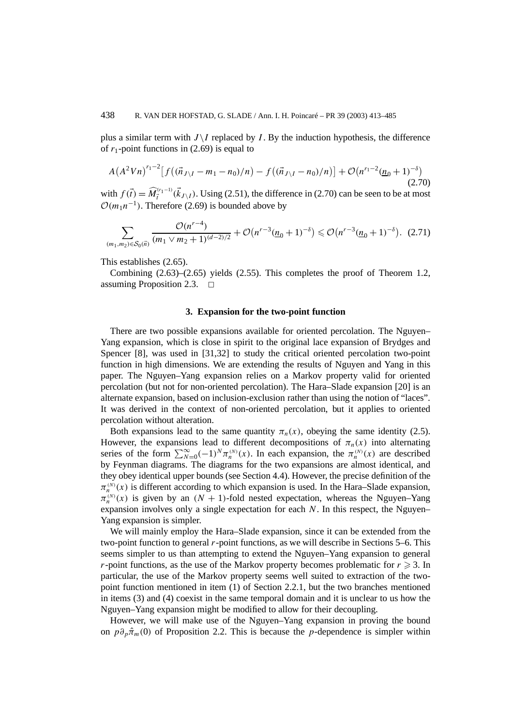plus a similar term with  $J \setminus I$  replaced by *I*. By the induction hypothesis, the difference of  $r_1$ -point functions in (2.69) is equal to

$$
A(A^2Vn)^{r_1-2}[f((\vec{n}_{J\setminus I}-m_1-n_0)/n)-f((\vec{n}_{J\setminus I}-n_0)/n)]+O(n^{r_1-2}(\underline{n}_0+1)^{-\delta})
$$
\n(2.70)

with  $f(\vec{t}) = \widehat{M}_{\vec{t}}^{(r_1-1)}(\vec{k}_{J \setminus I})$ . Using (2.51), the difference in (2.70) can be seen to be at most  $O(m_1n^{-1})$ . Therefore (2.69) is bounded above by

$$
\sum_{(m_1,m_2)\in\mathcal{S}_0(\vec{n})}\frac{\mathcal{O}(n^{r-4})}{(m_1\vee m_2+1)^{(d-2)/2}}+\mathcal{O}(n^{r-3}(\underline{n}_0+1)^{-\delta})\leq \mathcal{O}(n^{r-3}(\underline{n}_0+1)^{-\delta}).\tag{2.71}
$$

This establishes (2.65).

Combining (2.63)–(2.65) yields (2.55). This completes the proof of Theorem 1.2, assuming Proposition 2.3.  $\Box$ 

#### **3. Expansion for the two-point function**

There are two possible expansions available for oriented percolation. The Nguyen– Yang expansion, which is close in spirit to the original lace expansion of Brydges and Spencer [8], was used in [31,32] to study the critical oriented percolation two-point function in high dimensions. We are extending the results of Nguyen and Yang in this paper. The Nguyen–Yang expansion relies on a Markov property valid for oriented percolation (but not for non-oriented percolation). The Hara–Slade expansion [20] is an alternate expansion, based on inclusion-exclusion rather than using the notion of "laces". It was derived in the context of non-oriented percolation, but it applies to oriented percolation without alteration.

Both expansions lead to the same quantity  $\pi_n(x)$ , obeying the same identity (2.5). However, the expansions lead to different decompositions of  $\pi_n(x)$  into alternating series of the form  $\sum_{N=0}^{\infty} (-1)^N \pi_n^{(N)}(x)$ . In each expansion, the  $\pi_n^{(N)}(x)$  are described by Feynman diagrams. The diagrams for the two expansions are almost identical, and they obey identical upper bounds (see Section 4.4). However, the precise definition of the  $\pi_n^{(N)}(x)$  is different according to which expansion is used. In the Hara–Slade expansion,  $\pi_n^{(N)}(x)$  is given by an  $(N + 1)$ -fold nested expectation, whereas the Nguyen–Yang expansion involves only a single expectation for each *N*. In this respect, the Nguyen– Yang expansion is simpler.

We will mainly employ the Hara–Slade expansion, since it can be extended from the two-point function to general *r*-point functions, as we will describe in Sections 5–6. This seems simpler to us than attempting to extend the Nguyen–Yang expansion to general *r*-point functions, as the use of the Markov property becomes problematic for  $r \ge 3$ . In particular, the use of the Markov property seems well suited to extraction of the twopoint function mentioned in item (1) of Section 2.2.1, but the two branches mentioned in items (3) and (4) coexist in the same temporal domain and it is unclear to us how the Nguyen–Yang expansion might be modified to allow for their decoupling.

However, we will make use of the Nguyen–Yang expansion in proving the bound on  $p\partial_p\hat{\pi}_m(0)$  of Proposition 2.2. This is because the *p*-dependence is simpler within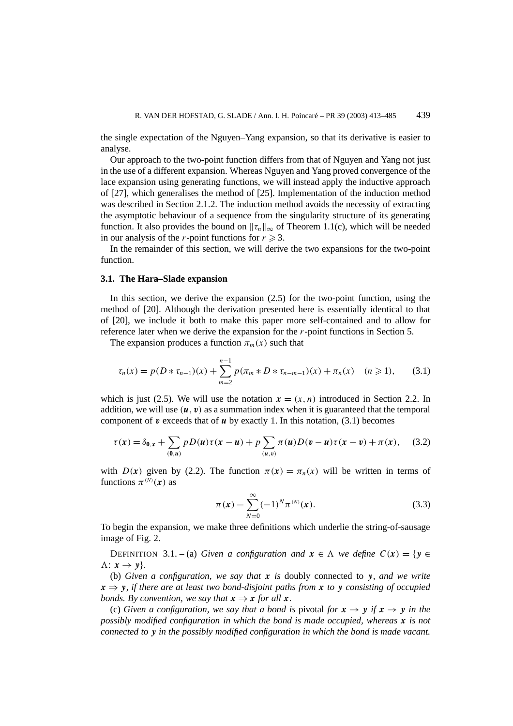the single expectation of the Nguyen–Yang expansion, so that its derivative is easier to analyse.

Our approach to the two-point function differs from that of Nguyen and Yang not just in the use of a different expansion. Whereas Nguyen and Yang proved convergence of the lace expansion using generating functions, we will instead apply the inductive approach of [27], which generalises the method of [25]. Implementation of the induction method was described in Section 2.1.2. The induction method avoids the necessity of extracting the asymptotic behaviour of a sequence from the singularity structure of its generating function. It also provides the bound on  $\|\tau_n\|_{\infty}$  of Theorem 1.1(c), which will be needed in our analysis of the *r*-point functions for  $r \ge 3$ .

In the remainder of this section, we will derive the two expansions for the two-point function.

#### **3.1. The Hara–Slade expansion**

In this section, we derive the expansion (2.5) for the two-point function, using the method of [20]. Although the derivation presented here is essentially identical to that of [20], we include it both to make this paper more self-contained and to allow for reference later when we derive the expansion for the *r*-point functions in Section 5.

The expansion produces a function  $\pi_m(x)$  such that

$$
\tau_n(x) = p(D * \tau_{n-1})(x) + \sum_{m=2}^{n-1} p(\pi_m * D * \tau_{n-m-1})(x) + \pi_n(x) \quad (n \geq 1), \qquad (3.1)
$$

which is just (2.5). We will use the notation  $x = (x, n)$  introduced in Section 2.2. In addition, we will use  $(u, v)$  as a summation index when it is guaranteed that the temporal component of  $v$  exceeds that of  $u$  by exactly 1. In this notation,  $(3.1)$  becomes

$$
\tau(x) = \delta_{0,x} + \sum_{(0,u)} p D(u) \tau(x-u) + p \sum_{(u,v)} \pi(u) D(v-u) \tau(x-v) + \pi(x), \quad (3.2)
$$

with *D(x)* given by (2.2). The function  $\pi(x) = \pi_n(x)$  will be written in terms of functions  $\pi^{(N)}(x)$  as

$$
\pi(\mathbf{x}) = \sum_{N=0}^{\infty} (-1)^N \pi^{(N)}(\mathbf{x}).
$$
\n(3.3)

To begin the expansion, we make three definitions which underlie the string-of-sausage image of Fig. 2.

**DEFINITION** 3.1. – (a) *Given a configuration and*  $\mathbf{x} \in \Lambda$  *we define*  $C(\mathbf{x}) = \{ \mathbf{y} \in \Lambda \mid \mathbf{x} \in \Lambda \mid \mathbf{y} \in \Lambda \}$  $\Lambda: x \rightarrow y$ }.

(b) *Given a configuration, we say that x is* doubly connected to *y, and we write*  $x \Rightarrow y$ *, if there are at least two bond-disjoint paths from x to y consisting of occupied bonds. By convention, we say that*  $x \Rightarrow x$  *for all*  $x$ *.* 

(c) *Given a configuration, we say that a bond is pivotal for*  $x \rightarrow y$  *if*  $x \rightarrow y$  *in the possibly modified configuration in which the bond is made occupied, whereas x is not connected to y in the possibly modified configuration in which the bond is made vacant.*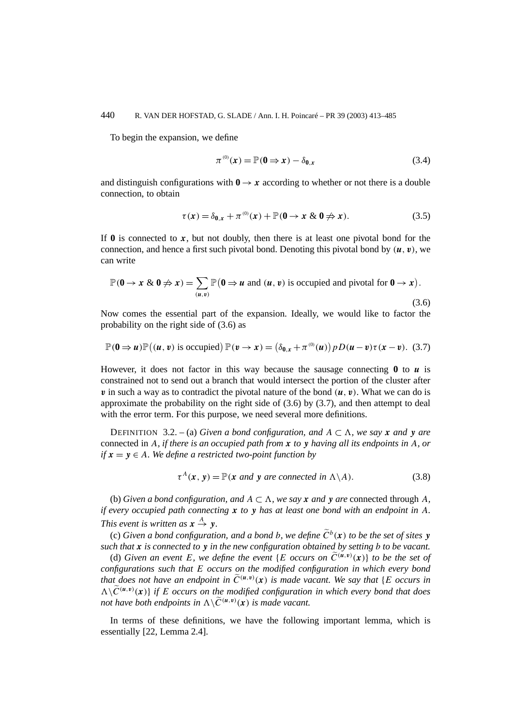To begin the expansion, we define

$$
\pi^{(0)}(x) = \mathbb{P}(\mathbf{0} \Rightarrow x) - \delta_{\mathbf{0},x} \tag{3.4}
$$

and distinguish configurations with  $0 \rightarrow x$  according to whether or not there is a double connection, to obtain

$$
\tau(x) = \delta_{0,x} + \pi^{(0)}(x) + \mathbb{P}(0 \to x \& 0 \neq x). \tag{3.5}
$$

If  $\bf{0}$  is connected to  $\bf{x}$ , but not doubly, then there is at least one pivotal bond for the connection, and hence a first such pivotal bond. Denoting this pivotal bond by  $(u, v)$ , we can write

$$
\mathbb{P}(\mathbf{0} \to x \& \mathbf{0} \nRightarrow x) = \sum_{(u,v)} \mathbb{P}(\mathbf{0} \Rightarrow u \text{ and } (u, v) \text{ is occupied and pivotal for } \mathbf{0} \to x).
$$
\n(3.6)

Now comes the essential part of the expansion. Ideally, we would like to factor the probability on the right side of (3.6) as

$$
\mathbb{P}(\mathbf{0}\Rightarrow\mathbf{u})\mathbb{P}((\mathbf{u},\mathbf{v})\text{ is occupied})\mathbb{P}(\mathbf{v}\rightarrow\mathbf{x})=\left(\delta_{\mathbf{0},\mathbf{x}}+\pi^{(0)}(\mathbf{u})\right)pD(\mathbf{u}-\mathbf{v})\tau(\mathbf{x}-\mathbf{v}).\tag{3.7}
$$

However, it does not factor in this way because the sausage connecting  $\bf{0}$  to  $\bf{u}$  is constrained not to send out a branch that would intersect the portion of the cluster after *v* in such a way as to contradict the pivotal nature of the bond  $(\boldsymbol{u}, \boldsymbol{v})$ . What we can do is approximate the probability on the right side of  $(3.6)$  by  $(3.7)$ , and then attempt to deal with the error term. For this purpose, we need several more definitions.

**DEFINITION** 3.2. – (a) *Given a bond configuration, and*  $A \subset \Lambda$ *, we say x and* **y** *are* connected in *A, if there is an occupied path from x to y having all its endpoints in A, or if*  $x = y \in A$ *. We define a restricted two-point function by* 

$$
\tau^{A}(\mathbf{x}, \mathbf{y}) = \mathbb{P}(\mathbf{x} \text{ and } \mathbf{y} \text{ are connected in } \Lambda \backslash A). \tag{3.8}
$$

(b) *Given a bond configuration, and*  $A \subset \Lambda$ *, we say x and y are* connected through *A, if every occupied path connecting x to y has at least one bond with an endpoint in A. This event is written as*  $x \stackrel{A}{\rightarrow} y$ *.* 

(c) *Given a bond configuration, and a bond b, we define*  $\widetilde{C}^b(\mathbf{x})$  *to be the set of sites y such that x is connected to y in the new configuration obtained by setting b to be vacant.*

(d) *Given an event E, we define the event* {*E occurs on*  $\widetilde{C}^{(u,v)}(\mathbf{x})$ } *to be the set of configurations such that E occurs on the modified configuration in which every bond that does not have an endpoint in*  $\tilde{C}^{(u,v)}(x)$  *is made vacant. We say that* {*E occurs in*  $\Delta\setminus\widetilde{C}^{(u,v)}(x)$  *if E occurs on the modified configuration in which every bond that does not have both endpoints in*  $\Lambda \backslash \widetilde{C}^{(u,v)}(\mathbf{x})$  *is made vacant.* 

In terms of these definitions, we have the following important lemma, which is essentially [22, Lemma 2.4].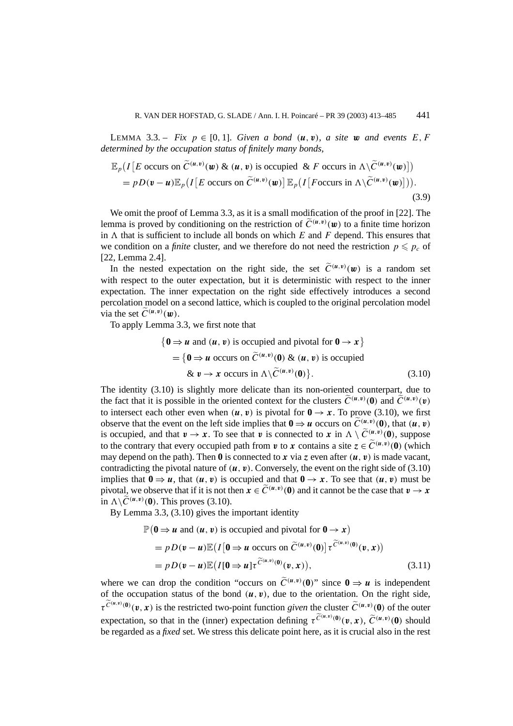LEMMA 3.3. – *Fix*  $p \in [0, 1]$ *. Given a bond*  $(\mathbf{u}, \mathbf{v})$ *, a site w and events*  $E, F$ *determined by the occupation status of finitely many bonds,*

$$
\mathbb{E}_p(I[E \text{ occurs on } \widetilde{C}^{(u,v)}(\boldsymbol{w}) \& (\boldsymbol{u}, \boldsymbol{v}) \text{ is occupied } \& F \text{ occurs in } \Lambda \setminus \widetilde{C}^{(u,v)}(\boldsymbol{w})]
$$
\n
$$
= p D(\boldsymbol{v} - \boldsymbol{u}) \mathbb{E}_p(I[E \text{ occurs on } \widetilde{C}^{(u,v)}(\boldsymbol{w})] \mathbb{E}_p(I[F \text{ occurs in } \Lambda \setminus \widetilde{C}^{(u,v)}(\boldsymbol{w})])\text{.}
$$
\n(3.9)

We omit the proof of Lemma 3.3, as it is a small modification of the proof in [22]. The lemma is proved by conditioning on the restriction of  $\tilde{C}^{(u,v)}(\mathbf{w})$  to a finite time horizon in  $\Lambda$  that is sufficient to include all bonds on which  $E$  and  $F$  depend. This ensures that we condition on a *finite* cluster, and we therefore do not need the restriction  $p \leq p_c$  of [22, Lemma 2.4].

In the nested expectation on the right side, the set  $\tilde{C}^{(u,v)}(w)$  is a random set with respect to the outer expectation, but it is deterministic with respect to the inner expectation. The inner expectation on the right side effectively introduces a second percolation model on a second lattice, which is coupled to the original percolation model via the set  $\widetilde{C}^{(u,v)}(w)$ .

To apply Lemma 3.3, we first note that

$$
\{0 \Rightarrow u \text{ and } (u, v) \text{ is occupied and pivotal for } 0 \rightarrow x\}
$$
  
=  $\{0 \Rightarrow u \text{ occurs on } \widetilde{C}^{(u,v)}(0) \& (u, v) \text{ is occupied} \& v \rightarrow x \text{ occurs in } \Lambda \setminus \widetilde{C}^{(u,v)}(0)\}.$  (3.10)

The identity (3.10) is slightly more delicate than its non-oriented counterpart, due to the fact that it is possible in the oriented context for the clusters  $\tilde{C}^{(u,v)}(0)$  and  $\tilde{C}^{(u,v)}(v)$ to intersect each other even when  $(\mathbf{u}, \mathbf{v})$  is pivotal for  $\mathbf{0} \to \mathbf{x}$ . To prove (3.10), we first observe that the event on the left side implies that  $0 \Rightarrow u$  occurs on  $\tilde{C}^{(u,v)}_{\sim} (0)$ , that  $(u, v)$ is occupied, and that  $v \to x$ . To see that *v* is connected to *x* in  $\Lambda \setminus \widetilde{C}^{(u,v)}_{\sim} (0)$ , suppose to the contrary that every occupied path from *v* to *x* contains a site  $z \in C^{(u,v)}(0)$  (which may depend on the path). Then  $\theta$  is connected to  $\boldsymbol{x}$  via  $\boldsymbol{z}$  even after  $(\boldsymbol{u}, \boldsymbol{v})$  is made vacant, contradicting the pivotal nature of  $(\mathbf{u}, \mathbf{v})$ . Conversely, the event on the right side of (3.10) implies that  $0 \Rightarrow u$ , that  $(u, v)$  is occupied and that  $0 \rightarrow x$ . To see that  $(u, v)$  must be pivotal, we observe that if it is not then  $x \in \widetilde{C}^{(u,v)}(0)$  and it cannot be the case that  $v \to x$ in  $\Lambda \backslash \widetilde{C}^{(u,v)}(0)$ . This proves (3.10).

By Lemma 3.3, (3.10) gives the important identity

P

$$
(0 \Rightarrow u \text{ and } (u, v) \text{ is occupied and pivotal for } 0 \to x)
$$
  
=  $pD(v - u)\mathbb{E}(I[0 \Rightarrow u \text{ occurs on } \widetilde{C}^{(u,v)}(0)] \tau^{\widetilde{C}^{(u,v)}(0)}(v, x))$   
=  $pD(v - u)\mathbb{E}(I[0 \Rightarrow u] \tau^{\widetilde{C}^{(u,v)}(0)}(v, x)),$  (3.11)

where we can drop the condition "occurs on  $\tilde{C}^{(u,v)}(0)$ " since  $0 \Rightarrow u$  is independent of the occupation status of the bond  $(u, v)$ , due to the orientation. On the right side,  $\tau^{\widetilde{C}^{(u,v)}(0)}(v,x)$  is the restricted two-point function given the cluster  $\widetilde{C}^{(u,v)}(0)$  of the outer expectation, so that in the (inner) expectation defining  $\tau^{\widetilde{C}^{(u,v)}(0)}(\nu, x)$ ,  $\widetilde{C}^{(u,v)}(0)$  should be regarded as a *fixed* set. We stress this delicate point here, as it is crucial also in the rest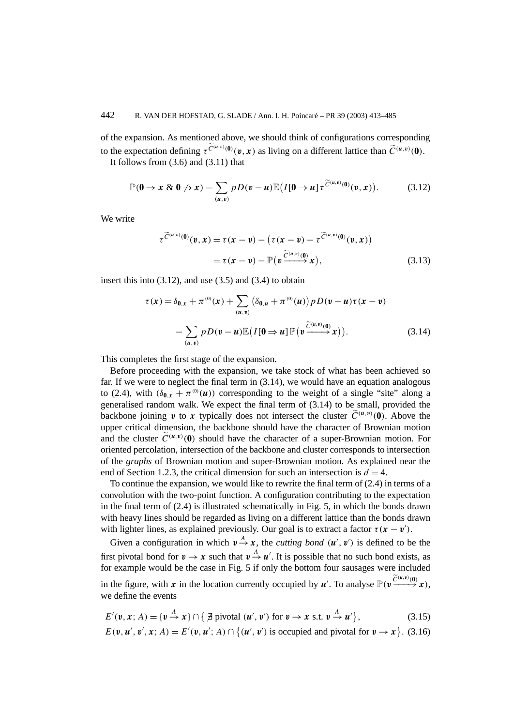of the expansion. As mentioned above, we should think of configurations corresponding to the expectation defining  $\tau^{\widetilde{C}^{(u,v)}(0)}(\nu, x)$  as living on a different lattice than  $\widetilde{C}^{(u,v)}(0)$ . It follows from  $(3.6)$  and  $(3.11)$  that

$$
\mathbb{P}(0 \to x \& 0 \nRightarrow x) = \sum_{(u,v)} p D(v-u) \mathbb{E}\big(I[0 \to u] \tau^{\widetilde{C}^{(u,v)}(0)}(v,x)\big). \tag{3.12}
$$

We write

$$
\tau^{\widetilde{C}^{(u,v)}(0)}(v,x) = \tau(x-v) - \left(\tau(x-v) - \tau^{\widetilde{C}^{(u,v)}(0)}(v,x)\right)
$$

$$
= \tau(x-v) - \mathbb{P}\left(v^{\widetilde{C}^{(u,v)}(0)}(x)\right), \tag{3.13}
$$

insert this into  $(3.12)$ , and use  $(3.5)$  and  $(3.4)$  to obtain

$$
\tau(\mathbf{x}) = \delta_{\mathbf{0}, \mathbf{x}} + \pi^{(0)}(\mathbf{x}) + \sum_{(\mathbf{u}, \mathbf{v})} \left( \delta_{\mathbf{0}, \mathbf{u}} + \pi^{(0)}(\mathbf{u}) \right) p D(\mathbf{v} - \mathbf{u}) \tau(\mathbf{x} - \mathbf{v})
$$

$$
- \sum_{(\mathbf{u}, \mathbf{v})} p D(\mathbf{v} - \mathbf{u}) \mathbb{E} \left( I[\mathbf{0} \Rightarrow \mathbf{u}] \mathbb{P} \left( \mathbf{v} \xrightarrow{\widetilde{C}^{(\mathbf{u}, \mathbf{v})}(\mathbf{0})} \mathbf{x} \right) \right). \tag{3.14}
$$

This completes the first stage of the expansion.

Before proceeding with the expansion, we take stock of what has been achieved so far. If we were to neglect the final term in (3.14), we would have an equation analogous to (2.4), with  $(\delta_{0,x} + \pi^{(0)}(u))$  corresponding to the weight of a single "site" along a generalised random walk. We expect the final term of (3.14) to be small, provided the backbone joining  $v$  to  $x$  typically does not intersect the cluster  $\tilde{C}^{(u,v)}(0)$ . Above the upper critical dimension, the backbone should have the character of Brownian motion and the cluster  $\tilde{C}^{(u,v)}(0)$  should have the character of a super-Brownian motion. For oriented percolation, intersection of the backbone and cluster corresponds to intersection of the *graphs* of Brownian motion and super-Brownian motion. As explained near the end of Section 1.2.3, the critical dimension for such an intersection is  $d = 4$ .

To continue the expansion, we would like to rewrite the final term of (2.4) in terms of a convolution with the two-point function. A configuration contributing to the expectation in the final term of (2.4) is illustrated schematically in Fig. 5, in which the bonds drawn with heavy lines should be regarded as living on a different lattice than the bonds drawn with lighter lines, as explained previously. Our goal is to extract a factor  $\tau(\mathbf{x} - \mathbf{v}')$ .

Given a configuration in which  $v \stackrel{A}{\rightarrow} x$ , the *cutting bond*  $(u', v')$  is defined to be the first pivotal bond for  $v \to x$  such that  $v \stackrel{A}{\to} u'$ . It is possible that no such bond exists, as for example would be the case in Fig. 5 if only the bottom four sausages were included in the figure, with *x* in the location currently occupied by *u'*. To analyse  $\mathbb{P}(v \xrightarrow{\widetilde{C}^{(u,v)}(0)} x)$ , we define the events

$$
E'(\mathbf{v}, \mathbf{x}; A) = \{ \mathbf{v} \stackrel{A}{\rightarrow} \mathbf{x} \} \cap \{ \nexists \text{ pivotal } (\mathbf{u}', \mathbf{v}') \text{ for } \mathbf{v} \to \mathbf{x} \text{ s.t. } \mathbf{v} \stackrel{A}{\rightarrow} \mathbf{u}' \},
$$
\n(3.15)\n
$$
E(\mathbf{v}, \mathbf{u}', \mathbf{v}', \mathbf{x}; A) = E'(\mathbf{v}, \mathbf{u}'; A) \cap \{ (\mathbf{u}', \mathbf{v}') \text{ is occupied and pivotal for } \mathbf{v} \to \mathbf{x} \}.
$$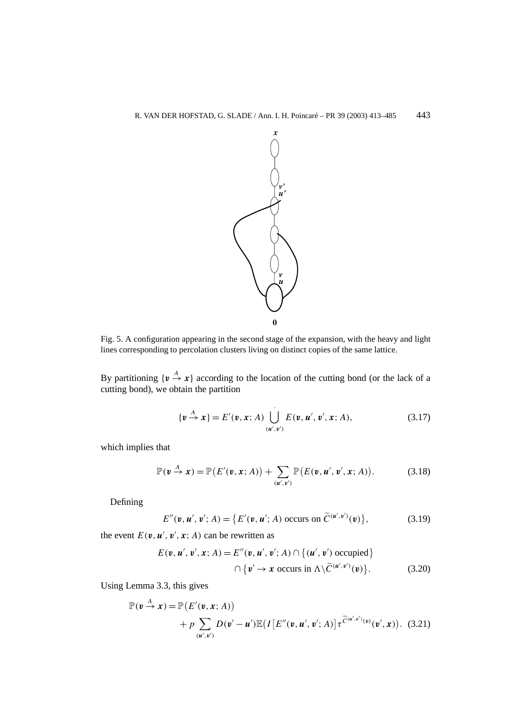

Fig. 5. A configuration appearing in the second stage of the expansion, with the heavy and light lines corresponding to percolation clusters living on distinct copies of the same lattice.

By partitioning  $\{v \stackrel{A}{\rightarrow} x\}$  according to the location of the cutting bond (or the lack of a cutting bond), we obtain the partition

$$
\{\mathbf{v} \stackrel{A}{\to} \mathbf{x}\} = E'(\mathbf{v}, \mathbf{x}; A) \bigcup_{(\mathbf{u}', \mathbf{v}')}^{\qquad \qquad} E(\mathbf{v}, \mathbf{u}', \mathbf{v}', \mathbf{x}; A), \tag{3.17}
$$

which implies that

$$
\mathbb{P}(\mathbf{v} \stackrel{A}{\to} \mathbf{x}) = \mathbb{P}\big(E'(\mathbf{v}, \mathbf{x}; A)\big) + \sum_{(\mathbf{u}', \mathbf{v}')} \mathbb{P}\big(E(\mathbf{v}, \mathbf{u}', \mathbf{v}', \mathbf{x}; A)\big). \tag{3.18}
$$

Defining

$$
E''(\mathbf{v}, \mathbf{u}', \mathbf{v}'; A) = \{ E'(\mathbf{v}, \mathbf{u}'; A) \text{ occurs on } \widetilde{C}^{(\mathbf{u}', \mathbf{v}')}(\mathbf{v}) \},\tag{3.19}
$$

the event  $E(\mathbf{v}, \mathbf{u}', \mathbf{v}', \mathbf{x}; A)$  can be rewritten as

$$
E(\mathbf{v}, \mathbf{u}', \mathbf{v}', \mathbf{x}; A) = E''(\mathbf{v}, \mathbf{u}', \mathbf{v}'; A) \cap \{(\mathbf{u}', \mathbf{v}') \text{ occupied}\}\
$$

$$
\cap \{\mathbf{v}' \to \mathbf{x} \text{ occurs in } \Lambda \setminus \widetilde{C}^{(\mathbf{u}', \mathbf{v}')}(\mathbf{v})\}. \tag{3.20}
$$

Using Lemma 3.3, this gives

$$
\mathbb{P}(\mathbf{v} \stackrel{A}{\rightarrow} \mathbf{x}) = \mathbb{P}\big(E'(\mathbf{v}, \mathbf{x}; A)\big) \n+ p \sum_{(\mathbf{u}', \mathbf{v}')} D(\mathbf{v}' - \mathbf{u}') \mathbb{E}\big(I\big[E''(\mathbf{v}, \mathbf{u}', \mathbf{v}'; A)\big]\tau^{\widetilde{C}(\mathbf{u}', \mathbf{v}')}(\mathbf{v}', \mathbf{x})\big). (3.21)
$$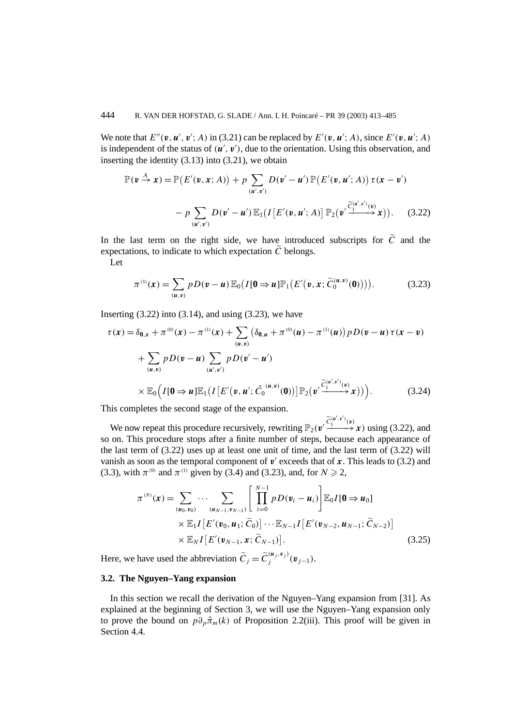We note that  $E''(\mathbf{v}, \mathbf{u}', \mathbf{v}'; A)$  in (3.21) can be replaced by  $E'(\mathbf{v}, \mathbf{u}'; A)$ , since  $E'(\mathbf{v}, \mathbf{u}'; A)$ is independent of the status of  $(u', v')$ , due to the orientation. Using this observation, and inserting the identity (3.13) into (3.21), we obtain

$$
\mathbb{P}(\mathbf{v} \stackrel{A}{\rightarrow} \mathbf{x}) = \mathbb{P}\big(E'(\mathbf{v}, \mathbf{x}; A)\big) + p \sum_{(\mathbf{u}', \mathbf{v}')} D(\mathbf{v}' - \mathbf{u}') \mathbb{P}\big(E'(\mathbf{v}, \mathbf{u}'; A)\big) \tau(\mathbf{x} - \mathbf{v}') - p \sum_{(\mathbf{u}', \mathbf{v}')} D(\mathbf{v}' - \mathbf{u}') \mathbb{E}_1\big(I\big[E'(\mathbf{v}, \mathbf{u}'; A)\big] \mathbb{P}_2\big(\mathbf{v}' \xrightarrow{\widetilde{C}_1^{(\mathbf{u}', \mathbf{v}')}(\mathbf{v})} \mathbf{x}\big)\big). \tag{3.22}
$$

In the last term on the right side, we have introduced subscripts for  $\tilde{C}$  and the expectations, to indicate to which expectation  $\tilde{C}$  belongs.

Let

$$
\pi^{(1)}(\boldsymbol{x}) = \sum_{(\boldsymbol{u},\boldsymbol{v})} p D(\boldsymbol{v} - \boldsymbol{u}) \mathbb{E}_{0} (I[\boldsymbol{0} \Rightarrow \boldsymbol{u}] \mathbb{P}_{1} (E'(\boldsymbol{v}, \boldsymbol{x}; \widetilde{C}_{0}^{(\boldsymbol{u}, \boldsymbol{v})}(\boldsymbol{0}))) ). \tag{3.23}
$$

Inserting  $(3.22)$  into  $(3.14)$ , and using  $(3.23)$ , we have

$$
\tau(\mathbf{x}) = \delta_{0,\mathbf{x}} + \pi^{(0)}(\mathbf{x}) - \pi^{(1)}(\mathbf{x}) + \sum_{(u,v)} (\delta_{0,u} + \pi^{(0)}(u) - \pi^{(1)}(u)) pD(\mathbf{v} - \mathbf{u}) \tau(\mathbf{x} - \mathbf{v}) \n+ \sum_{(u,v)} pD(\mathbf{v} - \mathbf{u}) \sum_{(u',v')} pD(\mathbf{v}' - \mathbf{u}') \n\times \mathbb{E}_0 \Big( I[\mathbf{0} \Rightarrow \mathbf{u}] \mathbb{E}_1 \big( I\big[E'(\mathbf{v}, \mathbf{u}'; \tilde{C}_0^{(u,v)}(\mathbf{0}))\big] \mathbb{P}_2 \big(\mathbf{v}' \frac{\tilde{C}_1^{(u',v')}(\mathbf{v})}{\tilde{C}_1^{(u',v')}(\mathbf{v})} \mathbf{x} \big) \big) \Big). \tag{3.24}
$$

This completes the second stage of the expansion.

We now repeat this procedure recursively, rewriting  $\mathbb{P}_2(\mathbf{v}' \xrightarrow{\widetilde{C}_1^{(\mathbf{u}',\mathbf{v}')}(\mathbf{v})} \mathbf{x})$  using (3.22), and so on. This procedure stops after a finite number of steps, because each appearance of the last term of (3.22) uses up at least one unit of time, and the last term of (3.22) will vanish as soon as the temporal component of  $v'$  exceeds that of  $x$ . This leads to (3.2) and (3.3), with  $\pi^{(0)}$  and  $\pi^{(1)}$  given by (3.4) and (3.23), and, for  $N \ge 2$ ,

$$
\pi^{(N)}(\mathbf{x}) = \sum_{(\mathbf{u}_0, \mathbf{v}_0)} \cdots \sum_{(\mathbf{u}_{N-1}, \mathbf{v}_{N-1})} \left[ \prod_{i=0}^{N-1} p D(\mathbf{v}_i - \mathbf{u}_i) \right] \mathbb{E}_0 I[\mathbf{0} \Rightarrow \mathbf{u}_0] \times \mathbb{E}_1 I[E'(\mathbf{v}_0, \mathbf{u}_1; \widetilde{C}_0)] \cdots \mathbb{E}_{N-1} I[E'(\mathbf{v}_{N-2}, \mathbf{u}_{N-1}; \widetilde{C}_{N-2})] \times \mathbb{E}_N I[E'(\mathbf{v}_{N-1}, \mathbf{x}; \widetilde{C}_{N-1})].
$$
\n(3.25)

Here, we have used the abbreviation  $\widetilde{C}_j = \widetilde{C}_j^{(\mathbf{u}_j, \mathbf{v}_j)}(\mathbf{v}_{j-1}).$ 

# **3.2. The Nguyen–Yang expansion**

In this section we recall the derivation of the Nguyen–Yang expansion from [31]. As explained at the beginning of Section 3, we will use the Nguyen–Yang expansion only to prove the bound on  $p\partial_p\hat{\pi}_m(k)$  of Proposition 2.2(iii). This proof will be given in Section 4.4.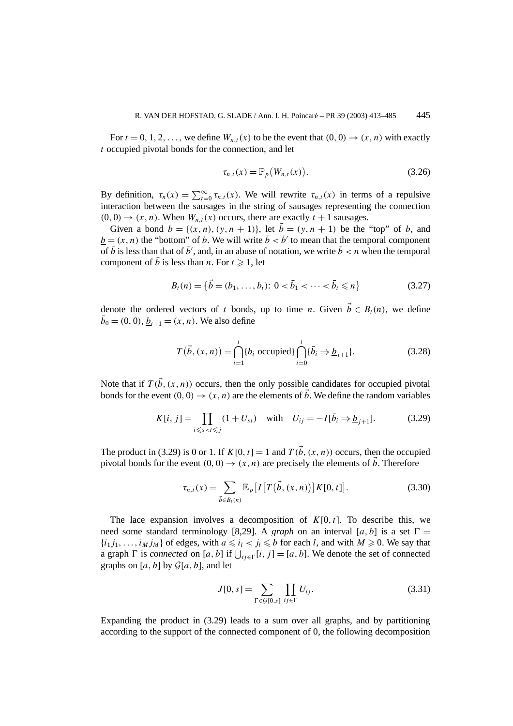For  $t = 0, 1, 2, \ldots$ , we define  $W_{n,t}(x)$  to be the event that  $(0, 0) \rightarrow (x, n)$  with exactly *t* occupied pivotal bonds for the connection, and let

$$
\tau_{n,t}(x) = \mathbb{P}_p\big(W_{n,t}(x)\big). \tag{3.26}
$$

By definition,  $\tau_n(x) = \sum_{t=0}^{\infty} \tau_{n,t}(x)$ . We will rewrite  $\tau_{n,t}(x)$  in terms of a repulsive interaction between the sausages in the string of sausages representing the connection  $(0, 0) \rightarrow (x, n)$ . When  $W_{n,t}(x)$  occurs, there are exactly  $t + 1$  sausages.

Given a bond  $b = \{(x, n), (y, n + 1)\}\)$ , let  $\bar{b} = (y, n + 1)$  be the "top" of *b*, and  $b = (x, n)$  the "bottom" of *b*. We will write  $\bar{b} < \bar{b}'$  to mean that the temporal component of  $\bar{b}$  is less than that of  $\bar{b}'$ , and, in an abuse of notation, we write  $\bar{b} < n$  when the temporal component of  $\bar{b}$  is less than *n*. For  $t \ge 1$ , let

$$
B_t(n) = \{ \vec{b} = (b_1, \dots, b_t) \colon 0 < \bar{b}_1 < \dots < \bar{b}_t \leq n \}
$$
\n(3.27)

denote the ordered vectors of *t* bonds, up to time *n*. Given  $\vec{b} \in B_r(n)$ , we define  $\bar{b}_0 = (0, 0), \underline{b}_{t+1} = (x, n)$ . We also define

$$
T(\vec{b}, (x, n)) = \bigcap_{i=1}^{t} \{b_i \text{ occupied}\} \bigcap_{i=0}^{t} \{\bar{b}_i \Rightarrow \underline{b}_{i+1}\}.
$$
 (3.28)

Note that if  $T(\vec{b}, (x, n))$  occurs, then the only possible candidates for occupied pivotal bonds for the event  $(0, 0) \rightarrow (x, n)$  are the elements of  $\vec{b}$ . We define the random variables

$$
K[i, j] = \prod_{i \leq s < t \leq j} (1 + U_{st}) \quad \text{with} \quad U_{ij} = -I[\bar{b}_i \Rightarrow \underline{b}_{j+1}]. \tag{3.29}
$$

The product in (3.29) is 0 or 1. If  $K[0, t] = 1$  and  $T(\vec{b}, (x, n))$  occurs, then the occupied pivotal bonds for the event  $(0, 0) \rightarrow (x, n)$  are precisely the elements of *b*. Therefore

$$
\tau_{n,t}(x) = \sum_{\vec{b} \in B_t(n)} \mathbb{E}_p[I[T(\vec{b}, (x, n))] K[0, t]]. \qquad (3.30)
$$

The lace expansion involves a decomposition of  $K[0, t]$ . To describe this, we need some standard terminology [8,29]. A *graph* on an interval [a, b] is a set  $\Gamma =$  $\{i_1 j_1, \ldots, i_M j_M\}$  of edges, with  $a \leq i_l < j_l \leq b$  for each *l*, and with  $M \geq 0$ . We say that a graph *F* is *connected* on [*a*, *b*] if  $\bigcup_{ij \in \Gamma} [i, j] = [a, b]$ . We denote the set of connected graphs on  $[a, b]$  by  $\mathcal{G}[a, b]$ , and let

$$
J[0, s] = \sum_{\Gamma \in \mathcal{G}[0, s]} \prod_{ij \in \Gamma} U_{ij}.
$$
 (3.31)

Expanding the product in (3.29) leads to a sum over all graphs, and by partitioning according to the support of the connected component of 0, the following decomposition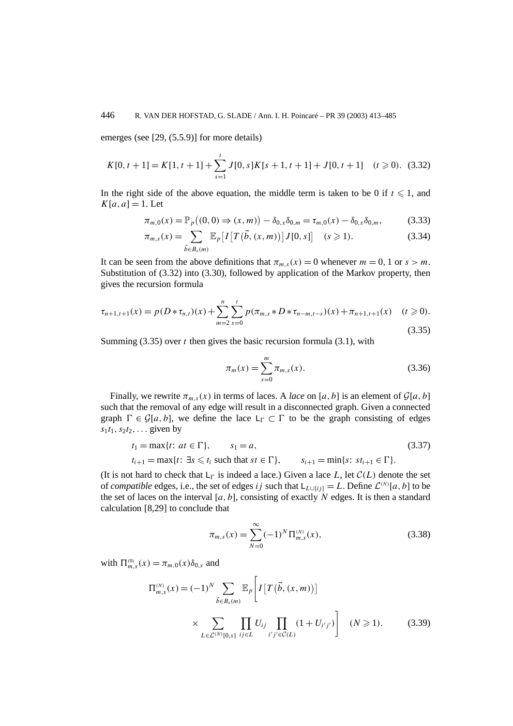## 446 R. VAN DER HOFSTAD, G. SLADE / Ann. I. H. Poincaré – PR 39 (2003) 413–485

emerges (see [29, (5.5.9)] for more details)

$$
K[0, t+1] = K[1, t+1] + \sum_{s=1}^{t} J[0, s]K[s+1, t+1] + J[0, t+1] \quad (t \ge 0). \tag{3.32}
$$

In the right side of the above equation, the middle term is taken to be 0 if  $t \leq 1$ , and  $K[a, a] = 1$ . Let

$$
\pi_{m,0}(x) = \mathbb{P}_p((0,0) \Rightarrow (x,m)) - \delta_{0,x}\delta_{0,m} = \tau_{m,0}(x) - \delta_{0,x}\delta_{0,m},
$$
\n(3.33)

$$
\pi_{m,s}(x) = \sum_{\vec{b} \in B_s(m)} \mathbb{E}_p[I[T(\vec{b}, (x, m))]J[0, s]] \quad (s \ge 1).
$$
 (3.34)

It can be seen from the above definitions that  $\pi_{m,s}(x) = 0$  whenever  $m = 0, 1$  or  $s > m$ . Substitution of (3.32) into (3.30), followed by application of the Markov property, then gives the recursion formula

$$
\tau_{n+1,t+1}(x) = p(D * \tau_{n,t})(x) + \sum_{m=2}^{n} \sum_{s=0}^{t} p(\pi_{m,s} * D * \tau_{n-m,t-s})(x) + \pi_{n+1,t+1}(x) \quad (t \ge 0).
$$
\n(3.35)

Summing (3.35) over *t* then gives the basic recursion formula (3.1), with

$$
\pi_m(x) = \sum_{s=0}^m \pi_{m,s}(x).
$$
\n(3.36)

Finally, we rewrite  $\pi_{m,s}(x)$  in terms of laces. A *lace* on [*a*, *b*] is an element of  $\mathcal{G}[a, b]$ such that the removal of any edge will result in a disconnected graph. Given a connected graph  $\Gamma \in \mathcal{G}[a, b]$ , we define the lace  $L_{\Gamma} \subset \Gamma$  to be the graph consisting of edges  $s_1t_1, s_2t_2, \ldots$  given by

$$
t_1 = \max\{t: at \in \Gamma\}, \qquad s_1 = a,
$$
  
\n
$$
t_{i+1} = \max\{t: \exists s \le t_i \text{ such that } st \in \Gamma\}, \qquad s_{i+1} = \min\{s: st_{i+1} \in \Gamma\}.
$$
\n(3.37)

(It is not hard to check that  $L_F$  is indeed a lace.) Given a lace L, let  $C(L)$  denote the set of *compatible* edges, i.e., the set of edges *ij* such that  $L_{L\cup\{i,j\}} = L$ . Define  $\mathcal{L}^{(N)}[a, b]$  to be the set of laces on the interval  $[a, b]$ , consisting of exactly N edges. It is then a standard calculation [8,29] to conclude that

$$
\pi_{m,s}(x) = \sum_{N=0}^{\infty} (-1)^N \Pi_{m,s}^{(N)}(x),
$$
\n(3.38)

with  $\Pi_{m,s}^{(0)}(x) = \pi_{m,0}(x)\delta_{0,s}$  and

$$
\Pi_{m,s}^{(N)}(x) = (-1)^N \sum_{\vec{b} \in B_s(m)} \mathbb{E}_p \left[ I \left[ T(\vec{b}, (x, m)) \right] \times \sum_{L \in \mathcal{L}^{(N)}[0, s]} \prod_{ij \in L} U_{ij} \prod_{i'j' \in \mathcal{C}(L)} (1 + U_{i'j'}) \right] \quad (N \ge 1).
$$
 (3.39)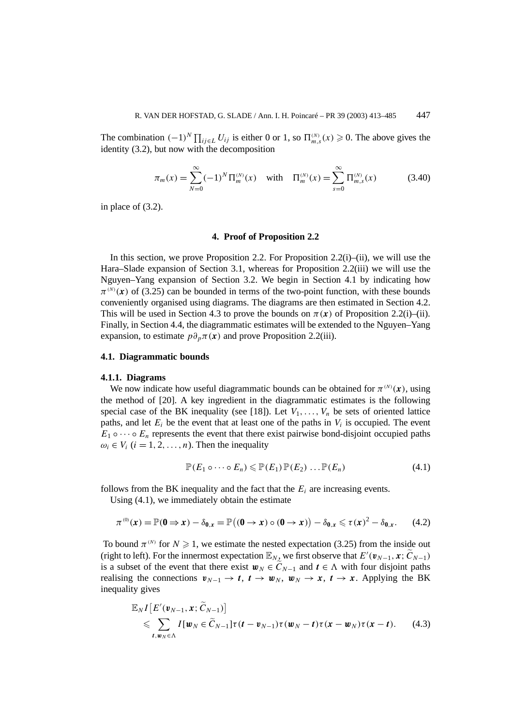The combination  $(-1)^N \prod_{ij \in L} U_{ij}$  is either 0 or 1, so  $\prod_{m,s}^{(N)}(x) \ge 0$ . The above gives the identity (3.2), but now with the decomposition

$$
\pi_m(x) = \sum_{N=0}^{\infty} (-1)^N \Pi_m^{(N)}(x) \quad \text{with} \quad \Pi_m^{(N)}(x) = \sum_{s=0}^{\infty} \Pi_{m,s}^{(N)}(x) \tag{3.40}
$$

in place of (3.2).

#### **4. Proof of Proposition 2.2**

In this section, we prove Proposition 2.2. For Proposition 2.2(i)–(ii), we will use the Hara–Slade expansion of Section 3.1, whereas for Proposition 2.2(iii) we will use the Nguyen–Yang expansion of Section 3.2. We begin in Section 4.1 by indicating how  $\pi^{(N)}(x)$  of (3.25) can be bounded in terms of the two-point function, with these bounds conveniently organised using diagrams. The diagrams are then estimated in Section 4.2. This will be used in Section 4.3 to prove the bounds on  $\pi(x)$  of Proposition 2.2(i)–(ii). Finally, in Section 4.4, the diagrammatic estimates will be extended to the Nguyen–Yang expansion, to estimate  $p\partial_p \pi(x)$  and prove Proposition 2.2(iii).

#### **4.1. Diagrammatic bounds**

#### **4.1.1. Diagrams**

We now indicate how useful diagrammatic bounds can be obtained for  $\pi^{(N)}(x)$ , using the method of [20]. A key ingredient in the diagrammatic estimates is the following special case of the BK inequality (see [18]). Let  $V_1, \ldots, V_n$  be sets of oriented lattice paths, and let  $E_i$  be the event that at least one of the paths in  $V_i$  is occupied. The event  $E_1 \circ \cdots \circ E_n$  represents the event that there exist pairwise bond-disjoint occupied paths  $\omega_i \in V_i$  ( $i = 1, 2, \ldots, n$ ). Then the inequality

$$
\mathbb{P}(E_1 \circ \cdots \circ E_n) \leqslant \mathbb{P}(E_1) \mathbb{P}(E_2) \dots \mathbb{P}(E_n)
$$
\n(4.1)

follows from the BK inequality and the fact that the  $E_i$  are increasing events.

Using (4.1), we immediately obtain the estimate

$$
\pi^{(0)}(x) = \mathbb{P}(\mathbf{0} \Rightarrow x) - \delta_{\mathbf{0},x} = \mathbb{P}\left((\mathbf{0} \to x) \circ (\mathbf{0} \to x)\right) - \delta_{\mathbf{0},x} \leq \tau(x)^2 - \delta_{\mathbf{0},x}.\tag{4.2}
$$

To bound  $\pi^{(N)}$  for  $N \geq 1$ , we estimate the nested expectation (3.25) from the inside out (right to left). For the innermost expectation  $\mathbb{E}_{N_\infty}$  we first observe that  $E'(\mathbf{v}_{N-1}, \mathbf{x}; \widetilde{C}_{N-1})$ is a subset of the event that there exist  $w_N \in \widetilde{C}_{N-1}$  and  $t \in \Lambda$  with four disjoint paths realising the connections  $v_{N-1} \to t$ ,  $t \to w_N$ ,  $w_N \to x$ ,  $t \to x$ . Applying the BK inequality gives

$$
\mathbb{E}_{N} I\left[E'(\boldsymbol{v}_{N-1}, \boldsymbol{x}; \widetilde{\boldsymbol{C}}_{N-1})\right] \leq \sum_{t, \boldsymbol{w}_{N} \in \Lambda} I[\boldsymbol{w}_{N} \in \widetilde{\boldsymbol{C}}_{N-1}] \tau(t - \boldsymbol{v}_{N-1}) \tau(\boldsymbol{w}_{N} - t) \tau(\boldsymbol{x} - \boldsymbol{w}_{N}) \tau(\boldsymbol{x} - t). \tag{4.3}
$$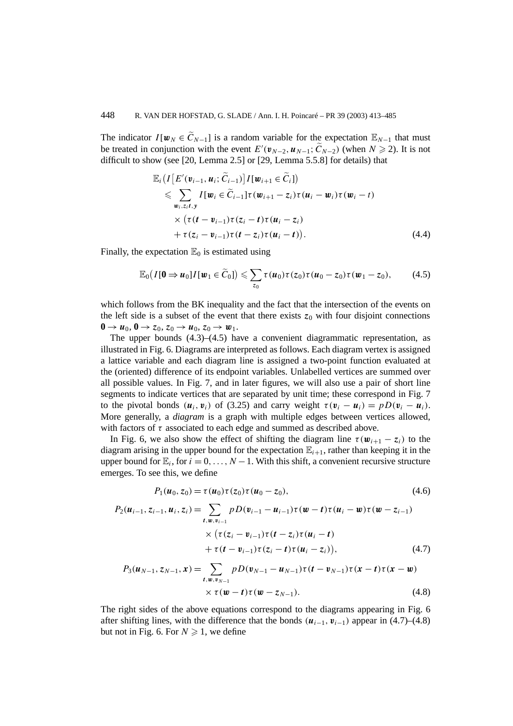The indicator  $I[w_N \in \widetilde{C}_{N-1}]$  is a random variable for the expectation  $\mathbb{E}_{N-1}$  that must be treated in conjunction with the event  $E'(\mathbf{v}_{N-2}, \mathbf{u}_{N-1}; \widetilde{C}_{N-2})$  (when  $N \ge 2$ ). It is not difficult to show (see [20, Lemma 2.5] or [29, Lemma 5.5.8] for details) that

$$
\mathbb{E}_{i}\big(I\big[E'(\mathbf{v}_{i-1}, \mathbf{u}_{i}; \widetilde{C}_{i-1})\big]I[\mathbf{w}_{i+1} \in \widetilde{C}_{i}]\big) \n\leq \sum_{\mathbf{w}_{i}, z_{i}t, y} I[\mathbf{w}_{i} \in \widetilde{C}_{i-1}]\tau(\mathbf{w}_{i+1} - z_{i})\tau(\mathbf{u}_{i} - \mathbf{w}_{i})\tau(\mathbf{w}_{i} - t) \n\times \big(\tau(t - \mathbf{v}_{i-1})\tau(z_{i} - t)\tau(\mathbf{u}_{i} - z_{i}) \n+ \tau(z_{i} - \mathbf{v}_{i-1})\tau(t - z_{i})\tau(\mathbf{u}_{i} - t)\big).
$$
\n(4.4)

Finally, the expectation  $\mathbb{E}_0$  is estimated using

$$
\mathbb{E}_0(I[\mathbf{0}\Rightarrow\boldsymbol{u}_0]I[\boldsymbol{w}_1\in\widetilde{C}_0])\leqslant\sum_{z_0}\tau(\boldsymbol{u}_0)\tau(z_0)\tau(\boldsymbol{u}_0-z_0)\tau(\boldsymbol{w}_1-z_0),\qquad(4.5)
$$

which follows from the BK inequality and the fact that the intersection of the events on the left side is a subset of the event that there exists  $z_0$  with four disjoint connections  $\mathbf{0} \rightarrow \mathbf{u}_0$ ,  $\mathbf{0} \rightarrow z_0$ ,  $z_0 \rightarrow \mathbf{u}_0$ ,  $z_0 \rightarrow \mathbf{w}_1$ .

The upper bounds  $(4.3)$ – $(4.5)$  have a convenient diagrammatic representation, as illustrated in Fig. 6. Diagrams are interpreted as follows. Each diagram vertex is assigned a lattice variable and each diagram line is assigned a two-point function evaluated at the (oriented) difference of its endpoint variables. Unlabelled vertices are summed over all possible values. In Fig. 7, and in later figures, we will also use a pair of short line segments to indicate vertices that are separated by unit time; these correspond in Fig. 7 to the pivotal bonds  $(\mathbf{u}_i, \mathbf{v}_i)$  of (3.25) and carry weight  $\tau(\mathbf{v}_i - \mathbf{u}_i) = pD(\mathbf{v}_i - \mathbf{u}_i)$ . More generally, a *diagram* is a graph with multiple edges between vertices allowed, with factors of  $\tau$  associated to each edge and summed as described above.

In Fig. 6, we also show the effect of shifting the diagram line  $\tau(\mathbf{w}_{i+1} - \mathbf{z}_i)$  to the diagram arising in the upper bound for the expectation  $\mathbb{E}_{i+1}$ , rather than keeping it in the upper bound for  $\mathbb{E}_i$ , for  $i = 0, \ldots, N - 1$ . With this shift, a convenient recursive structure emerges. To see this, we define

$$
P_1(u_0, z_0) = \tau(u_0)\tau(z_0)\tau(u_0 - z_0),
$$
\n(4.6)

$$
P_2(\mathbf{u}_{i-1}, z_{i-1}, \mathbf{u}_i, z_i) = \sum_{t, w, v_{i-1}} p D(\mathbf{v}_{i-1} - \mathbf{u}_{i-1}) \tau(\mathbf{w} - t) \tau(\mathbf{u}_i - \mathbf{w}) \tau(\mathbf{w} - z_{i-1})
$$
  
 
$$
\times (\tau(z_i - \mathbf{v}_{i-1}) \tau(t - z_i) \tau(\mathbf{u}_i - t)
$$
  
 
$$
+ \tau(t - \mathbf{v}_{i-1}) \tau(z_i - t) \tau(\mathbf{u}_i - z_i)), \qquad (4.7)
$$

$$
P_3(u_{N-1}, z_{N-1}, x) = \sum_{t, w, v_{N-1}} p D(v_{N-1} - u_{N-1}) \tau(t - v_{N-1}) \tau(x - t) \tau(x - w)
$$
  
 
$$
\times \tau(w - t) \tau(w - z_{N-1}). \tag{4.8}
$$

The right sides of the above equations correspond to the diagrams appearing in Fig. 6 after shifting lines, with the difference that the bonds  $(\mathbf{u}_{i-1}, \mathbf{v}_{i-1})$  appear in (4.7)–(4.8) but not in Fig. 6. For  $N \ge 1$ , we define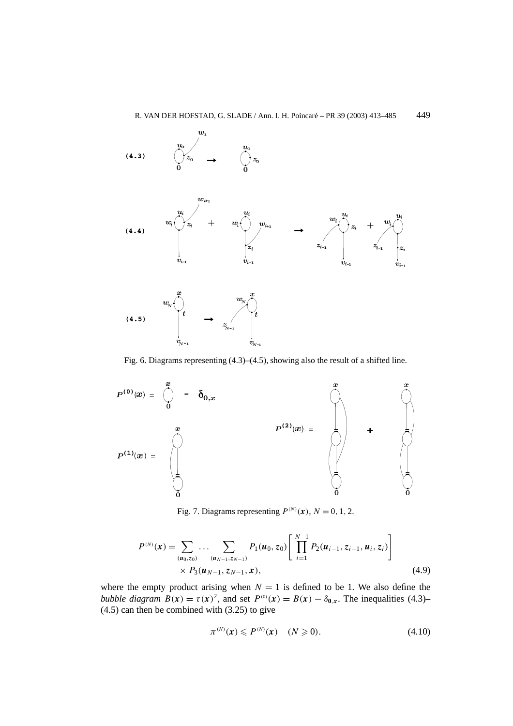

Fig. 6. Diagrams representing (4.3)–(4.5), showing also the result of a shifted line.



Fig. 7. Diagrams representing  $P^{(N)}(x)$ ,  $N = 0, 1, 2$ .

$$
P^{(N)}(\mathbf{x}) = \sum_{(\mathbf{u}_0, z_0)} \dots \sum_{(\mathbf{u}_{N-1}, z_{N-1})} P_1(\mathbf{u}_0, z_0) \left[ \prod_{i=1}^{N-1} P_2(\mathbf{u}_{i-1}, z_{i-1}, \mathbf{u}_i, z_i) \right] \times P_3(\mathbf{u}_{N-1}, z_{N-1}, \mathbf{x}), \qquad (4.9)
$$

where the empty product arising when  $N = 1$  is defined to be 1. We also define the *bubble diagram*  $B(x) = \tau(x)^2$ , and set  $P^{(0)}(x) = B(x) - \delta_{0,x}$ . The inequalities (4.3)– (4.5) can then be combined with (3.25) to give

$$
\pi^{(N)}(x) \leqslant P^{(N)}(x) \quad (N \geqslant 0). \tag{4.10}
$$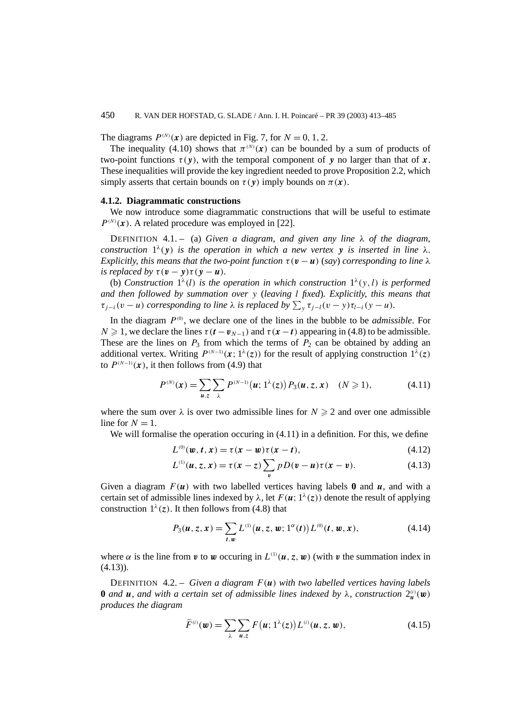# 450 R. VAN DER HOFSTAD, G. SLADE / Ann. I. H. Poincaré – PR 39 (2003) 413–485

The diagrams  $P^{(N)}(x)$  are depicted in Fig. 7, for  $N = 0, 1, 2$ .

The inequality (4.10) shows that  $\pi^{(N)}(x)$  can be bounded by a sum of products of two-point functions *τ (y)*, with the temporal component of *y* no larger than that of *x*. These inequalities will provide the key ingredient needed to prove Proposition 2.2, which simply asserts that certain bounds on  $\tau(\mathbf{v})$  imply bounds on  $\pi(\mathbf{x})$ .

# **4.1.2. Diagrammatic constructions**

We now introduce some diagrammatic constructions that will be useful to estimate  $P^{(N)}(x)$ . A related procedure was employed in [22].

DEFINITION 4.1. – (a) *Given a diagram, and given any line λ of the diagram, construction*  $1^{\lambda}(\mathbf{y})$  *is the operation in which a new vertex* **y** *is inserted in line*  $\lambda$ *. Explicitly, this means that the two-point function*  $\tau(\mathbf{v} - \mathbf{u})$  (*say*) *corresponding to line*  $\lambda$ *is replaced by*  $\tau(\mathbf{v} - \mathbf{y})\tau(\mathbf{y} - \mathbf{u})$ *.* 

(b) *Construction*  $1^{\lambda}(l)$  *is the operation in which construction*  $1^{\lambda}(v, l)$  *is performed and then followed by summation over y* (*leaving l fixed*)*. Explicitly, this means that*  $\tau_{j-i}(v-u)$  *corresponding to line*  $\lambda$  *is replaced by*  $\sum_{y} \tau_{j-l}(v-y)\tau_{l-i}(y-u)$ *.* 

In the diagram *P(*<sup>0</sup>*)* , we declare one of the lines in the bubble to be *admissible*. For *N* ≥ 1, we declare the lines  $τ(t − v_{N-1})$  and  $τ(x − t)$  appearing in (4.8) to be admissible. These are the lines on  $P_3$  from which the terms of  $P_2$  can be obtained by adding an additional vertex. Writing  $P^{(N-1)}(x; 1^{\lambda}(z))$  for the result of applying construction  $1^{\lambda}(z)$ to  $P^{(N-1)}(x)$ , it then follows from (4.9) that

$$
P^{(N)}(x) = \sum_{u,z} \sum_{\lambda} P^{(N-1)}(u; 1^{\lambda}(z)) P_3(u, z, x) \quad (N \ge 1), \tag{4.11}
$$

where the sum over  $\lambda$  is over two admissible lines for  $N \geq 2$  and over one admissible line for  $N = 1$ .

We will formalise the operation occuring in  $(4.11)$  in a definition. For this, we define

$$
L^{(0)}(\mathbf{w}, t, \mathbf{x}) = \tau(\mathbf{x} - \mathbf{w})\tau(\mathbf{x} - t), \tag{4.12}
$$

$$
L^{(1)}(u, z, x) = \tau(x - z) \sum_{v} pD(v - u)\tau(x - v).
$$
 (4.13)

Given a diagram  $F(u)$  with two labelled vertices having labels **0** and *u*, and with a certain set of admissible lines indexed by  $\lambda$ , let  $F(u; 1^{\lambda}(z))$  denote the result of applying construction  $1^{\lambda}(z)$ . It then follows from (4.8) that

$$
P_3(u, z, x) = \sum_{t, w} L^{(1)}(u, z, w; 1^{\alpha}(t)) L^{(0)}(t, w, x),
$$
 (4.14)

where  $\alpha$  is the line from  $v$  to  $w$  occuring in  $L^{(1)}(u, z, w)$  (with  $v$  the summation index in  $(4.13)$ .

DEFINITION 4.2. – *Given a diagram F (u) with two labelled vertices having labels* **0** *and u*, *and* with a certain set of admissible lines indexed by  $\lambda$ , construction  $2_u^{(i)}(\mathbf{w})$ *produces the diagram*

$$
\widetilde{F}^{(i)}(\boldsymbol{w}) = \sum_{\lambda} \sum_{\boldsymbol{u},z} F(\boldsymbol{u};1^{\lambda}(z)) L^{(i)}(\boldsymbol{u},z,\boldsymbol{w}), \qquad (4.15)
$$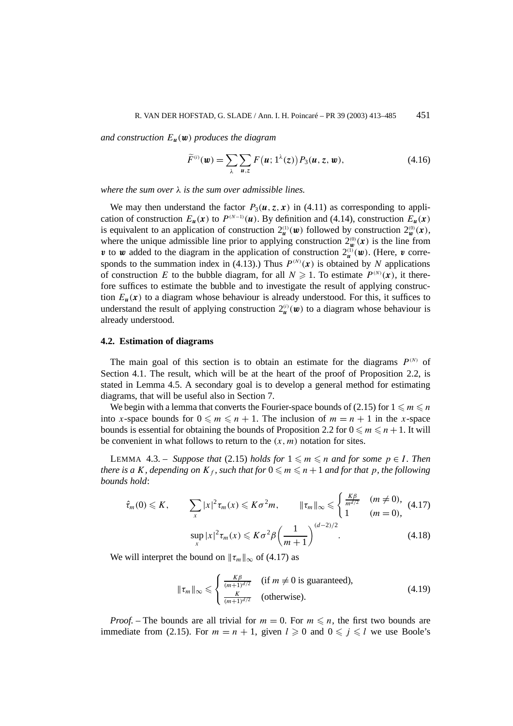*and construction Eu(w) produces the diagram*

$$
\widetilde{F}^{(i)}(\boldsymbol{w}) = \sum_{\lambda} \sum_{\boldsymbol{u},z} F(\boldsymbol{u};1^{\lambda}(z)) P_3(\boldsymbol{u},z,\boldsymbol{w}), \qquad (4.16)
$$

*where the sum over λ is the sum over admissible lines.*

We may then understand the factor  $P_3(u, z, x)$  in (4.11) as corresponding to application of construction  $E_u(\mathbf{x})$  to  $P^{(N-1)}(u)$ . By definition and (4.14), construction  $E_u(\mathbf{x})$ is equivalent to an application of construction  $2_u^{(1)}(u)$  followed by construction  $2_w^{(0)}(x)$ , where the unique admissible line prior to applying construction  $2_{w}^{(0)}(x)$  is the line from *v* to *w* added to the diagram in the application of construction  $2_u^{\text{(1)}}(w)$ . (Here, *v* corresponds to the summation index in (4.13).) Thus  $P^{(N)}(x)$  is obtained by *N* applications of construction *E* to the bubble diagram, for all  $N \ge 1$ . To estimate  $P^{(N)}(x)$ , it therefore suffices to estimate the bubble and to investigate the result of applying construction  $E_{\mu}(x)$  to a diagram whose behaviour is already understood. For this, it suffices to understand the result of applying construction  $2_{\mathbf{u}}^{(i)}(\mathbf{w})$  to a diagram whose behaviour is already understood.

## **4.2. Estimation of diagrams**

The main goal of this section is to obtain an estimate for the diagrams  $P^{(N)}$  of Section 4.1. The result, which will be at the heart of the proof of Proposition 2.2, is stated in Lemma 4.5. A secondary goal is to develop a general method for estimating diagrams, that will be useful also in Section 7.

We begin with a lemma that converts the Fourier-space bounds of (2.15) for  $1 \leq m \leq n$ into *x*-space bounds for  $0 \le m \le n + 1$ . The inclusion of  $m = n + 1$  in the *x*-space bounds is essential for obtaining the bounds of Proposition 2.2 for  $0 \le m \le n + 1$ . It will be convenient in what follows to return to the  $(x, m)$  notation for sites.

LEMMA 4.3. – *Suppose that* (2.15) *holds for*  $1 \le m \le n$  *and for some*  $p \in I$ *. Then there is a K*, depending on  $K_f$ , such that for  $0 \leqslant m \leqslant n+1$  and for that p, the following *bounds hold*:

$$
\hat{\tau}_m(0) \leqslant K, \qquad \sum_x |x|^2 \tau_m(x) \leqslant K\sigma^2 m, \qquad \|\tau_m\|_{\infty} \leqslant \begin{cases} \frac{K\beta}{m^{d/2}} & (m \neq 0), \\ 1 & (m = 0), \end{cases} (4.17)
$$

$$
\sup_{x} |x|^2 \tau_m(x) \leqslant K\sigma^2 \beta \left(\frac{1}{m+1}\right)^{(d-2)/2}.\tag{4.18}
$$

We will interpret the bound on  $\|\tau_m\|_{\infty}$  of (4.17) as

$$
\|\tau_m\|_{\infty} \leq \begin{cases} \frac{K\beta}{(m+1)^{d/2}} & \text{(if } m \neq 0 \text{ is guaranteed)},\\ \frac{K}{(m+1)^{d/2}} & \text{(otherwise)}. \end{cases}
$$
(4.19)

*Proof.* – The bounds are all trivial for  $m = 0$ . For  $m \leq n$ , the first two bounds are immediate from (2.15). For  $m = n + 1$ , given  $l \ge 0$  and  $0 \le j \le l$  we use Boole's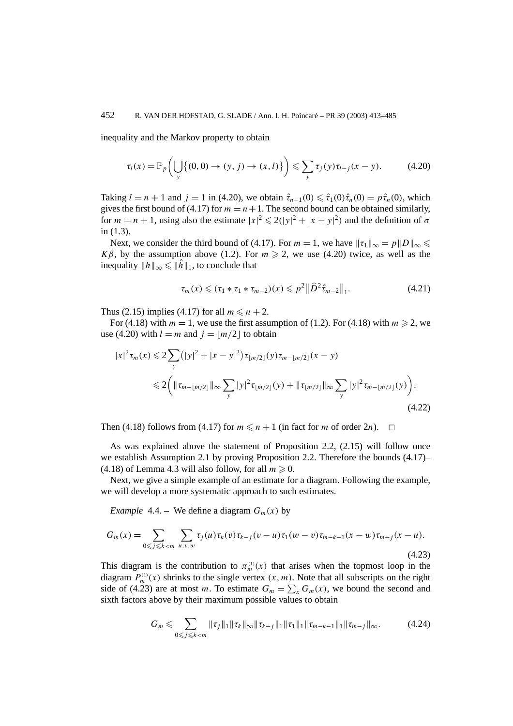inequality and the Markov property to obtain

$$
\tau_l(x) = \mathbb{P}_p\left(\bigcup_{y} \{(0,0) \to (y,j) \to (x,l)\}\right) \leq \sum_{y} \tau_j(y)\tau_{l-j}(x-y). \tag{4.20}
$$

Taking  $l = n + 1$  and  $j = 1$  in (4.20), we obtain  $\hat{\tau}_{n+1}(0) \leq \hat{\tau}_1(0)\hat{\tau}_n(0) = p\hat{\tau}_n(0)$ , which gives the first bound of (4.17) for  $m = n + 1$ . The second bound can be obtained similarly, for  $m = n + 1$ , using also the estimate  $|x|^2 \le 2(|y|^2 + |x - y|^2)$  and the definition of  $\sigma$ in (1.3).

Next, we consider the third bound of (4.17). For  $m = 1$ , we have  $||\tau_1||_{\infty} = p||D||_{\infty} \leq$ *Kβ*, by the assumption above (1.2). For  $m \ge 2$ , we use (4.20) twice, as well as the inequality  $||h||_{\infty} \leqslant ||\hat{h}||_1$ , to conclude that

$$
\tau_m(x) \leq (\tau_1 * \tau_1 * \tau_{m-2})(x) \leqslant p^2 \|\widehat{D}^2 \widehat{\tau}_{m-2}\|_1. \tag{4.21}
$$

Thus (2.15) implies (4.17) for all  $m \le n + 2$ .

For (4.18) with  $m = 1$ , we use the first assumption of (1.2). For (4.18) with  $m \ge 2$ , we use (4.20) with  $l = m$  and  $j = |m/2|$  to obtain

$$
|x|^2 \tau_m(x) \leq 2 \sum_{y} (|y|^2 + |x - y|^2) \tau_{\lfloor m/2 \rfloor}(y) \tau_{m - \lfloor m/2 \rfloor}(x - y)
$$
  

$$
\leq 2 \Biggl( \| \tau_{m - \lfloor m/2 \rfloor} \|_{\infty} \sum_{y} |y|^2 \tau_{\lfloor m/2 \rfloor}(y) + \| \tau_{\lfloor m/2 \rfloor} \|_{\infty} \sum_{y} |y|^2 \tau_{m - \lfloor m/2 \rfloor}(y) \Biggr). \tag{4.22}
$$

Then (4.18) follows from (4.17) for  $m \leq n + 1$  (in fact for *m* of order 2*n*).  $\Box$ 

As was explained above the statement of Proposition 2.2, (2.15) will follow once we establish Assumption 2.1 by proving Proposition 2.2. Therefore the bounds (4.17)–  $(4.18)$  of Lemma 4.3 will also follow, for all  $m \ge 0$ .

Next, we give a simple example of an estimate for a diagram. Following the example, we will develop a more systematic approach to such estimates.

*Example* 4.4. – We define a diagram  $G_m(x)$  by

$$
G_m(x) = \sum_{0 \le j \le k < m} \sum_{u,v,w} \tau_j(u) \tau_k(v) \tau_{k-j}(v-u) \tau_1(w-v) \tau_{m-k-1}(x-w) \tau_{m-j}(x-u). \tag{4.23}
$$

This diagram is the contribution to  $\pi_m^{(1)}(x)$  that arises when the topmost loop in the diagram  $P_m^{(1)}(x)$  shrinks to the single vertex  $(x, m)$ . Note that all subscripts on the right side of (4.23) are at most *m*. To estimate  $G_m = \sum_{x} G_m(x)$ , we bound the second and sixth factors above by their maximum possible values to obtain

$$
G_m \leqslant \sum_{0 \leqslant j \leqslant k < m} \|\tau_j\|_1 \|\tau_k\|_\infty \|\tau_{k-j}\|_1 \|\tau_1\|_1 \|\tau_{m-k-1}\|_1 \|\tau_{m-j}\|_\infty. \tag{4.24}
$$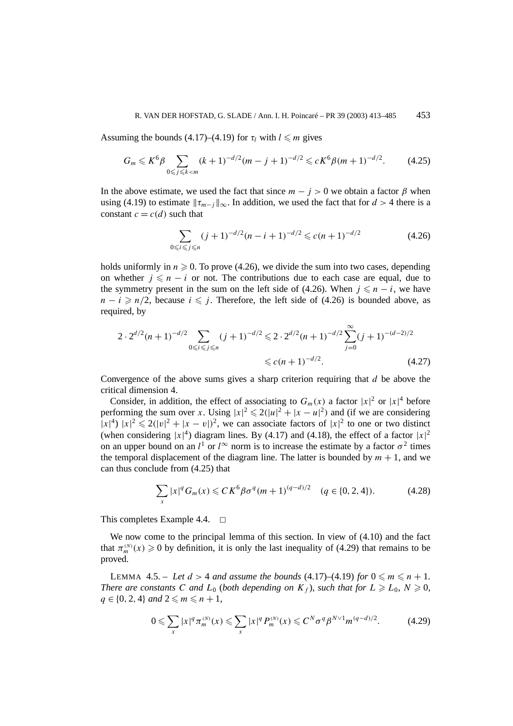Assuming the bounds  $(4.17)$ – $(4.19)$  for  $\tau_l$  with  $l \leq m$  gives

$$
G_m \leqslant K^6 \beta \sum_{0 \leqslant j \leqslant k < m} (k+1)^{-d/2} (m-j+1)^{-d/2} \leqslant c K^6 \beta (m+1)^{-d/2}.
$$
 (4.25)

In the above estimate, we used the fact that since  $m - j > 0$  we obtain a factor  $\beta$  when using (4.19) to estimate  $\|\tau_{m-j}\|_{\infty}$ . In addition, we used the fact that for  $d > 4$  there is a constant  $c = c(d)$  such that

$$
\sum_{0 \le i \le j \le n} (j+1)^{-d/2} (n-i+1)^{-d/2} \le c(n+1)^{-d/2}
$$
 (4.26)

holds uniformly in  $n \geq 0$ . To prove (4.26), we divide the sum into two cases, depending on whether  $j \leq n - i$  or not. The contributions due to each case are equal, due to the symmetry present in the sum on the left side of (4.26). When  $j \leq n - i$ , we have  $n - i \geq n/2$ , because  $i \leq j$ . Therefore, the left side of (4.26) is bounded above, as required, by

$$
2 \cdot 2^{d/2} (n+1)^{-d/2} \sum_{0 \le i \le j \le n} (j+1)^{-d/2} \le 2 \cdot 2^{d/2} (n+1)^{-d/2} \sum_{j=0}^{\infty} (j+1)^{-(d-2)/2}
$$
  
  $\le c(n+1)^{-d/2}.$  (4.27)

Convergence of the above sums gives a sharp criterion requiring that *d* be above the critical dimension 4.

Consider, in addition, the effect of associating to  $G_m(x)$  a factor  $|x|^2$  or  $|x|^4$  before performing the sum over *x*. Using  $|x|^2 \le 2(|u|^2 + |x - u|^2)$  and (if we are considering  $|x|^4$ )  $|x|^2 \le 2(|v|^2 + |x - v|)^2$ , we can associate factors of  $|x|^2$  to one or two distinct (when considering  $|x|^4$ ) diagram lines. By (4.17) and (4.18), the effect of a factor  $|x|^2$ on an upper bound on an  $l^1$  or  $l^{\infty}$  norm is to increase the estimate by a factor  $\sigma^2$  times the temporal displacement of the diagram line. The latter is bounded by  $m + 1$ , and we can thus conclude from (4.25) that

$$
\sum_{x} |x|^{q} G_{m}(x) \leq C K^{6} \beta \sigma^{q} (m+1)^{(q-d)/2} \quad (q \in \{0, 2, 4\}). \tag{4.28}
$$

This completes Example 4.4.  $\Box$ 

We now come to the principal lemma of this section. In view of (4.10) and the fact that  $\pi_m^{(N)}(x) \ge 0$  by definition, it is only the last inequality of (4.29) that remains to be proved.

LEMMA 4.5. – Let  $d > 4$  and assume the bounds  $(4.17)$ – $(4.19)$  for  $0 \le m \le n + 1$ . *There are constants C and*  $L_0$  (*both depending on*  $K_f$ *), such that for*  $L \ge L_0$ ,  $N \ge 0$ ,  $q \in \{0, 2, 4\}$  *and*  $2 \le m \le n + 1$ *,* 

$$
0 \leqslant \sum_{x} |x|^q \pi_m^{(N)}(x) \leqslant \sum_{x} |x|^q P_m^{(N)}(x) \leqslant C^N \sigma^q \beta^{N \vee 1} m^{(q-d)/2}.
$$
 (4.29)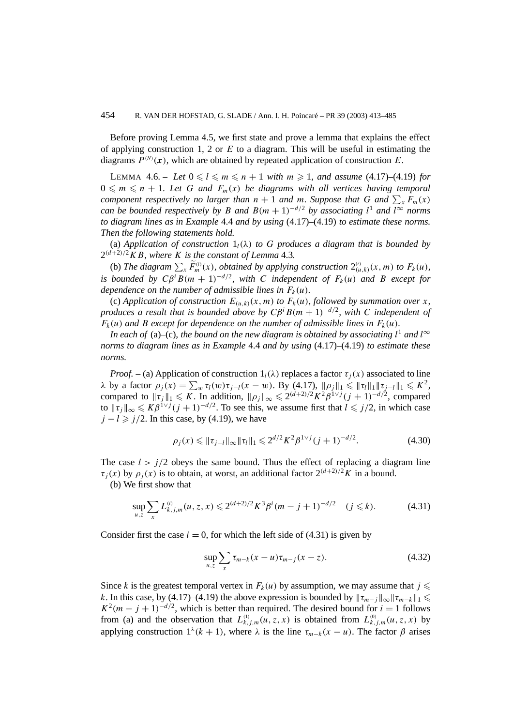Before proving Lemma 4.5, we first state and prove a lemma that explains the effect of applying construction 1, 2 or *E* to a diagram. This will be useful in estimating the diagrams  $P^{(N)}(x)$ , which are obtained by repeated application of construction *E*.

LEMMA 4.6. – Let  $0 \leq l \leq m \leq n+1$  with  $m \geq 1$ , and assume (4.17)–(4.19) for  $0 \leqslant m \leqslant n + 1$ . Let G and  $F_m(x)$  be diagrams with all vertices having temporal *component respectively no larger than*  $n + 1$  *and*  $m$ *. Suppose that*  $G$  *and*  $\sum_x F_m(x)$ *can be bounded respectively by B and*  $B(m + 1)^{-d/2}$  *by associating*  $l^1$  *and*  $l^{\infty}$  *norms to diagram lines as in Example* 4.4 *and by using* (4.17)–(4.19) *to estimate these norms. Then the following statements hold.*

(a) *Application of construction*  $1_l(\lambda)$  *to G produces a diagram that is bounded by*  $2^{(d+2)/2}KB$ *, where K is the constant of Lemma* 4.3*.* 

(b) The diagram  $\sum_{x} \widetilde{F}_{m}^{(i)}(x)$ , obtained by applying construction  $2_{(u,k)}^{(i)}(x,m)$  to  $F_{k}(u)$ , *is bounded by*  $C\beta^{i}B(m + 1)^{-d/2}$ , with *C independent of*  $F_k(u)$  *and B except for dependence on the number of admissible lines in*  $F_k(u)$ *.* 

(c) *Application of construction*  $E_{(u,k)}(x,m)$  *to*  $F_k(u)$ *, followed by summation over x, produces a result that is bounded above by*  $C\beta^i B(m+1)^{-d/2}$ *, with C independent of*  $F_k(u)$  *and B except for dependence on the number of admissible lines in*  $F_k(u)$ *.* 

*In each of* (a)–(c), the bound on the new diagram is obtained by associating  $l^1$  and  $l^{\infty}$ *norms to diagram lines as in Example* 4.4 *and by using* (4.17)*–*(4.19) *to estimate these norms.*

*Proof.* – (a) Application of construction  $1_l(\lambda)$  replaces a factor  $\tau_i(x)$  associated to line *λ* by a factor  $ρ_j(x) = ∑_w τ_l(w) τ_{j-l}(x - w)$ . By (4.17),  $||ρ_j||_1 ≤ ∥τ_l||_1 ||τ_{j-l}||_1 ≤ K²$ , compared to  $||\tau_j||_1 \leqslant K$ . In addition,  $||\rho_j||_{\infty} \leqslant 2^{(d+2)/2} K^2 \beta^{1 \vee j} (j+1)^{-d/2}$ , compared to  $\|\tau_j\|_{\infty} \leqslant K\beta^{1\vee j} (j+1)^{-d/2}$ . To see this, we assume first that  $l \leqslant j/2$ , in which case  $j - l \geq j/2$ . In this case, by (4.19), we have

$$
\rho_j(x) \le \|\tau_{j-l}\|_{\infty} \|\tau_l\|_1 \le 2^{d/2} K^2 \beta^{1 \vee j} (j+1)^{-d/2}.
$$
 (4.30)

The case  $l > j/2$  obeys the same bound. Thus the effect of replacing a diagram line *τ<sub>i</sub>*(*x*) by  $\rho_i(x)$  is to obtain, at worst, an additional factor  $2^{(d+2)/2}K$  in a bound.

(b) We first show that

$$
\sup_{u,z} \sum_{x} L_{k,j,m}^{(i)}(u,z,x) \leq 2^{(d+2)/2} K^3 \beta^i (m-j+1)^{-d/2} \quad (j \leq k). \tag{4.31}
$$

Consider first the case  $i = 0$ , for which the left side of (4.31) is given by

$$
\sup_{u,z} \sum_{x} \tau_{m-k}(x-u)\tau_{m-j}(x-z). \tag{4.32}
$$

Since *k* is the greatest temporal vertex in  $F_k(u)$  by assumption, we may assume that  $j \leq$ *k*. In this case, by (4.17)–(4.19) the above expression is bounded by  $||\tau_{m-j}||_{\infty}||\tau_{m-k}||_1 \leq$  $K^2(m - j + 1)^{-d/2}$ , which is better than required. The desired bound for *i* = 1 follows from (a) and the observation that  $L_{k,j,m}^{(1)}(u, z, x)$  is obtained from  $L_{k,j,m}^{(0)}(u, z, x)$  by applying construction  $1^{\lambda}(k+1)$ , where  $\lambda$  is the line  $\tau_{m-k}(x-u)$ . The factor  $\beta$  arises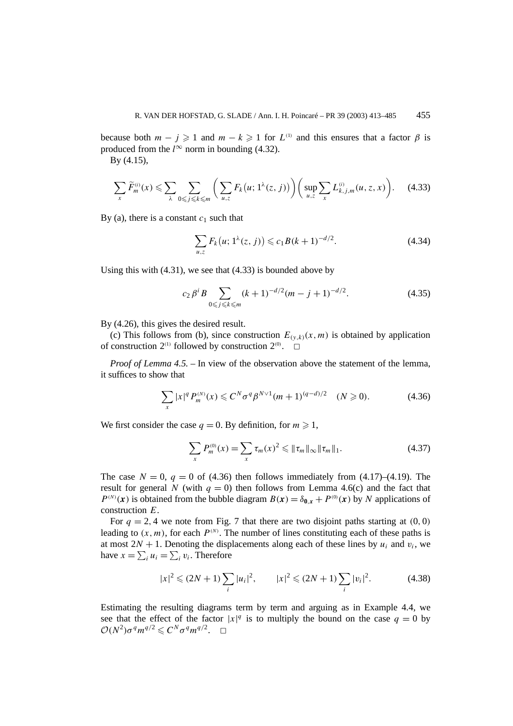because both  $m - j \ge 1$  and  $m - k \ge 1$  for  $L^{(1)}$  and this ensures that a factor  $\beta$  is produced from the  $l^{\infty}$  norm in bounding (4.32).

By (4.15),

$$
\sum_{x} \widetilde{F}_{m}^{(i)}(x) \leqslant \sum_{\lambda} \sum_{0 \leqslant j \leqslant k \leqslant m} \bigg( \sum_{u,z} F_{k}\big(u; 1^{\lambda}(z,j)\big) \bigg) \bigg( \sup_{u,z} \sum_{x} L_{k,j,m}^{(i)}(u,z,x) \bigg). \tag{4.33}
$$

By (a), there is a constant  $c_1$  such that

$$
\sum_{u,z} F_k(u; 1^{\lambda}(z, j)) \leqslant c_1 B(k+1)^{-d/2}.
$$
 (4.34)

Using this with (4.31), we see that (4.33) is bounded above by

$$
c_2 \beta^i B \sum_{0 \le j \le k \le m} (k+1)^{-d/2} (m-j+1)^{-d/2}.
$$
 (4.35)

By (4.26), this gives the desired result.

(c) This follows from (b), since construction  $E_{(y,k)}(x, m)$  is obtained by application of construction  $2^{(1)}$  followed by construction  $2^{(0)}$ .  $\Box$ 

*Proof of Lemma 4.5.* – In view of the observation above the statement of the lemma, it suffices to show that

$$
\sum_{x} |x|^q P_m^{(N)}(x) \leq C^N \sigma^q \beta^{N \vee 1} (m+1)^{(q-d)/2} \quad (N \geq 0). \tag{4.36}
$$

We first consider the case  $q = 0$ . By definition, for  $m \ge 1$ ,

$$
\sum_{x} P_m^{(0)}(x) = \sum_{x} \tau_m(x)^2 \leq \|\tau_m\|_{\infty} \|\tau_m\|_1.
$$
 (4.37)

The case  $N = 0$ ,  $q = 0$  of (4.36) then follows immediately from (4.17)–(4.19). The result for general *N* (with  $q = 0$ ) then follows from Lemma 4.6(c) and the fact that  $P^{(N)}(x)$  is obtained from the bubble diagram  $B(x) = \delta_{0,x} + P^{(0)}(x)$  by *N* applications of construction *E*.

For  $q = 2, 4$  we note from Fig. 7 that there are two disjoint paths starting at  $(0, 0)$ leading to  $(x, m)$ , for each  $P^{(N)}$ . The number of lines constituting each of these paths is at most  $2N + 1$ . Denoting the displacements along each of these lines by  $u_i$  and  $v_i$ , we have  $x = \sum_i u_i = \sum_i v_i$ . Therefore

$$
|x|^2 \le (2N+1) \sum_i |u_i|^2, \qquad |x|^2 \le (2N+1) \sum_i |v_i|^2. \tag{4.38}
$$

Estimating the resulting diagrams term by term and arguing as in Example 4.4, we see that the effect of the factor  $|x|^q$  is to multiply the bound on the case  $q = 0$  by  $\mathcal{O}(N^2)\sigma^q m^{q/2} \leqslant C^N \sigma^q m^{q/2}. \quad \Box$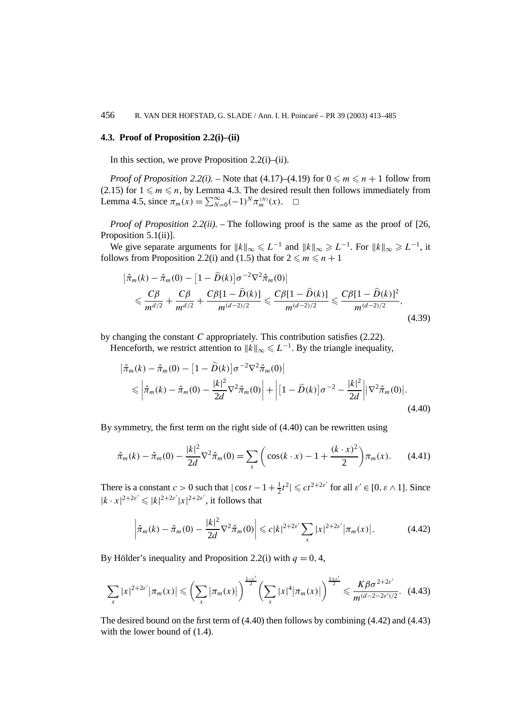## **4.3. Proof of Proposition 2.2(i)–(ii)**

In this section, we prove Proposition  $2.2(i)$ –(ii).

*Proof of Proposition 2.2(i).* – Note that  $(4.17)$ – $(4.19)$  for  $0 \le m \le n + 1$  follow from (2.15) for  $1 \leq m \leq n$ , by Lemma 4.3. The desired result then follows immediately from Lemma 4.5, since  $\pi_m(x) = \sum_{N=0}^{\infty} (-1)^N \pi_m^{(N)}(x)$ .  $\Box$ 

*Proof of Proposition 2.2(ii).* – The following proof is the same as the proof of [26, Proposition 5.1(ii)].

We give separate arguments for  $||k||_{\infty} \le L^{-1}$  and  $||k||_{\infty} \ge L^{-1}$ . For  $||k||_{\infty} \ge L^{-1}$ , it follows from Proposition 2.2(i) and (1.5) that for  $2 \le m \le n + 1$ 

$$
\left| \hat{\pi}_m(k) - \hat{\pi}_m(0) - \left[ 1 - \hat{D}(k) \right] \sigma^{-2} \nabla^2 \hat{\pi}_m(0) \right|
$$
  
\$\leqslant \frac{C\beta}{m^{d/2}} + \frac{C\beta}{m^{d/2}} + \frac{C\beta [1 - \hat{D}(k)]}{m^{(d-2)/2}} \leqslant \frac{C\beta [1 - \hat{D}(k)]}{m^{(d-2)/2}} \leqslant \frac{C\beta [1 - \hat{D}(k)]^2}{m^{(d-2)/2}}, \tag{4.39}

by changing the constant *C* appropriately. This contribution satisfies (2.22).

Henceforth, we restrict attention to  $||k||_{\infty} \leq L^{-1}$ . By the triangle inequality,

$$
\begin{split} \left| \hat{\pi}_m(k) - \hat{\pi}_m(0) - \left[ 1 - \hat{D}(k) \right] \sigma^{-2} \nabla^2 \hat{\pi}_m(0) \right| \\ &\leq \left| \hat{\pi}_m(k) - \hat{\pi}_m(0) - \frac{|k|^2}{2d} \nabla^2 \hat{\pi}_m(0) \right| + \left| \left[ 1 - \hat{D}(k) \right] \sigma^{-2} - \frac{|k|^2}{2d} \right| \left| \nabla^2 \hat{\pi}_m(0) \right|. \end{split} \tag{4.40}
$$

By symmetry, the first term on the right side of (4.40) can be rewritten using

$$
\hat{\pi}_m(k) - \hat{\pi}_m(0) - \frac{|k|^2}{2d} \nabla^2 \hat{\pi}_m(0) = \sum_x \left( \cos(k \cdot x) - 1 + \frac{(k \cdot x)^2}{2} \right) \pi_m(x). \tag{4.41}
$$

There is a constant  $c > 0$  such that  $|\cos t - 1 + \frac{1}{2}t^2| \leq c t^{2+2\varepsilon'}$  for all  $\varepsilon' \in [0, \varepsilon \wedge 1]$ . Since  $|k \cdot x|^{2+2\varepsilon'} \leq |k|^{2+2\varepsilon'} |x|^{2+2\varepsilon'}$ , it follows that

$$
\left|\hat{\pi}_m(k) - \hat{\pi}_m(0) - \frac{|k|^2}{2d} \nabla^2 \hat{\pi}_m(0)\right| \leqslant c|k|^{2+2\epsilon'} \sum_x |x|^{2+2\epsilon'} |\pi_m(x)|. \tag{4.42}
$$

By Hölder's inequality and Proposition 2.2(i) with  $q = 0, 4$ ,

$$
\sum_{x} |x|^{2+2\varepsilon'} |\pi_m(x)| \leqslant \left(\sum_{x} |\pi_m(x)|\right)^{\frac{1-\varepsilon'}{2}} \left(\sum_{x} |x|^4 |\pi_m(x)|\right)^{\frac{1+\varepsilon'}{2}} \leqslant \frac{K \beta \sigma^{2+2\varepsilon'}}{m^{(d-2-2\varepsilon')/2}}.\tag{4.43}
$$

The desired bound on the first term of (4.40) then follows by combining (4.42) and (4.43) with the lower bound of  $(1.4)$ .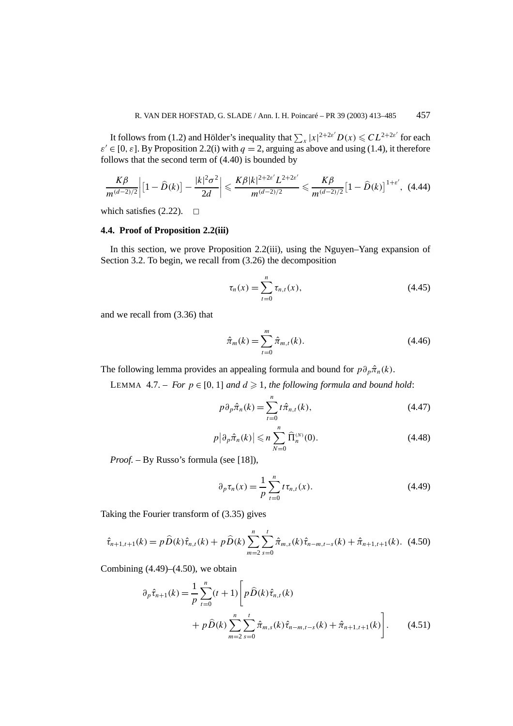It follows from (1.2) and Hölder's inequality that  $\sum_{x} |x|^{2+2\varepsilon} D(x) \leqslant CL^{2+2\varepsilon'}$  for each  $\varepsilon \in [0, \varepsilon]$ . By Proposition 2.2(i) with  $q = 2$ , arguing as above and using (1.4), it therefore follows that the second term of (4.40) is bounded by

$$
\frac{K\beta}{m^{(d-2)/2}}\left| \left[1-\widehat{D}(k)\right] - \frac{|k|^2 \sigma^2}{2d} \right| \leqslant \frac{K\beta |k|^{2+2\varepsilon'} L^{2+2\varepsilon'}}{m^{(d-2)/2}} \leqslant \frac{K\beta}{m^{(d-2)/2}} \left[1-\widehat{D}(k)\right]^{1+\varepsilon'}, \tag{4.44}
$$

which satisfies  $(2.22)$ .  $\Box$ 

# **4.4. Proof of Proposition 2.2(iii)**

In this section, we prove Proposition 2.2(iii), using the Nguyen–Yang expansion of Section 3.2. To begin, we recall from (3.26) the decomposition

$$
\tau_n(x) = \sum_{t=0}^n \tau_{n,t}(x),
$$
\n(4.45)

and we recall from (3.36) that

$$
\hat{\pi}_m(k) = \sum_{t=0}^m \hat{\pi}_{m,t}(k).
$$
\n(4.46)

The following lemma provides an appealing formula and bound for  $p\partial_p\hat{\pi}_n(k)$ .

LEMMA 4.7. – *For*  $p \in [0, 1]$  *and*  $d \ge 1$ *, the following formula and bound hold:* 

$$
p\partial_p\hat{\pi}_n(k) = \sum_{t=0}^n t\hat{\pi}_{n,t}(k),\tag{4.47}
$$

$$
p\big|\partial_p\hat{\pi}_n(k)\big|\leqslant n\sum_{N=0}^n\widehat{\Pi}_n^{(N)}(0). \tag{4.48}
$$

*Proof. –* By Russo's formula (see [18]),

$$
\partial_p \tau_n(x) = \frac{1}{p} \sum_{t=0}^n t \tau_{n,t}(x).
$$
 (4.49)

Taking the Fourier transform of (3.35) gives

$$
\hat{\tau}_{n+1,t+1}(k) = p\,\hat{D}(k)\,\hat{\tau}_{n,t}(k) + p\,\hat{D}(k)\sum_{m=2}^{n}\sum_{s=0}^{t}\hat{\pi}_{m,s}(k)\,\hat{\tau}_{n-m,t-s}(k) + \hat{\pi}_{n+1,t+1}(k). \tag{4.50}
$$

Combining  $(4.49)$ – $(4.50)$ , we obtain

$$
\partial_p \hat{\tau}_{n+1}(k) = \frac{1}{p} \sum_{t=0}^n (t+1) \left[ p \hat{D}(k) \hat{\tau}_{n,t}(k) + p \hat{D}(k) \sum_{m=2}^n \sum_{s=0}^t \hat{\pi}_{m,s}(k) \hat{\tau}_{n-m,t-s}(k) + \hat{\pi}_{n+1,t+1}(k) \right].
$$
 (4.51)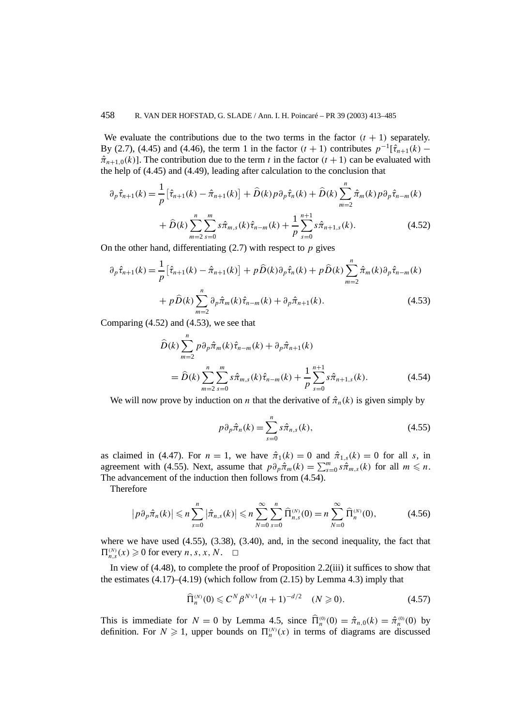We evaluate the contributions due to the two terms in the factor  $(t + 1)$  separately. By (2.7), (4.45) and (4.46), the term 1 in the factor  $(t + 1)$  contributes  $p^{-1}[\hat{\tau}_{n+1}(k) \hat{\pi}_{n+1,0}(k)$ ]. The contribution due to the term *t* in the factor  $(t+1)$  can be evaluated with the help of (4.45) and (4.49), leading after calculation to the conclusion that

$$
\partial_p \hat{\tau}_{n+1}(k) = \frac{1}{p} \left[ \hat{\tau}_{n+1}(k) - \hat{\pi}_{n+1}(k) \right] + \hat{D}(k) p \partial_p \hat{\tau}_n(k) + \hat{D}(k) \sum_{m=2}^n \hat{\pi}_m(k) p \partial_p \hat{\tau}_{n-m}(k) + \hat{D}(k) \sum_{m=2}^n \sum_{s=0}^m s \hat{\pi}_{m,s}(k) \hat{\tau}_{n-m}(k) + \frac{1}{p} \sum_{s=0}^{n+1} s \hat{\pi}_{n+1,s}(k).
$$
 (4.52)

On the other hand, differentiating (2.7) with respect to *p* gives

$$
\partial_p \hat{\tau}_{n+1}(k) = \frac{1}{p} \left[ \hat{\tau}_{n+1}(k) - \hat{\pi}_{n+1}(k) \right] + p \hat{D}(k) \partial_p \hat{\tau}_n(k) + p \hat{D}(k) \sum_{m=2}^n \hat{\pi}_m(k) \partial_p \hat{\tau}_{n-m}(k) + p \hat{D}(k) \sum_{m=2}^n \partial_p \hat{\pi}_m(k) \hat{\tau}_{n-m}(k) + \partial_p \hat{\pi}_{n+1}(k).
$$
\n(4.53)

Comparing (4.52) and (4.53), we see that

$$
\hat{D}(k) \sum_{m=2}^{n} p \partial_p \hat{\pi}_m(k) \hat{\tau}_{n-m}(k) + \partial_p \hat{\pi}_{n+1}(k) \n= \hat{D}(k) \sum_{m=2}^{n} \sum_{s=0}^{m} s \hat{\pi}_{m,s}(k) \hat{\tau}_{n-m}(k) + \frac{1}{p} \sum_{s=0}^{n+1} s \hat{\pi}_{n+1,s}(k).
$$
\n(4.54)

We will now prove by induction on *n* that the derivative of  $\hat{\pi}_n(k)$  is given simply by

$$
p\partial_p\hat{\pi}_n(k) = \sum_{s=0}^n s\hat{\pi}_{n,s}(k),\tag{4.55}
$$

as claimed in (4.47). For  $n = 1$ , we have  $\hat{\pi}_1(k) = 0$  and  $\hat{\pi}_{1,s}(k) = 0$  for all *s*, in agreement with (4.55). Next, assume that  $p\partial_p\hat{\pi}_m(k) = \sum_{s=0}^m s\hat{\pi}_{m,s}(k)$  for all  $m \leq n$ . The advancement of the induction then follows from (4.54).

Therefore

$$
\left|p\partial_p\hat{\pi}_n(k)\right| \leqslant n \sum_{s=0}^n \left|\hat{\pi}_{n,s}(k)\right| \leqslant n \sum_{N=0}^\infty \sum_{s=0}^n \widehat{\Pi}_{n,s}^{(N)}(0) = n \sum_{N=0}^\infty \widehat{\Pi}_n^{(N)}(0),\tag{4.56}
$$

where we have used (4.55), (3.38), (3.40), and, in the second inequality, the fact that  $\Pi_{n,s}^{(N)}(x) \geq 0$  for every *n*, *s*, *x*, *N*.  $\Box$ 

In view of (4.48), to complete the proof of Proposition 2.2(iii) it suffices to show that the estimates  $(4.17)$ – $(4.19)$  (which follow from  $(2.15)$  by Lemma 4.3) imply that

$$
\widehat{\Pi}_n^{(N)}(0) \leq C^N \beta^{N \vee 1} (n+1)^{-d/2} \quad (N \geq 0). \tag{4.57}
$$

This is immediate for  $N = 0$  by Lemma 4.5, since  $\hat{\Pi}_n^{(0)}(0) = \hat{\pi}_{n,0}(k) = \hat{\pi}_n^{(0)}(0)$  by definition. For  $N \ge 1$ , upper bounds on  $\Pi_n^{(N)}(x)$  in terms of diagrams are discussed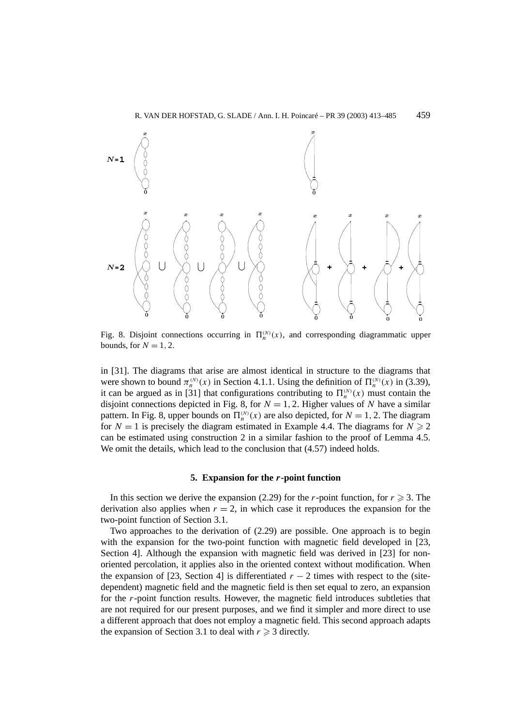

Fig. 8. Disjoint connections occurring in  $\Pi_n^{(N)}(x)$ , and corresponding diagrammatic upper bounds, for  $N = 1, 2$ .

in [31]. The diagrams that arise are almost identical in structure to the diagrams that were shown to bound  $\pi_n^{(N)}(x)$  in Section 4.1.1. Using the definition of  $\Pi_n^{(N)}(x)$  in (3.39), it can be argued as in [31] that configurations contributing to  $\Pi_n^{(N)}(x)$  must contain the disjoint connections depicted in Fig. 8, for  $N = 1, 2$ . Higher values of *N* have a similar pattern. In Fig. 8, upper bounds on  $\Pi_n^{(N)}(x)$  are also depicted, for  $N = 1, 2$ . The diagram for  $N = 1$  is precisely the diagram estimated in Example 4.4. The diagrams for  $N \ge 2$ can be estimated using construction 2 in a similar fashion to the proof of Lemma 4.5. We omit the details, which lead to the conclusion that  $(4.57)$  indeed holds.

#### **5. Expansion for the** *r***-point function**

In this section we derive the expansion (2.29) for the *r*-point function, for  $r \ge 3$ . The derivation also applies when  $r = 2$ , in which case it reproduces the expansion for the two-point function of Section 3.1.

Two approaches to the derivation of (2.29) are possible. One approach is to begin with the expansion for the two-point function with magnetic field developed in [23, Section 4]. Although the expansion with magnetic field was derived in [23] for nonoriented percolation, it applies also in the oriented context without modification. When the expansion of [23, Section 4] is differentiated  $r - 2$  times with respect to the (sitedependent) magnetic field and the magnetic field is then set equal to zero, an expansion for the *r*-point function results. However, the magnetic field introduces subtleties that are not required for our present purposes, and we find it simpler and more direct to use a different approach that does not employ a magnetic field. This second approach adapts the expansion of Section 3.1 to deal with  $r \geq 3$  directly.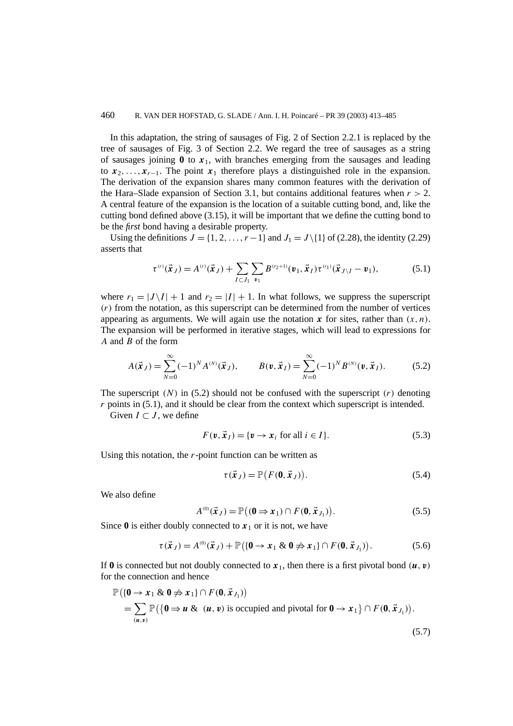### 460 R. VAN DER HOFSTAD, G. SLADE / Ann. I. H. Poincaré – PR 39 (2003) 413–485

In this adaptation, the string of sausages of Fig. 2 of Section 2.2.1 is replaced by the tree of sausages of Fig. 3 of Section 2.2. We regard the tree of sausages as a string of sausages joining  $\bf{0}$  to  $\bf{x}$ <sub>1</sub>, with branches emerging from the sausages and leading to  $x_2, \ldots, x_{r-1}$ . The point  $x_1$  therefore plays a distinguished role in the expansion. The derivation of the expansion shares many common features with the derivation of the Hara–Slade expansion of Section 3.1, but contains additional features when  $r > 2$ . A central feature of the expansion is the location of a suitable cutting bond, and, like the cutting bond defined above (3.15), it will be important that we define the cutting bond to be the *first* bond having a desirable property.

Using the definitions  $J = \{1, 2, \ldots, r-1\}$  and  $J_1 = J \setminus \{1\}$  of (2.28), the identity (2.29) asserts that

$$
\tau^{(r)}(\vec{x}_J) = A^{(r)}(\vec{x}_J) + \sum_{I \subset J_1} \sum_{\nu_1} B^{(r_2+1)}(\nu_1, \vec{x}_I) \tau^{(r_1)}(\vec{x}_{J \setminus I} - \nu_1), \tag{5.1}
$$

where  $r_1 = |J \setminus I| + 1$  and  $r_2 = |I| + 1$ . In what follows, we suppress the superscript *(r)* from the notation, as this superscript can be determined from the number of vertices appearing as arguments. We will again use the notation  $x$  for sites, rather than  $(x, n)$ . The expansion will be performed in iterative stages, which will lead to expressions for *A* and *B* of the form

$$
A(\vec{x}_J) = \sum_{N=0}^{\infty} (-1)^N A^{(N)}(\vec{x}_J), \qquad B(\mathbf{v}, \vec{x}_I) = \sum_{N=0}^{\infty} (-1)^N B^{(N)}(\mathbf{v}, \vec{x}_I). \tag{5.2}
$$

The superscript  $(N)$  in (5.2) should not be confused with the superscript  $(r)$  denoting *r* points in (5.1), and it should be clear from the context which superscript is intended.

Given  $I \subset J$ , we define

$$
F(\mathbf{v}, \vec{\mathbf{x}}_I) = \{ \mathbf{v} \to \mathbf{x}_i \text{ for all } i \in I \}. \tag{5.3}
$$

Using this notation, the *r*-point function can be written as

$$
\tau(\vec{x}_J) = \mathbb{P}\big(F(\mathbf{0}, \vec{x}_J)\big). \tag{5.4}
$$

(5.7)

We also define

$$
A^{(0)}(\vec{x}_J) = \mathbb{P}\big((\mathbf{0} \Rightarrow \mathbf{x}_1) \cap F(\mathbf{0}, \vec{x}_{J_1})\big). \tag{5.5}
$$

Since  $\bf{0}$  is either doubly connected to  $\bf{x}_1$  or it is not, we have

$$
\tau(\vec{x}_J) = A^{(0)}(\vec{x}_J) + \mathbb{P}\big(\{\mathbf{0} \to x_1 \& \mathbf{0} \neq x_1\} \cap F(\mathbf{0}, \vec{x}_{J_1})\big). \tag{5.6}
$$

If 0 is connected but not doubly connected to  $x_1$ , then there is a first pivotal bond  $(u, v)$ for the connection and hence

$$
\mathbb{P}(\{0 \to x_1 \& 0 \ncong x_1\} \cap F(0, \vec{x}_{J_1})\n= \sum_{(u,v)} \mathbb{P}(\{0 \Rightarrow u \& (u,v) \text{ is occupied and pivotal for } 0 \to x_1\} \cap F(0, \vec{x}_{J_1})\n.
$$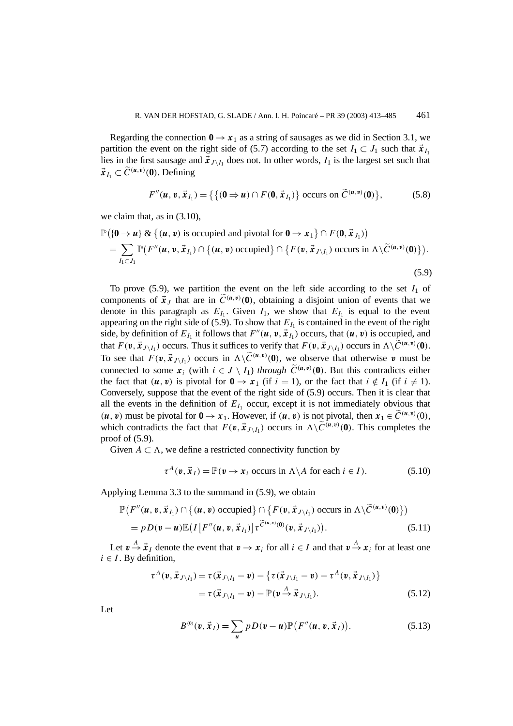Regarding the connection  $0 \rightarrow x_1$  as a string of sausages as we did in Section 3.1, we partition the event on the right side of (5.7) according to the set  $I_1 \subset J_1$  such that  $\vec{x}_{I_1}$ lies in the first sausage and  $\vec{x}_{J \setminus I_1}$  does not. In other words,  $I_1$  is the largest set such that  $\vec{x}_{I_1} \subset \widetilde{C}^{(u,v)}(0)$ . Defining

$$
F''(\boldsymbol{u},\boldsymbol{v},\vec{\boldsymbol{x}}_{I_1}) = \left\{ \left\{ (\boldsymbol{0} \Rightarrow \boldsymbol{u}) \cap F(\boldsymbol{0},\vec{\boldsymbol{x}}_{I_1}) \right\} \text{ occurs on } \widetilde{C}^{(\boldsymbol{u},\boldsymbol{v})}(\boldsymbol{0}) \right\},\tag{5.8}
$$

we claim that, as in (3.10),

$$
\mathbb{P}(\{\mathbf{0} \Rightarrow \mathbf{u}\} \& \{(\mathbf{u}, \mathbf{v}) \text{ is occupied and pivotal for } \mathbf{0} \rightarrow \mathbf{x}_1\} \cap F(\mathbf{0}, \vec{\mathbf{x}}_{J_1})\n= \sum_{I_1 \subset J_1} \mathbb{P}(F''(\mathbf{u}, \mathbf{v}, \vec{\mathbf{x}}_{I_1}) \cap \{(\mathbf{u}, \mathbf{v}) \text{ occupied}\} \cap \{F(\mathbf{v}, \vec{\mathbf{x}}_{J \setminus I_1}) \text{ occurs in } \Lambda \setminus \widetilde{C}^{(\mathbf{u}, \mathbf{v})}(\mathbf{0})\}.
$$
\n(5.9)

To prove  $(5.9)$ , we partition the event on the left side according to the set  $I_1$  of components of  $\vec{x}_J$  that are in  $\widetilde{C}^{(u,v)}(0)$ , obtaining a disjoint union of events that we denote in this paragraph as  $E_{I_1}$ . Given  $I_1$ , we show that  $E_{I_1}$  is equal to the event appearing on the right side of (5.9). To show that  $E_{I_1}$  is contained in the event of the right side, by definition of  $E_{I_1}$  it follows that  $F''(\mathbf{u}, \mathbf{v}, \mathbf{x}_{I_1})$  occurs, that  $(\mathbf{u}, \mathbf{v})$  is occupied, and that  $F(\mathbf{v}, \vec{\mathbf{x}}_{J \setminus I_1})$  occurs. Thus it suffices to verify that  $F(\mathbf{v}, \vec{\mathbf{x}}_{J \setminus I_1})$  occurs in  $\Lambda \setminus \widetilde{C}^{(\mathbf{u}, \mathbf{v})}(\mathbf{0})$ . To see that  $F(\mathbf{v}, \vec{\mathbf{x}}_{J \setminus I_1})$  occurs in  $\Lambda \setminus \widetilde{C}^{(\mathbf{u}, \mathbf{v})}(\mathbf{0})$ , we observe that otherwise  $\mathbf{v}$  must be connected to some  $x_i$  (with  $i \in J \setminus I_1$ ) *through*  $\widetilde{C}^{(u,v)}(0)$ . But this contradicts either the fact that  $(\mathbf{u}, \mathbf{v})$  is pivotal for  $\mathbf{0} \to \mathbf{x}_1$  (if  $i = 1$ ), or the fact that  $i \notin I_1$  (if  $i \neq 1$ ). Conversely, suppose that the event of the right side of (5.9) occurs. Then it is clear that all the events in the definition of  $E_I$  occur, except it is not immediately obvious that  $(u, v)$  must be pivotal for  $0 \to x_1$ . However, if  $(u, v)$  is not pivotal, then  $x_1 \in \widetilde{C}^{(u, v)}(0)$ , which contradicts the fact that  $F(\nu, \vec{x}_{J \setminus I_1})$  occurs in  $\Lambda \setminus C^{(u,v)}(0)$ . This completes the proof of (5.9).

Given  $A \subset \Lambda$ , we define a restricted connectivity function by

$$
\tau^{A}(\mathbf{v}, \vec{\mathbf{x}}_{I}) = \mathbb{P}(\mathbf{v} \to \mathbf{x}_{i} \text{ occurs in } \Lambda \backslash A \text{ for each } i \in I).
$$
 (5.10)

Applying Lemma 3.3 to the summand in (5.9), we obtain

$$
\mathbb{P}(F''(\boldsymbol{u},\boldsymbol{v},\vec{\boldsymbol{x}}_{I_1})\cap\{(\boldsymbol{u},\boldsymbol{v}) \text{ occupied}\}\cap\{F(\boldsymbol{v},\vec{\boldsymbol{x}}_{J\setminus I_1}) \text{ occurs in }\Lambda\setminus\widetilde{C}^{(\boldsymbol{u},\boldsymbol{v})}(\boldsymbol{0})\})
$$
\n
$$
= pD(\boldsymbol{v}-\boldsymbol{u})\mathbb{E}\big(I\big[F''(\boldsymbol{u},\boldsymbol{v},\vec{\boldsymbol{x}}_{I_1})\big]\tau^{\widetilde{C}^{(\boldsymbol{u},\boldsymbol{v})}(\boldsymbol{0})}(\boldsymbol{v},\vec{\boldsymbol{x}}_{J\setminus I_1})\big).
$$
\n(5.11)

Let  $v \stackrel{A}{\rightarrow} \vec{x}_I$  denote the event that  $v \rightarrow x_i$  for all  $i \in I$  and that  $v \stackrel{A}{\rightarrow} x_i$  for at least one  $i \in I$ . By definition,

$$
\tau^{A}(\mathbf{v}, \vec{\mathbf{x}}_{J \setminus I_{1}}) = \tau(\vec{\mathbf{x}}_{J \setminus I_{1}} - \mathbf{v}) - \{\tau(\vec{\mathbf{x}}_{J \setminus I_{1}} - \mathbf{v}) - \tau^{A}(\mathbf{v}, \vec{\mathbf{x}}_{J \setminus I_{1}})\}\
$$
  
=  $\tau(\vec{\mathbf{x}}_{J \setminus I_{1}} - \mathbf{v}) - \mathbb{P}(\mathbf{v} \stackrel{A}{\to} \vec{\mathbf{x}}_{J \setminus I_{1}}).$  (5.12)

Let

$$
B^{(0)}(\mathbf{v}, \vec{\mathbf{x}}_I) = \sum_{\mathbf{u}} p D(\mathbf{v} - \mathbf{u}) \mathbb{P}\big(F''(\mathbf{u}, \mathbf{v}, \vec{\mathbf{x}}_I)\big).
$$
 (5.13)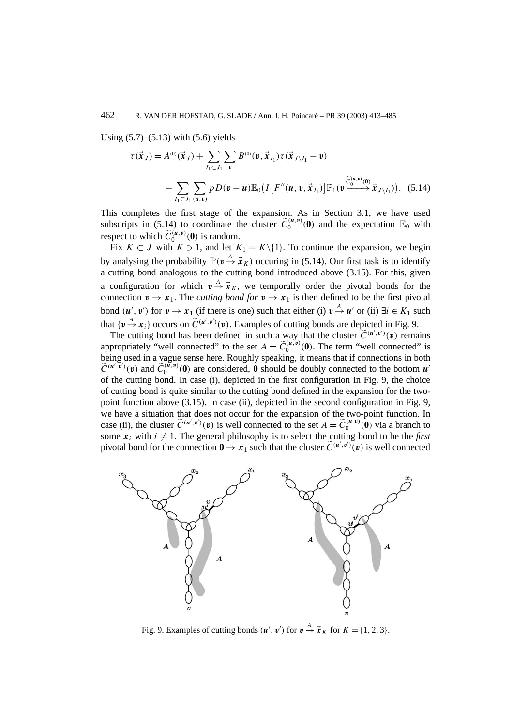Using  $(5.7)$ – $(5.13)$  with  $(5.6)$  yields

$$
\tau(\vec{x}_J) = A^{(0)}(\vec{x}_J) + \sum_{I_1 \subset J_1} \sum_{v} B^{(0)}(v, \vec{x}_{I_1}) \tau(\vec{x}_{J \setminus I_1} - v)
$$
  
- 
$$
\sum_{I_1 \subset J_1} \sum_{(u,v)} p D(v - u) \mathbb{E}_0(I[F''(u, v, \vec{x}_{I_1})] \mathbb{P}_1(v \xrightarrow{\widetilde{C}_0^{(u,v)}(0)} \vec{x}_{J \setminus I_1})). \quad (5.14)
$$

This completes the first stage of the expansion. As in Section 3.1, we have used subscripts in (5.14) to coordinate the cluster  $\tilde{C}_0^{(u,v)}(0)$  and the expectation  $\mathbb{E}_0$  with respect to which  $\widetilde{C}_0^{(u,v)}(0)$  is random.

Fix  $K \subset J$  with  $K \ni 1$ , and let  $K_1 = K \setminus \{1\}$ . To continue the expansion, we begin by analysing the probability  $\mathbb{P}(\nu \stackrel{A}{\to} \vec{x}_K)$  occuring in (5.14). Our first task is to identify a cutting bond analogous to the cutting bond introduced above (3.15). For this, given a configuration for which  $v \stackrel{A}{\rightarrow} \vec{x}_K$ , we temporally order the pivotal bonds for the connection  $v \to x_1$ . The *cutting bond for*  $v \to x_1$  is then defined to be the first pivotal bond  $(u', v')$  for  $v \to x_1$  (if there is one) such that either (i)  $v \stackrel{A}{\to} u'$  or (ii)  $\exists i \in K_1$  such that  $\{v \stackrel{A}{\rightarrow} x_i\}$  occurs on  $\tilde{C}^{(u',v')}(v)$ . Examples of cutting bonds are depicted in Fig. 9.

The cutting bond has been defined in such a way that the cluster  $\tilde{C}^{(u',v')}(\mathbf{v})$  remains appropriately "well connected" to the set  $A = \widetilde{C}_0^{(u,v)}(0)$ . The term "well connected" is being used in a vague sense here. Roughly speaking, it means that if connections in both  $\widetilde{C}^{(u',v')}(\nu)$  and  $\widetilde{C}_0^{(\widetilde{u},v)}(0)$  are considered, 0 should be doubly connected to the bottom  $u'$ of the cutting bond. In case (i), depicted in the first configuration in Fig. 9, the choice of cutting bond is quite similar to the cutting bond defined in the expansion for the twopoint function above (3.15). In case (ii), depicted in the second configuration in Fig. 9, we have a situation that does not occur for the expansion of the two-point function. In case (ii), the cluster  $\tilde{C}^{(u',v')}(v)$  is well connected to the set  $A = \tilde{C}_0^{(u,v)}(0)$  via a branch to some  $x_i$  with  $i \neq 1$ . The general philosophy is to select the cutting bond to be the *first* pivotal bond for the connection  $0 \rightarrow x_1$  such that the cluster  $\widetilde{C}^{(u',v')}(\boldsymbol{v})$  is well connected



Fig. 9. Examples of cutting bonds  $(\mathbf{u}', \mathbf{v}')$  for  $\mathbf{v} \stackrel{A}{\to} \vec{\mathbf{x}}_K$  for  $K = \{1, 2, 3\}.$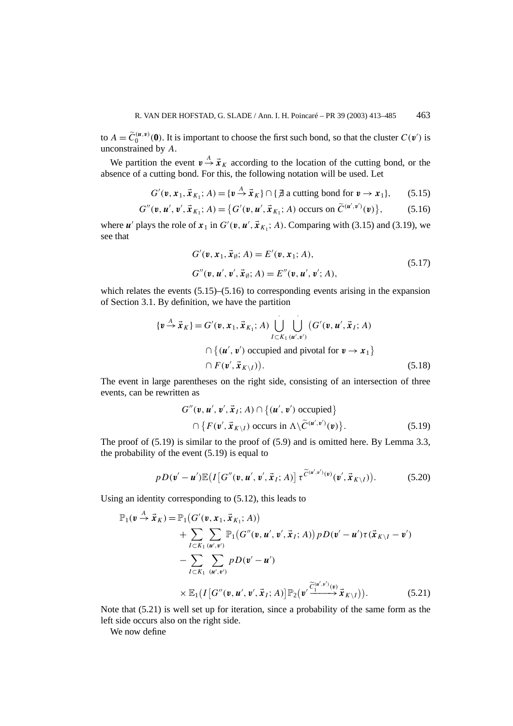to  $A = \widetilde{C}_0^{(\mu,\nu)}(0)$ . It is important to choose the first such bond, so that the cluster  $C(\nu')$  is unconstrained by *A*.

We partition the event  $v \stackrel{A}{\rightarrow} \vec{x}_K$  according to the location of the cutting bond, or the absence of a cutting bond. For this, the following notation will be used. Let

$$
G'(\mathbf{v}, \mathbf{x}_1, \vec{\mathbf{x}}_{K_1}; A) = \{ \mathbf{v} \stackrel{A}{\rightarrow} \vec{\mathbf{x}}_K \} \cap \{ \vec{\mathbf{z}} \text{ a cutting bond for } \mathbf{v} \rightarrow \mathbf{x}_1 \}, \qquad (5.15)
$$

$$
G''(\mathbf{v}, \mathbf{u}', \mathbf{v}', \vec{\mathbf{x}}_{K_1}; A) = \{ G'(\mathbf{v}, \mathbf{u}', \vec{\mathbf{x}}_{K_1}; A) \text{ occurs on } \widetilde{C}^{(\mathbf{u}', \mathbf{v}')}(\mathbf{v}) \},
$$
(5.16)

where *u'* plays the role of  $x_1$  in  $G'(v, u', \vec{x}_{K_1}; A)$ . Comparing with (3.15) and (3.19), we see that

$$
G'(\mathbf{v}, \mathbf{x}_1, \vec{\mathbf{x}}_{\emptyset}; A) = E'(\mathbf{v}, \mathbf{x}_1; A),
$$
  
\n
$$
G''(\mathbf{v}, \mathbf{u}', \mathbf{v}', \vec{\mathbf{x}}_{\emptyset}; A) = E''(\mathbf{v}, \mathbf{u}', \mathbf{v}'; A),
$$
\n(5.17)

which relates the events  $(5.15)$ – $(5.16)$  to corresponding events arising in the expansion of Section 3.1. By definition, we have the partition

$$
\{\mathbf{v} \stackrel{A}{\rightarrow} \vec{\mathbf{x}}_K\} = G'(\mathbf{v}, \mathbf{x}_1, \vec{\mathbf{x}}_{K_1}; A) \bigcup_{I \subset K_1} \bigcup_{(\mathbf{u}', \mathbf{v}')} (G'(\mathbf{v}, \mathbf{u}', \vec{\mathbf{x}}_I; A) \cap \{(\mathbf{u}', \mathbf{v}') \text{ occupied and pivotal for } \mathbf{v} \rightarrow \mathbf{x}_1\} \cap F(\mathbf{v}', \vec{\mathbf{x}}_{K \setminus I})).
$$
\n(5.18)

The event in large parentheses on the right side, consisting of an intersection of three events, can be rewritten as

$$
G''(\mathbf{v}, \mathbf{u}', \mathbf{v}', \vec{\mathbf{x}}_I; A) \cap \{(\mathbf{u}', \mathbf{v}') \text{ occupied}\}\
$$

$$
\cap \{F(\mathbf{v}', \vec{\mathbf{x}}_{K \setminus I}) \text{ occurs in } \Lambda \setminus \widetilde{C}^{(\mathbf{u}', \mathbf{v}')}(\mathbf{v})\}.
$$
(5.19)

The proof of (5.19) is similar to the proof of (5.9) and is omitted here. By Lemma 3.3, the probability of the event (5.19) is equal to

$$
pD(\mathbf{v}'-\mathbf{u}')\mathbb{E}\big(I\big[G''(\mathbf{v},\mathbf{u}',\mathbf{v}',\vec{\mathbf{x}}_I;A)\big]\,\tau^{\widetilde{C}(\mathbf{u}',\mathbf{v}')(\mathbf{v}',\vec{\mathbf{x}}_{K\setminus I})\big). \tag{5.20}
$$

Using an identity corresponding to (5.12), this leads to

$$
\mathbb{P}_1(\boldsymbol{v} \stackrel{A}{\rightarrow} \vec{x}_K) = \mathbb{P}_1(G'(\boldsymbol{v}, \boldsymbol{x}_1, \vec{x}_{K_1}; A)) \n+ \sum_{I \subset K_1} \sum_{(\boldsymbol{u}', \boldsymbol{v}')} \mathbb{P}_1(G''(\boldsymbol{v}, \boldsymbol{u}', \boldsymbol{v}', \vec{x}_I; A)) \, p \, D(\boldsymbol{v}' - \boldsymbol{u}') \tau(\vec{x}_{K \setminus I} - \boldsymbol{v}') \n- \sum_{I \subset K_1} \sum_{(\boldsymbol{u}', \boldsymbol{v}')} p \, D(\boldsymbol{v}' - \boldsymbol{u}') \n\times \mathbb{E}_1(I[G''(\boldsymbol{v}, \boldsymbol{u}', \boldsymbol{v}', \vec{x}_I; A)] \mathbb{P}_2(\boldsymbol{v}' \frac{\widetilde{C}_1^{(\boldsymbol{u}', \boldsymbol{v}')(\boldsymbol{v})}{\rightarrow} \vec{x}_{K \setminus I})). \tag{5.21}
$$

Note that (5.21) is well set up for iteration, since a probability of the same form as the left side occurs also on the right side.

We now define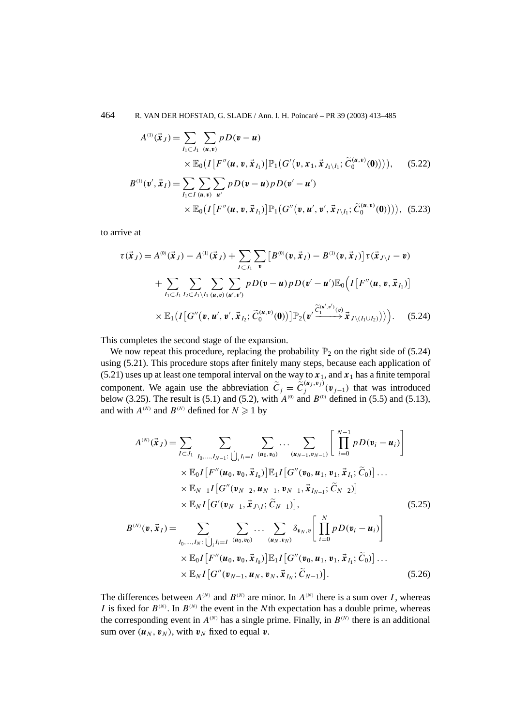464 R. VAN DER HOFSTAD, G. SLADE / Ann. I. H. Poincaré – PR 39 (2003) 413–485

$$
A^{(1)}(\vec{x}_J) = \sum_{I_1 \subset J_1} \sum_{(u,v)} pD(\mathbf{v} - \mathbf{u})
$$
  
 
$$
\times \mathbb{E}_0(I[F''(\mathbf{u}, \mathbf{v}, \vec{x}_{I_1})] \mathbb{P}_1(G'(\mathbf{v}, \mathbf{x}_1, \vec{x}_{J_1 \setminus I_1}; \widetilde{C}_0^{(\mathbf{u}, \mathbf{v})}(\mathbf{0}))))
$$
, (5.22)  

$$
B^{(1)}(\mathbf{v}', \vec{x}_I) = \sum_{I_1 \subset I} \sum_{(u,v)} \sum_{u'} pD(\mathbf{v} - \mathbf{u}) pD(\mathbf{v}' - \mathbf{u}')
$$
  

$$
\times \mathbb{E}_0(I[F''(\mathbf{u}, \mathbf{v}, \vec{x}_{I_1})] \mathbb{P}_1(G''(\mathbf{v}, \mathbf{u}', \mathbf{v}', \vec{x}_{I \setminus I_1}; \widetilde{C}_0^{(\mathbf{u}, \mathbf{v})}(\mathbf{0}))))
$$
, (5.23)

to arrive at

$$
\tau(\vec{x}_J) = A^{(0)}(\vec{x}_J) - A^{(1)}(\vec{x}_J) + \sum_{I \subset J_1} \sum_{v} \left[ B^{(0)}(\mathbf{v}, \vec{x}_I) - B^{(1)}(\mathbf{v}, \vec{x}_I) \right] \tau(\vec{x}_{J \setminus I} - \mathbf{v}) \n+ \sum_{I_1 \subset J_1} \sum_{I_2 \subset J_1 \setminus I_1} \sum_{(u,v)} \sum_{(u',v')} pD(\mathbf{v} - \mathbf{u}) pD(\mathbf{v}' - \mathbf{u}') \mathbb{E}_0 \left( I \left[ F''(\mathbf{u}, \mathbf{v}, \vec{x}_{I_1}) \right] \right) \n\times \mathbb{E}_1 \left( I \left[ G''(\mathbf{v}, \mathbf{u}', \mathbf{v}', \vec{x}_{I_2}; \widetilde{C}_0^{(\mathbf{u}, \mathbf{v})}(\mathbf{0}) \right) \right] \mathbb{P}_2 \left( \mathbf{v}' \frac{\widetilde{C}_1^{(\mathbf{u}', \mathbf{v}')(\mathbf{v})}}{\widetilde{C}_1^{(\mathbf{u}', \mathbf{v}')(\mathbf{v})}} \vec{x}_{J \setminus (I_1 \cup I_2)} \right) \right). \tag{5.24}
$$

This completes the second stage of the expansion.

We now repeat this procedure, replacing the probability  $\mathbb{P}_2$  on the right side of (5.24) using (5.21). This procedure stops after finitely many steps, because each application of (5.21) uses up at least one temporal interval on the way to  $x_1$ , and  $x_1$  has a finite temporal component. We again use the abbreviation  $\tilde{C}_j = \tilde{C}_j^{(u_j, v_j)}(\mathbf{v}_{j-1})$  that was introduced below (3.25). The result is (5.1) and (5.2), with  $A^{(0)}$  and  $B^{(0)}$  defined in (5.5) and (5.13), and with  $A^{(N)}$  and  $B^{(N)}$  defined for  $N \ge 1$  by

$$
A^{(N)}(\vec{x}_{J}) = \sum_{I \subset J_{1}} \sum_{I_{0},...,I_{N-1}:} \sum_{\bigcup_{i}I_{i}=I} \sum_{(u_{0},v_{0})} \cdots \sum_{(u_{N-1},v_{N-1})} \left[ \prod_{i=0}^{N-1} pD(v_{i} - u_{i}) \right]
$$
  
\n
$$
\times \mathbb{E}_{0}I[F''(u_{0}, v_{0}, \vec{x}_{I_{0}})]\mathbb{E}_{1}I[G''(v_{0}, u_{1}, v_{1}, \vec{x}_{I_{1}}; \tilde{C}_{0})] \cdots
$$
  
\n
$$
\times \mathbb{E}_{N-1}I[G''(v_{N-2}, u_{N-1}, v_{N-1}, \vec{x}_{I_{N-1}}; \tilde{C}_{N-2})]
$$
  
\n
$$
\times \mathbb{E}_{N}I[G'(v_{N-1}, \vec{x}_{J \setminus I}; \tilde{C}_{N-1})], \qquad (5.25)
$$
  
\n
$$
B^{(N)}(v, \vec{x}_{I}) = \sum_{I_{0},...,I_{N}:} \sum_{\bigcup_{i}I_{i}=I} \sum_{(u_{0},v_{0})} \cdots \sum_{(u_{N},v_{N})} \delta_{v_{N},v} \left[ \prod_{i=0}^{N} pD(v_{i} - u_{i}) \right]
$$
  
\n
$$
\times \mathbb{E}_{0}I[F''(u_{0}, v_{0}, \vec{x}_{I_{0}})]\mathbb{E}_{1}I[G''(v_{0}, u_{1}, v_{1}, \vec{x}_{I_{1}}; \tilde{C}_{0})] \cdots
$$

 $\times \mathbb{E}_N I \big[G''(\boldsymbol{v}_{N-1}, \boldsymbol{u}_N, \boldsymbol{v}_N, \vec{\boldsymbol{x}}_{I_N}; \widetilde{C}_{N-1})\big]$  $(5.26)$ 

The differences between  $A^{(N)}$  and  $B^{(N)}$  are minor. In  $A^{(N)}$  there is a sum over *I*, whereas *I* is fixed for  $B^{(N)}$ . In  $B^{(N)}$  the event in the *N*th expectation has a double prime, whereas the corresponding event in  $A^{(N)}$  has a single prime. Finally, in  $B^{(N)}$  there is an additional sum over  $(\boldsymbol{u}_N, \boldsymbol{v}_N)$ , with  $\boldsymbol{v}_N$  fixed to equal  $\boldsymbol{v}$ .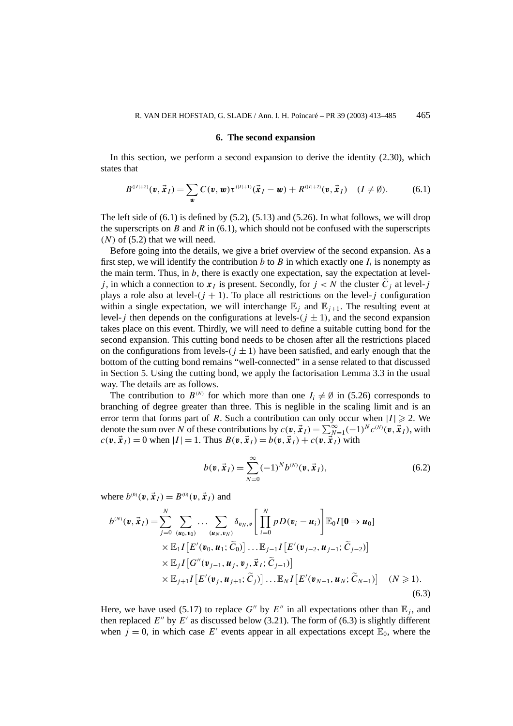#### **6. The second expansion**

In this section, we perform a second expansion to derive the identity (2.30), which states that

$$
B^{(|I|+2)}(\mathbf{v}, \vec{\mathbf{x}}_I) = \sum_{\mathbf{w}} C(\mathbf{v}, \mathbf{w}) \tau^{(|I|+1)}(\vec{\mathbf{x}}_I - \mathbf{w}) + R^{(|I|+2)}(\mathbf{v}, \vec{\mathbf{x}}_I) \quad (I \neq \emptyset).
$$
 (6.1)

The left side of  $(6.1)$  is defined by  $(5.2)$ ,  $(5.13)$  and  $(5.26)$ . In what follows, we will drop the superscripts on *B* and *R* in  $(6.1)$ , which should not be confused with the superscripts  $(N)$  of  $(5.2)$  that we will need.

Before going into the details, we give a brief overview of the second expansion. As a first step, we will identify the contribution *b* to *B* in which exactly one  $I_i$  is nonempty as the main term. Thus, in  $b$ , there is exactly one expectation, say the expectation at level*j*, in which a connection to  $x_i$  is present. Secondly, for  $j < N$  the cluster  $\tilde{C}_i$  at level-*j* plays a role also at level- $(j + 1)$ . To place all restrictions on the level-*j* configuration within a single expectation, we will interchange  $E_j$  and  $E_{j+1}$ . The resulting event at level-*j* then depends on the configurations at levels- $(j \pm 1)$ , and the second expansion takes place on this event. Thirdly, we will need to define a suitable cutting bond for the second expansion. This cutting bond needs to be chosen after all the restrictions placed on the configurations from levels- $(j \pm 1)$  have been satisfied, and early enough that the bottom of the cutting bond remains "well-connected" in a sense related to that discussed in Section 5. Using the cutting bond, we apply the factorisation Lemma 3.3 in the usual way. The details are as follows.

The contribution to  $B^{(N)}$  for which more than one  $I_i \neq \emptyset$  in (5.26) corresponds to branching of degree greater than three. This is neglible in the scaling limit and is an error term that forms part of *R*. Such a contribution can only occur when  $|I| \ge 2$ . We denote the sum over *N* of these contributions by  $c(\mathbf{v}, \vec{x}_I) = \sum_{N=1}^{\infty} (-1)^N c^{(N)}(\mathbf{v}, \vec{x}_I)$ , with  $c(\mathbf{v}, \vec{\mathbf{x}}_l) = 0$  when  $|I| = 1$ . Thus  $B(\mathbf{v}, \vec{\mathbf{x}}_l) = b(\mathbf{v}, \vec{\mathbf{x}}_l) + c(\mathbf{v}, \vec{\mathbf{x}}_l)$  with

$$
b(\mathbf{v}, \vec{\mathbf{x}}_I) = \sum_{N=0}^{\infty} (-1)^N b^{(N)}(\mathbf{v}, \vec{\mathbf{x}}_I),
$$
 (6.2)

where  $b^{(0)}(\nu, \vec{x}_I) = B^{(0)}(\nu, \vec{x}_I)$  and

$$
b^{(N)}(\mathbf{v}, \vec{\mathbf{x}}_I) = \sum_{j=0}^{N} \sum_{(\mathbf{u}_0, \mathbf{v}_0)} \dots \sum_{(\mathbf{u}_N, \mathbf{v}_N)} \delta_{\mathbf{v}_N, \mathbf{v}} \left[ \prod_{i=0}^{N} p D(\mathbf{v}_i - \mathbf{u}_i) \right] \mathbb{E}_0 I[\mathbf{0} \Rightarrow \mathbf{u}_0] \times \mathbb{E}_1 I \left[ E'(\mathbf{v}_0, \mathbf{u}_1; \tilde{C}_0) \right] \dots \mathbb{E}_{j-1} I \left[ E'(\mathbf{v}_{j-2}, \mathbf{u}_{j-1}; \tilde{C}_{j-2}) \right] \times \mathbb{E}_j I \left[ G''(\mathbf{v}_{j-1}, \mathbf{u}_j, \mathbf{v}_j, \vec{\mathbf{x}}_I; \tilde{C}_{j-1}) \right] \times \mathbb{E}_{j+1} I \left[ E'(\mathbf{v}_j, \mathbf{u}_{j+1}; \tilde{C}_j) \right] \dots \mathbb{E}_N I \left[ E'(\mathbf{v}_{N-1}, \mathbf{u}_N; \tilde{C}_{N-1}) \right] \quad (N \ge 1).
$$
\n(6.3)

Here, we have used (5.17) to replace  $G''$  by  $E''$  in all expectations other than  $E_j$ , and then replaced  $E''$  by  $E'$  as discussed below (3.21). The form of (6.3) is slightly different when  $j = 0$ , in which case E' events appear in all expectations except  $\mathbb{E}_0$ , where the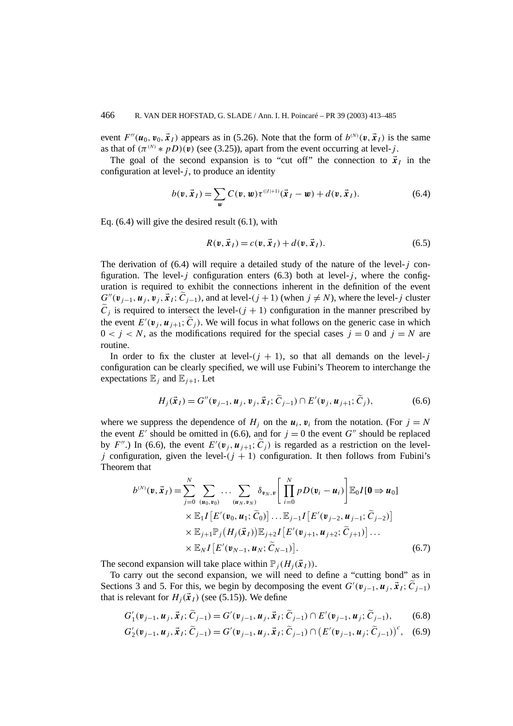event  $F''(\mathbf{u}_0, \mathbf{v}_0, \mathbf{x}_I)$  appears as in (5.26). Note that the form of  $b^{(N)}(\mathbf{v}, \mathbf{x}_I)$  is the same as that of  $(\pi^{(N)} * pD)(v)$  (see (3.25)), apart from the event occurring at level-*j*.

The goal of the second expansion is to "cut off" the connection to  $\vec{x}_I$  in the configuration at level- $j$ , to produce an identity

$$
b(\mathbf{v}, \vec{\mathbf{x}}_I) = \sum_{\mathbf{w}} C(\mathbf{v}, \mathbf{w}) \tau^{(|I|+1)}(\vec{\mathbf{x}}_I - \mathbf{w}) + d(\mathbf{v}, \vec{\mathbf{x}}_I). \tag{6.4}
$$

Eq. (6.4) will give the desired result (6.1), with

$$
R(\mathbf{v}, \vec{\mathbf{x}}_I) = c(\mathbf{v}, \vec{\mathbf{x}}_I) + d(\mathbf{v}, \vec{\mathbf{x}}_I). \tag{6.5}
$$

The derivation of (6.4) will require a detailed study of the nature of the level-*j* configuration. The level- $j$  configuration enters (6.3) both at level- $j$ , where the configuration is required to exhibit the connections inherent in the definition of the event  $G''(\mathbf{v}_{j-1}, \mathbf{u}_j, \mathbf{v}_j, \vec{x}_I; \widetilde{C}_{j-1})$ , and at level- $(j+1)$  (when  $j \neq N$ ), where the level-j cluster  $\tilde{C}_i$  is required to intersect the level- $(j + 1)$  configuration in the manner prescribed by the event  $E'(\mathbf{v}_j, \mathbf{u}_{j+1}; \tilde{C}_j)$ . We will focus in what follows on the generic case in which  $0 < j < N$ , as the modifications required for the special cases  $j = 0$  and  $j = N$  are routine.

In order to fix the cluster at level- $(j + 1)$ , so that all demands on the level-*j* configuration can be clearly specified, we will use Fubini's Theorem to interchange the expectations  $\mathbb{E}_i$  and  $\mathbb{E}_{i+1}$ . Let

$$
H_j(\vec{x}_I) = G''(\nu_{j-1}, \nu_j, \vec{x}_I; \tilde{C}_{j-1}) \cap E'(\nu_j, \nu_{j+1}; \tilde{C}_j),
$$
(6.6)

where we suppress the dependence of  $H_i$  on the  $u_i$ ,  $v_i$  from the notation. (For  $j = N$ the event *E'* should be omitted in (6.6), and for  $j = 0$  the event *G''* should be replaced by *F*<sup>*n*</sup>.) In (6.6), the event  $E'(\mathbf{v}_j, \mathbf{u}_{j+1}; \tilde{C}_j)$  is regarded as a restriction on the level*j* configuration, given the level- $(j + 1)$  configuration. It then follows from Fubini's Theorem that

$$
b^{(N)}(\mathbf{v}, \vec{\mathbf{x}}_I) = \sum_{j=0}^N \sum_{(\mathbf{u}_0, \mathbf{v}_0)} \dots \sum_{(\mathbf{u}_N, \mathbf{v}_N)} \delta_{\mathbf{v}_N, \mathbf{v}} \left[ \prod_{i=0}^N p D(\mathbf{v}_i - \mathbf{u}_i) \right] \mathbb{E}_0 I[\mathbf{0} \Rightarrow \mathbf{u}_0] \times \mathbb{E}_1 I \left[ E'(\mathbf{v}_0, \mathbf{u}_1; \widetilde{C}_0) \right] \dots \mathbb{E}_{j-1} I \left[ E'(\mathbf{v}_{j-2}, \mathbf{u}_{j-1}; \widetilde{C}_{j-2}) \right] \times \mathbb{E}_{j+1} \mathbb{P}_j \left( H_j(\vec{\mathbf{x}}_I) \right) \mathbb{E}_{j+2} I \left[ E'(\mathbf{v}_{j+1}, \mathbf{u}_{j+2}; \widetilde{C}_{j+1}) \right] \dots \times \mathbb{E}_N I \left[ E'(\mathbf{v}_{N-1}, \mathbf{u}_N; \widetilde{C}_{N-1}) \right].
$$
\n(6.7)

The second expansion will take place within  $\mathbb{P}_j(H_j(\vec{x}_I))$ .

To carry out the second expansion, we will need to define a "cutting bond" as in Sections 3 and 5. For this, we begin by decomposing the event  $G'(v_{j-1}, u_j, \vec{x}_I; \vec{C}_{j-1})$ that is relevant for  $H_i(\vec{x}_I)$  (see (5.15)). We define

$$
G'_{1}(\mathbf{v}_{j-1}, \mathbf{u}_{j}, \vec{\mathbf{x}}_{I}; \widetilde{C}_{j-1}) = G'(\mathbf{v}_{j-1}, \mathbf{u}_{j}, \vec{\mathbf{x}}_{I}; \widetilde{C}_{j-1}) \cap E'(\mathbf{v}_{j-1}, \mathbf{u}_{j}; \widetilde{C}_{j-1}),
$$
(6.8)

$$
G'_{2}(\mathbf{v}_{j-1}, \mathbf{u}_{j}, \vec{\mathbf{x}}_{I}; \widetilde{C}_{j-1}) = G'(\mathbf{v}_{j-1}, \mathbf{u}_{j}, \vec{\mathbf{x}}_{I}; \widetilde{C}_{j-1}) \cap (E'(\mathbf{v}_{j-1}, \mathbf{u}_{j}; \widetilde{C}_{j-1}))^{c}, \quad (6.9)
$$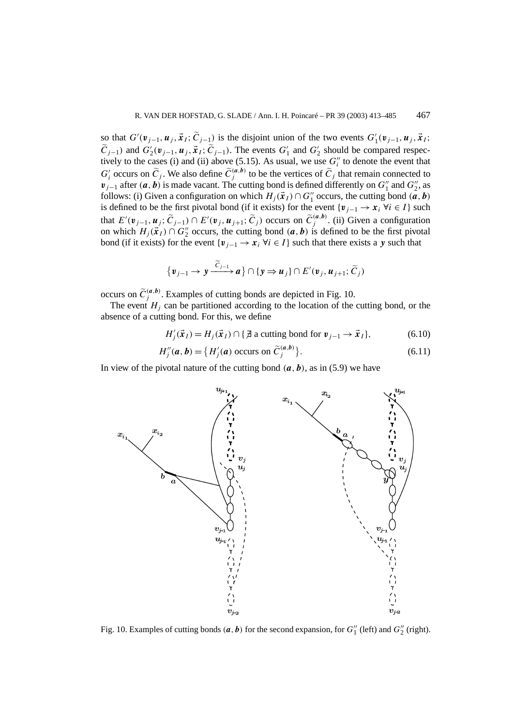so that  $G'(\mathbf{v}_{j-1}, \mathbf{u}_j, \vec{\mathbf{x}}_I; \widetilde{C}_{j-1})$  is the disjoint union of the two events  $G'_1(\mathbf{v}_{j-1}, \mathbf{u}_j, \vec{\mathbf{x}}_I;$  $\tilde{C}_{j-1}$  and  $G'_{2}$  ( $v_{j-1}$ ,  $u_j$ ,  $\vec{x}_I$ ;  $\tilde{C}_{j-1}$ ). The events  $G'_{1}$  and  $G'_{2}$  should be compared respectively to the cases (i) and (ii) above (5.15). As usual, we use  $G_i''$  to denote the event that  $G_i'$  occurs on  $\tilde{C}_j$ . We also define  $\tilde{C}_j^{(a,b)}$  to be the vertices of  $\tilde{C}_j$  that remain connected to *v*<sub>*j*−1</sub> after  $(a, b)$  is made vacant. The cutting bond is defined differently on  $G_1''$  and  $G_2''$ , as follows: (i) Given a configuration on which  $H_j(\vec{x}_I) \cap G''_1$  occurs, the cutting bond  $(\vec{a}, \vec{b})$ is defined to be the first pivotal bond (if it exists) for the event  $\{v_{i-1} \to x_i \; \forall i \in I\}$  such that  $E'(v_{j-1}, u_j; \tilde{C}_{j-1}) \cap E'(v_j, u_{j+1}; \tilde{C}_j)$  occurs on  $\tilde{C}_j^{(a,b)}$ . (ii) Given a configuration on which  $H_j(\vec{x}_I) \cap G_2''$  occurs, the cutting bond  $(a, b)$  is defined to be the first pivotal bond (if it exists) for the event  $\{v_{i-1} \to x_i \; \forall i \in I\}$  such that there exists a *y* such that

$$
\{v_{j-1}\to y\stackrel{\widetilde{C}_{j-1}}{\longrightarrow}a\}\cap\{y\Rightarrow u_j\}\cap E'(v_j,u_{j+1};\widetilde{C}_j)
$$

occurs on  $\tilde{C}_j^{(a,b)}$ . Examples of cutting bonds are depicted in Fig. 10.

The event  $H_i$  can be partitioned according to the location of the cutting bond, or the absence of a cutting bond. For this, we define

$$
H'_{j}(\vec{x}_{I}) = H_{j}(\vec{x}_{I}) \cap \{ \vec{\beta} \text{ a cutting bond for } \mathbf{v}_{j-1} \to \vec{x}_{I} \},
$$
 (6.10)

$$
H''_j(a, b) = \{ H'_j(a) \text{ occurs on } \tilde{C}^{(a, b)}_j \}. \tag{6.11}
$$

In view of the pivotal nature of the cutting bond  $(a, b)$ , as in (5.9) we have



Fig. 10. Examples of cutting bonds  $(a, b)$  for the second expansion, for  $G''_1$  (left) and  $G''_2$  (right).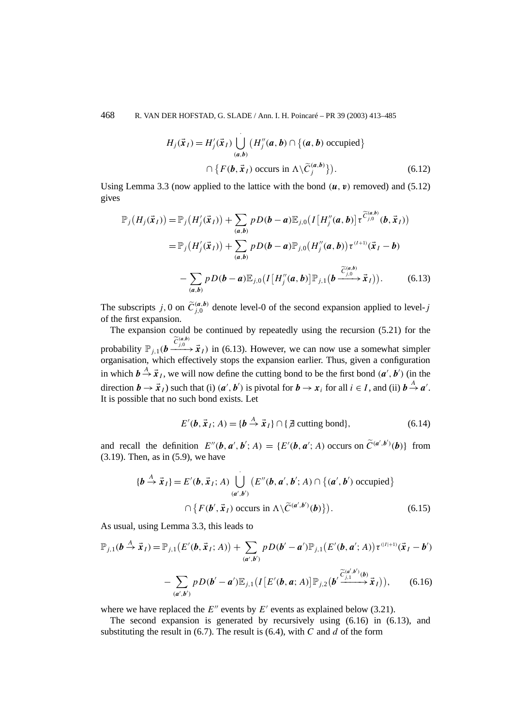468 R. VAN DER HOFSTAD, G. SLADE / Ann. I. H. Poincaré – PR 39 (2003) 413–485

$$
H_j(\vec{x}_I) = H'_j(\vec{x}_I) \bigcup_{(a,b)} (H''_j(a,b) \cap \{(a,b) \text{ occupied}\}\
$$
  

$$
\cap \{F(b,\vec{x}_I) \text{ occurs in } \Lambda \setminus \widetilde{C}_j^{(a,b)}\}).
$$
 (6.12)

Using Lemma 3.3 (now applied to the lattice with the bond  $(\mathbf{u}, \mathbf{v})$  removed) and (5.12) gives

$$
\mathbb{P}_{j}(H_{j}(\vec{x}_{I})) = \mathbb{P}_{j}(H'_{j}(\vec{x}_{I})) + \sum_{(a,b)} pD(b-a)\mathbb{E}_{j,0}(I[H''_{j}(a,b)]\tau^{\widetilde{C}^{(a,b)}_{j,0}}(b,\vec{x}_{I}))
$$
  
\n
$$
= \mathbb{P}_{j}(H'_{j}(\vec{x}_{I})) + \sum_{(a,b)} pD(b-a)\mathbb{P}_{j,0}(H''_{j}(a,b))\tau^{(l+1)}(\vec{x}_{I}-b)
$$
  
\n
$$
- \sum_{(a,b)} pD(b-a)\mathbb{E}_{j,0}(I[H''_{j}(a,b)]\mathbb{P}_{j,1}(b \xrightarrow{\widetilde{C}^{(a,b)}_{j,0}} \vec{x}_{I})). \qquad (6.13)
$$

The subscripts *j*, 0 on  $\tilde{C}^{(a,b)}_{j,0}$  denote level-0 of the second expansion applied to level-*j* of the first expansion.

The expansion could be continued by repeatedly using the recursion (5.21) for the probability  $\mathbb{P}_{j,1}(\boldsymbol{b} \xrightarrow{\widetilde{C}_{j,0}^{(a,b)}} \vec{x}_I)$  in (6.13). However, we can now use a somewhat simpler organisation, which effectively stops the expansion earlier. Thus, given a configuration in which  $b \stackrel{A}{\rightarrow} \vec{x}_I$ , we will now define the cutting bond to be the first bond  $(a', b')$  (in the direction  $\mathbf{b} \to \vec{x}_I$ ) such that (i)  $(\mathbf{a}', \mathbf{b}')$  is pivotal for  $\mathbf{b} \to \mathbf{x}_i$  for all  $i \in I$ , and (ii)  $\mathbf{b} \stackrel{A}{\to} \mathbf{a}'$ . It is possible that no such bond exists. Let

$$
E'(\boldsymbol{b}, \vec{x}_I; A) = \{ \boldsymbol{b} \stackrel{A}{\to} \vec{x}_I \} \cap \{ \vec{A} \text{ cutting bond} \},\tag{6.14}
$$

and recall the definition  $E''(\mathbf{b}, \mathbf{a}', \mathbf{b}'; A) = \{E'(\mathbf{b}, \mathbf{a}'; A) \text{ occurs on } \widetilde{C}^{(\mathbf{a}', \mathbf{b}')}(\mathbf{b})\}\)$  from (3.19). Then, as in (5.9), we have

$$
\{\boldsymbol{b} \stackrel{A}{\rightarrow} \vec{x}_I\} = E'(\boldsymbol{b}, \vec{x}_I; A) \bigcup_{(a',b')}^{'} (E''(\boldsymbol{b}, a', b'; A) \cap \{(a', b') \text{ occupied}\}\
$$

$$
\cap \{F(\boldsymbol{b}', \vec{x}_I) \text{ occurs in } \Lambda \setminus \widetilde{C}^{(a',b')}(\boldsymbol{b})\} ).
$$
(6.15)

As usual, using Lemma 3.3, this leads to

$$
\mathbb{P}_{j,1}(\boldsymbol{b} \stackrel{A}{\rightarrow} \vec{x}_I) = \mathbb{P}_{j,1}\big(E'(\boldsymbol{b}, \vec{x}_I; A)\big) + \sum_{(\boldsymbol{a}', \boldsymbol{b}')}\, p\,D(\boldsymbol{b}' - \boldsymbol{a}')\mathbb{P}_{j,1}\big(E'(\boldsymbol{b}, \boldsymbol{a}'; A)\big)\tau^{(|I|+1)}(\vec{x}_I - \boldsymbol{b}')\n- \sum_{(\boldsymbol{a}', \boldsymbol{b}')}\, p\,D(\boldsymbol{b}' - \boldsymbol{a}')\mathbb{E}_{j,1}\big(I\big[E'(\boldsymbol{b}, \boldsymbol{a}; A)\big]\mathbb{P}_{j,2}\big(\boldsymbol{b}' \xrightarrow{\widetilde{C}_{j,1}^{(\boldsymbol{a}', \boldsymbol{b}')}(\boldsymbol{b})}\vec{x}_I\big)\big),\n\tag{6.16}
$$

where we have replaced the  $E''$  events by  $E'$  events as explained below (3.21).

The second expansion is generated by recursively using (6.16) in (6.13), and substituting the result in (6.7). The result is (6.4), with *C* and *d* of the form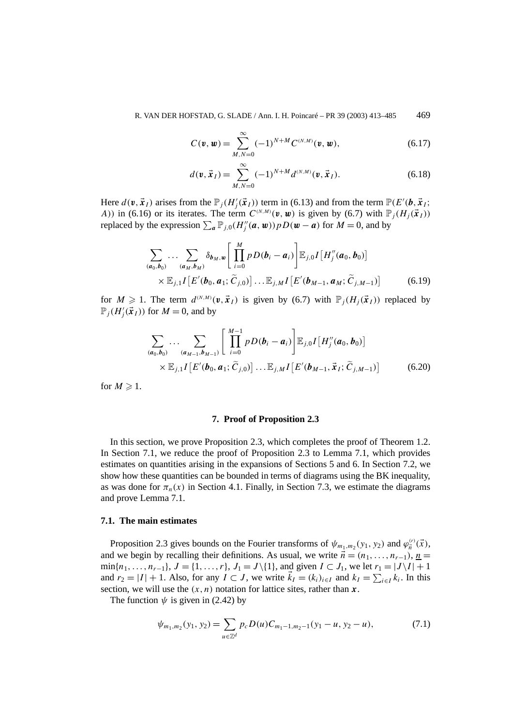R. VAN DER HOFSTAD, G. SLADE / Ann. I. H. Poincaré – PR 39 (2003) 413–485 469

$$
C(\mathbf{v}, \mathbf{w}) = \sum_{M,N=0}^{\infty} (-1)^{N+M} C^{(N,M)}(\mathbf{v}, \mathbf{w}),
$$
 (6.17)

$$
d(\mathbf{v}, \vec{\mathbf{x}}_I) = \sum_{M,N=0}^{\infty} (-1)^{N+M} d^{(N,M)}(\mathbf{v}, \vec{\mathbf{x}}_I).
$$
 (6.18)

Here  $d(\mathbf{v}, \mathbf{x}_I)$  arises from the  $\mathbb{P}_j(H'_j(\mathbf{x}_I))$  term in (6.13) and from the term  $\mathbb{P}(E'(\mathbf{b}, \mathbf{x}_I))$ *A*)) in (6.16) or its iterates. The term  $C^{(N,M)}(\mathbf{v}, \mathbf{w})$  is given by (6.7) with  $\mathbb{P}_i(H_i(\vec{x}_I))$ replaced by the expression  $\sum_{a} \mathbb{P}_{j,0}(H''_j(a, w)) p D(w - a)$  for  $M = 0$ , and by

$$
\sum_{(\boldsymbol{a}_0,\boldsymbol{b}_0)}\ldots\sum_{(\boldsymbol{a}_M,\boldsymbol{b}_M)}\delta_{\boldsymbol{b}_M,\boldsymbol{w}}\left[\prod_{i=0}^M p D(\boldsymbol{b}_i-\boldsymbol{a}_i)\right]\mathbb{E}_{j,0}I[H_j''(\boldsymbol{a}_0,\boldsymbol{b}_0)]\times\mathbb{E}_{j,1}I[E'(\boldsymbol{b}_0,\boldsymbol{a}_1;\widetilde{C}_{j,0})]\ldots\mathbb{E}_{j,M}I[E'(\boldsymbol{b}_{M-1},\boldsymbol{a}_M;\widetilde{C}_{j,M-1})]
$$
(6.19)

for  $M \ge 1$ . The term  $d^{(N,M)}(\mathbf{v}, \vec{\mathbf{x}}_I)$  is given by (6.7) with  $\mathbb{P}_i(H_i(\vec{\mathbf{x}}_I))$  replaced by  $\mathbb{P}_j(H'_j(\vec{x}_I))$  for  $M = 0$ , and by

$$
\sum_{(a_0,b_0)} \dots \sum_{(a_{M-1},b_{M-1})} \left[ \prod_{i=0}^{M-1} p D(b_i - a_i) \right] \mathbb{E}_{j,0} I[H''_j(a_0, b_0)] \times \mathbb{E}_{j,1} I[E'(b_0, a_1; \widetilde{C}_{j,0})] \dots \mathbb{E}_{j,M} I[E'(b_{M-1}, \vec{x}_I; \widetilde{C}_{j,M-1})]
$$
(6.20)

for  $M \geq 1$ .

## **7. Proof of Proposition 2.3**

In this section, we prove Proposition 2.3, which completes the proof of Theorem 1.2. In Section 7.1, we reduce the proof of Proposition 2.3 to Lemma 7.1, which provides estimates on quantities arising in the expansions of Sections 5 and 6. In Section 7.2, we show how these quantities can be bounded in terms of diagrams using the BK inequality, as was done for  $\pi_n(x)$  in Section 4.1. Finally, in Section 7.3, we estimate the diagrams and prove Lemma 7.1.

### **7.1. The main estimates**

Proposition 2.3 gives bounds on the Fourier transforms of  $\psi_{m_1,m_2}(y_1, y_2)$  and  $\varphi_{\vec{n}}^{(r)}(\vec{x})$ , and we begin by recalling their definitions. As usual, we write  $\vec{n} = (n_1, \ldots, n_{r-1}), n =$  $\min\{n_1, \ldots, n_{r-1}\}, J = \{1, \ldots, r\}, J_1 = J \setminus \{1\}, \text{ and given } I \subset J_1, \text{ we let } r_1 = |J \setminus I| + 1$ and  $r_2 = |I| + 1$ . Also, for any  $I \subset J$ , we write  $\vec{k}_I = (k_i)_{i \in I}$  and  $k_I = \sum_{i \in I} k_i$ . In this section, we will use the  $(x, n)$  notation for lattice sites, rather than  $x$ .

The function  $\psi$  is given in (2.42) by

$$
\psi_{m_1,m_2}(y_1, y_2) = \sum_{u \in \mathbb{Z}^d} p_c D(u) C_{m_1-1,m_2-1}(y_1 - u, y_2 - u), \tag{7.1}
$$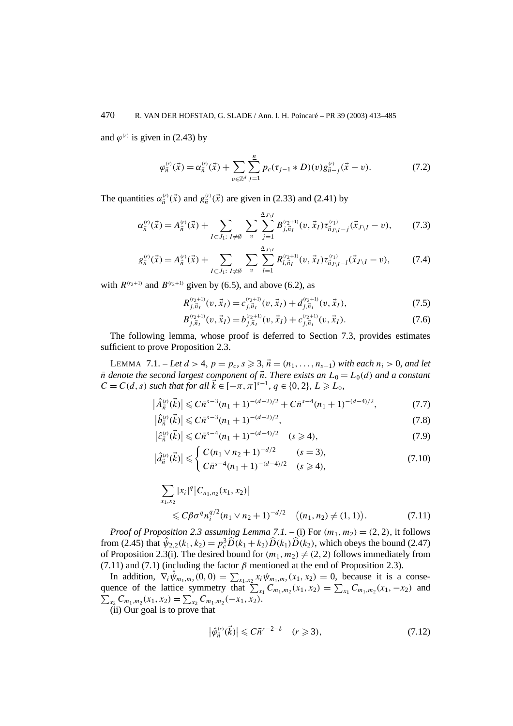and  $\varphi^{(r)}$  is given in (2.43) by

$$
\varphi_{\vec{n}}^{(r)}(\vec{x}) = \alpha_{\vec{n}}^{(r)}(\vec{x}) + \sum_{v \in \mathbb{Z}^d} \sum_{j=1}^n p_c(\tau_{j-1} * D)(v) g_{\vec{n}-j}^{(r)}(\vec{x} - v).
$$
(7.2)

The quantities  $\alpha_{\vec{n}}^{(r)}(\vec{x})$  and  $g_{\vec{n}}^{(r)}(\vec{x})$  are given in (2.33) and (2.41) by

$$
\alpha_{\vec{n}}^{(r)}(\vec{x}) = A_{\vec{n}}^{(r)}(\vec{x}) + \sum_{I \subset J_1: \ I \neq \emptyset} \sum_{v} \sum_{j=1}^{\frac{n}{2}J \setminus I} B_{j, \vec{n}_I}^{(r_2+1)}(v, \vec{x}_I) \tau_{\vec{n}_J \setminus I-j}^{(r_1)}(\vec{x}_{J \setminus I} - v), \tag{7.3}
$$

$$
g_{\vec{n}}^{(r)}(\vec{x}) = A_{\vec{n}}^{(r)}(\vec{x}) + \sum_{I \subset J_1: \ I \neq \emptyset} \sum_{v} \sum_{l=1}^{\underline{n}_{J \setminus I}} R_{l, \overline{n}_I}^{(r_2+1)}(v, \vec{x}_I) \tau_{\overline{n}_{J \setminus I} - l}^{(r_1)}(\vec{x}_{J \setminus I} - v), \tag{7.4}
$$

with  $R^{(r_2+1)}$  and  $B^{(r_2+1)}$  given by (6.5), and above (6.2), as

$$
R_{j,\vec{n}_I}^{(r_2+1)}(v,\vec{x}_I) = c_{j,\vec{n}_I}^{(r_2+1)}(v,\vec{x}_I) + d_{j,\vec{n}_I}^{(r_2+1)}(v,\vec{x}_I),
$$
\n(7.5)

$$
B_{j,\vec{n}_I}^{(r_2+1)}(v,\vec{x}_I) = b_{j,\vec{n}_I}^{(r_2+1)}(v,\vec{x}_I) + c_{j,\vec{n}_I}^{(r_2+1)}(v,\vec{x}_I). \tag{7.6}
$$

The following lemma, whose proof is deferred to Section 7.3, provides estimates sufficient to prove Proposition 2.3.

LEMMA 7.1. − *Let*  $d > 4$ *,*  $p = p_c$ *,*  $s \ge 3$ *,*  $\vec{n} = (n_1, \ldots, n_{s-1})$  *with each*  $n_i > 0$ *, and let*  $\bar{n}$  *denote the second largest component of*  $\vec{n}$ *. There exists an*  $L_0 = L_0(d)$  *and a constant C* = *C*(*d*, *s*) *such that for all*  $\vec{k}$  ∈ [− $\pi$ ,  $\pi$ ]<sup>*s*−1</sup>, *q* ∈ {0, 2}, *L* ≥ *L*<sub>0</sub>*,* 

$$
\left|\hat{A}_{\vec{n}}^{(s)}(\vec{k})\right| \leqslant C\bar{n}^{s-3}(n_1+1)^{-(d-2)/2} + C\bar{n}^{s-4}(n_1+1)^{-(d-4)/2},\tag{7.7}
$$

$$
\left|\hat{b}_{\vec{n}}^{(s)}(\vec{k})\right| \leqslant C\bar{n}^{s-3}(n_1+1)^{-(d-2)/2},\tag{7.8}
$$

$$
\left|\hat{c}_{\vec{n}}^{(s)}(\vec{k})\right| \leqslant C\bar{n}^{s-4}(n_1+1)^{-(d-4)/2} \quad (s \geqslant 4),\tag{7.9}
$$

$$
\left|\hat{d}_{\vec{n}}^{(s)}(\vec{k})\right| \leqslant \begin{cases} C(n_1 \vee n_2 + 1)^{-d/2} & (s = 3), \\ C\bar{n}^{s-4}(n_1 + 1)^{-(d-4)/2} & (s \geqslant 4), \end{cases} \tag{7.10}
$$

$$
\sum_{x_1, x_2} |x_i|^q |C_{n_1, n_2}(x_1, x_2)|
$$
  
\n
$$
\leq C \beta \sigma^q n_i^{q/2} (n_1 \vee n_2 + 1)^{-d/2} \quad ((n_1, n_2) \neq (1, 1)).
$$
 (7.11)

*Proof of Proposition 2.3 assuming Lemma 7.1.* – (i) For  $(m_1, m_2) = (2, 2)$ , it follows from (2.45) that  $\hat{\psi}_{2,2}(k_1, k_2) = p_c^3 \hat{D}(k_1 + k_2) \hat{D}(k_1) \hat{D}(k_2)$ , which obeys the bound (2.47) of Proposition 2.3(i). The desired bound for  $(m_1, m_2) \neq (2, 2)$  follows immediately from (7.11) and (7.1) (including the factor  $\beta$  mentioned at the end of Proposition 2.3).

In addition,  $\nabla_i \hat{\psi}_{m_1,m_2}(0,0) = \sum_{x_1,x_2} x_i \psi_{m_1,m_2}(x_1,x_2) = 0$ , because it is a consequence of the lattice symmetry that  $\sum_{x_1} C_{m_1,m_2}(x_1, x_2) = \sum_{x_1} C_{m_1,m_2}(x_1, -x_2)$  and  $\sum_{x_2} C_{m_1,m_2}(x_1,x_2) = \sum_{x_2} C_{m_1,m_2}(-x_1,x_2).$ 

(ii) Our goal is to prove that

$$
\left|\hat{\varphi}_{\vec{n}}^{(r)}(\vec{k})\right| \leqslant C\bar{n}^{r-2-\delta} \quad (r \geqslant 3),\tag{7.12}
$$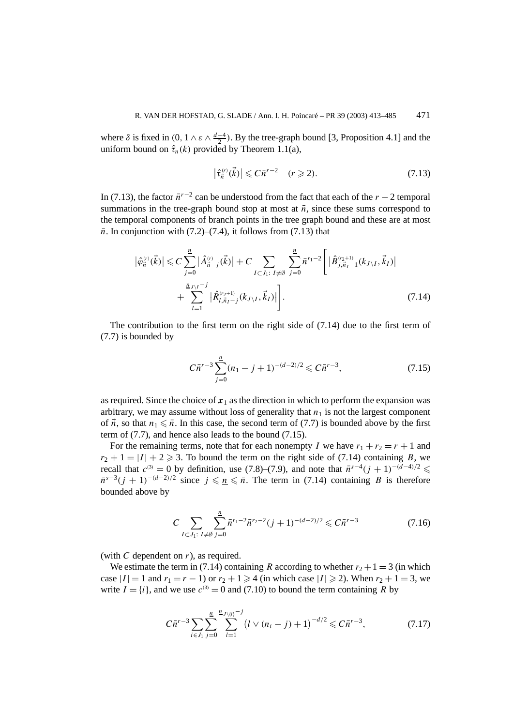where  $\delta$  is fixed in  $(0, 1 \wedge \varepsilon \wedge \frac{d-4}{2})$ . By the tree-graph bound [3, Proposition 4.1] and the uniform bound on  $\hat{\tau}_n(k)$  provided by Theorem 1.1(a),

$$
\left|\hat{\tau}_{\vec{n}}^{(r)}(\vec{k})\right| \leqslant C\bar{n}^{r-2} \quad (r \geqslant 2). \tag{7.13}
$$

In (7.13), the factor  $\bar{n}^{r-2}$  can be understood from the fact that each of the *r* − 2 temporal summations in the tree-graph bound stop at most at  $\bar{n}$ , since these sums correspond to the temporal components of branch points in the tree graph bound and these are at most  $\bar{n}$ . In conjunction with (7.2)–(7.4), it follows from (7.13) that

$$
\left| \hat{\varphi}_{\vec{n}}^{(r)}(\vec{k}) \right| \leq C \sum_{j=0}^{\frac{n}{2}} \left| \hat{A}_{\vec{n}-j}^{(r)}(\vec{k}) \right| + C \sum_{I \subset J_1: I \neq \emptyset} \sum_{j=0}^{\frac{n}{2}} \bar{n}^{r_1 - 2} \left[ \left| \hat{B}_{j,\vec{n}_I-1}^{(r_2+1)}(k_{J \setminus I}, \vec{k}_I) \right| + \sum_{I=1}^{\frac{n}{2}J \setminus I^{-j}} \left| \hat{R}_{I,\vec{n}_I-j}^{(r_2+1)}(k_{J \setminus I}, \vec{k}_I) \right| \right]. \tag{7.14}
$$

The contribution to the first term on the right side of (7.14) due to the first term of (7.7) is bounded by

$$
C\bar{n}^{r-3} \sum_{j=0}^{n} (n_1 - j + 1)^{-(d-2)/2} \leqslant C\bar{n}^{r-3},\tag{7.15}
$$

as required. Since the choice of  $x_1$  as the direction in which to perform the expansion was arbitrary, we may assume without loss of generality that  $n_1$  is not the largest component of  $\vec{n}$ , so that  $n_1 \leq \bar{n}$ . In this case, the second term of (7.7) is bounded above by the first term of (7.7), and hence also leads to the bound (7.15).

For the remaining terms, note that for each nonempty *I* we have  $r_1 + r_2 = r + 1$  and  $r_2 + 1 = |I| + 2 \ge 3$ . To bound the term on the right side of (7.14) containing *B*, we recall that  $c^{(3)} = 0$  by definition, use (7.8)–(7.9), and note that  $\bar{n}^{s-4}(j+1)^{-(d-4)/2} \leq$  $\bar{n}^{s-3}(j + 1)^{-(d-2)/2}$  since  $j \leq n \leq \bar{n}$ . The term in (7.14) containing *B* is therefore bounded above by

$$
C \sum_{I \subset J_1: \ I \neq \emptyset} \sum_{j=0}^n \bar{n}^{r_1 - 2} \bar{n}^{r_2 - 2} (j+1)^{-(d-2)/2} \leqslant C \bar{n}^{r-3} \tag{7.16}
$$

(with *C* dependent on *r*), as required.

We estimate the term in (7.14) containing *R* according to whether  $r_2 + 1 = 3$  (in which case  $|I| = 1$  and  $r_1 = r - 1$ ) or  $r_2 + 1 \ge 4$  (in which case  $|I| \ge 2$ ). When  $r_2 + 1 = 3$ , we write  $I = \{i\}$ , and we use  $c^{(3)} = 0$  and (7.10) to bound the term containing R by

$$
C\bar{n}^{r-3} \sum_{i \in J_1} \sum_{j=0}^{\underline{n}} \sum_{l=1}^{n_{J\setminus\{i\}}-j} \left(l \vee (n_i - j) + 1\right)^{-d/2} \leqslant C\bar{n}^{r-3},\tag{7.17}
$$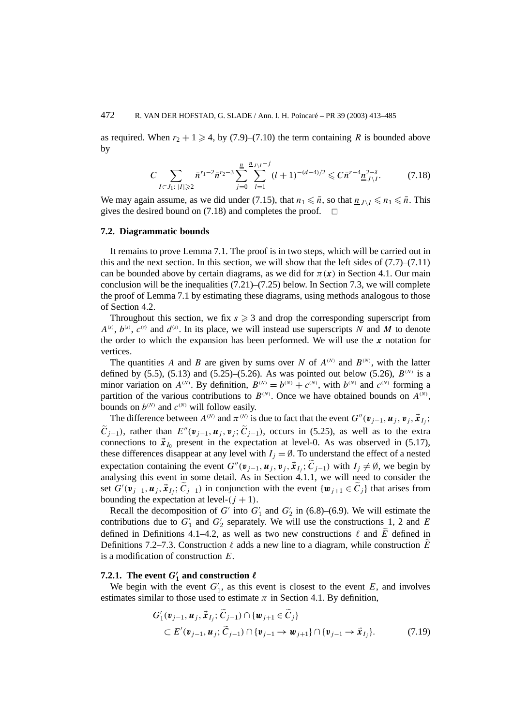as required. When  $r_2 + 1 \geq 4$ , by (7.9)–(7.10) the term containing *R* is bounded above by

$$
C \sum_{I \subset J_1: \; |I| \geqslant 2} \bar{n}^{r_1 - 2} \bar{n}^{r_2 - 3} \sum_{j=0}^{\underline{n}} \sum_{l=1}^{\underline{n}_{J \setminus I} - j} (l+1)^{-(d-4)/2} \leqslant C \bar{n}^{r-4} \underline{n}_{J \setminus I}^{2-\delta}.
$$
 (7.18)

We may again assume, as we did under (7.15), that  $n_1 \leq \bar{n}$ , so that  $n_1 \leq \bar{n}$ . This gives the desired bound on (7.18) and completes the proof.  $\Box$ 

#### **7.2. Diagrammatic bounds**

It remains to prove Lemma 7.1. The proof is in two steps, which will be carried out in this and the next section. In this section, we will show that the left sides of  $(7.7)$ – $(7.11)$ can be bounded above by certain diagrams, as we did for  $\pi(x)$  in Section 4.1. Our main conclusion will be the inequalities  $(7.21)$ – $(7.25)$  below. In Section 7.3, we will complete the proof of Lemma 7.1 by estimating these diagrams, using methods analogous to those of Section 4.2.

Throughout this section, we fix  $s \geq 3$  and drop the corresponding superscript from  $A^{(s)}$ ,  $b^{(s)}$ ,  $c^{(s)}$  and  $d^{(s)}$ . In its place, we will instead use superscripts *N* and *M* to denote the order to which the expansion has been performed. We will use the *x* notation for vertices.

The quantities *A* and *B* are given by sums over *N* of  $A^{(N)}$  and  $B^{(N)}$ , with the latter defined by (5.5), (5.13) and (5.25)–(5.26). As was pointed out below (5.26),  $B^{(N)}$  is a minor variation on  $A^{(N)}$ . By definition,  $B^{(N)} = b^{(N)} + c^{(N)}$ , with  $b^{(N)}$  and  $c^{(N)}$  forming a partition of the various contributions to  $B^{(N)}$ . Once we have obtained bounds on  $A^{(N)}$ , bounds on  $b^{(N)}$  and  $c^{(N)}$  will follow easily.

The difference between  $A^{(N)}$  and  $\pi^{(N)}$  is due to fact that the event  $G''(\mathbf{v}_{j-1}, \mathbf{u}_j, \mathbf{v}_j, \vec{\mathbf{x}}_{I_j};$  $\tilde{C}_{j-1}$ , rather than  $E''(\nu_{j-1}, \nu_j, \tilde{C}_{j-1})$ , occurs in (5.25), as well as to the extra connections to  $\vec{x}_{I_0}$  present in the expectation at level-0. As was observed in (5.17), these differences disappear at any level with  $I_i = \emptyset$ . To understand the effect of a nested expectation containing the event  $G''(\mathbf{v}_{i-1}, \mathbf{u}_i, \mathbf{v}_i, \mathbf{x}_{I_i}; \widetilde{C}_{i-1})$  with  $I_i \neq \emptyset$ , we begin by analysing this event in some detail. As in Section 4.1.1, we will need to consider the set  $G'(v_{j-1}, u_j, \vec{x}_{I_j}; \tilde{C}_{j-1})$  in conjunction with the event  $\{w_{j+1} \in \tilde{C}_j\}$  that arises from bounding the expectation at level- $(j + 1)$ .

Recall the decomposition of *G'* into  $G'_1$  and  $G'_2$  in (6.8)–(6.9). We will estimate the contributions due to  $G_1'$  and  $G_2'$  separately. We will use the constructions 1, 2 and *E* defined in Definitions 4.1–4.2, as well as two new constructions  $\ell$  and  $\tilde{E}$  defined in Definitions 7.2–7.3. Construction  $\ell$  adds a new line to a diagram, while construction E is a modification of construction *E*.

# **7.2.1.** The event  $G'_1$  and construction  $\ell$

We begin with the event  $G'_1$ , as this event is closest to the event  $E$ , and involves estimates similar to those used to estimate  $\pi$  in Section 4.1. By definition,

$$
G'_{1}(\mathbf{v}_{j-1}, \mathbf{u}_{j}, \vec{\mathbf{x}}_{I_{j}}; \widetilde{C}_{j-1}) \cap {\mathbf{w}_{j+1} \in \widetilde{C}_{j}}
$$
  
\n
$$
\subset E'(\mathbf{v}_{j-1}, \mathbf{u}_{j}; \widetilde{C}_{j-1}) \cap {\mathbf{v}_{j-1} \to \mathbf{w}_{j+1}} \cap {\mathbf{v}_{j-1} \to \vec{\mathbf{x}}_{I_{j}}}.
$$
\n(7.19)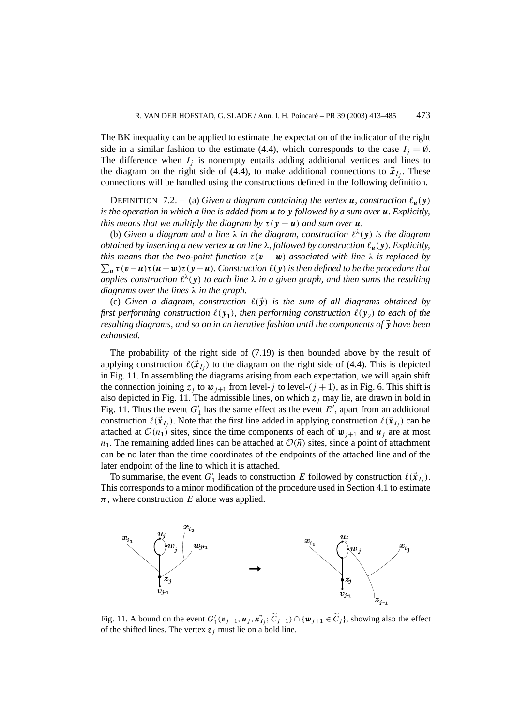The BK inequality can be applied to estimate the expectation of the indicator of the right side in a similar fashion to the estimate (4.4), which corresponds to the case  $I_i = \emptyset$ . The difference when  $I_i$  is nonempty entails adding additional vertices and lines to the diagram on the right side of (4.4), to make additional connections to  $\vec{x}_{I_i}$ . These connections will be handled using the constructions defined in the following definition.

**DEFINITION** 7.2. – (a) Given a diagram containing the vertex **u**, construction  $\ell_u(y)$ *is the operation in which a line is added from u to y followed by a sum over u. Explicitly, this means that we multiply the diagram by*  $\tau$  ( $\gamma$  − *u*) *and sum over u.* 

(b) *Given a diagram and a line*  $\lambda$  *in the diagram, construction*  $\ell^{\lambda}(y)$  *is the diagram obtained by inserting a new vertex u on line λ, followed by construction &u(y). Explicitly, this means that the two-point function*  $\tau(\mathbf{v} - \mathbf{w})$  *associated with line*  $\lambda$  *is replaced by*  $\sum_{u} \tau(v-u)\tau(u-w)\tau(y-u)$ . Construction  $\ell(y)$  is then defined to be the procedure that *applies construction*  $\ell^{\lambda}(y)$  *to each line*  $\lambda$  *in a given graph, and then sums the resulting diagrams over the lines λ in the graph.*

(c) Given a diagram, construction  $\ell(\vec{y})$  is the sum of all diagrams obtained by *first performing construction*  $\ell(y_1)$ *, then performing construction*  $\ell(y_2)$  *to each of the resulting diagrams, and so on in an iterative fashion until the components of y have been exhausted.*

The probability of the right side of (7.19) is then bounded above by the result of applying construction  $\ell(\vec{x}_I)$  to the diagram on the right side of (4.4). This is depicted in Fig. 11. In assembling the diagrams arising from each expectation, we will again shift the connection joining  $z_j$  to  $w_{j+1}$  from level-*j* to level- $(j + 1)$ , as in Fig. 6. This shift is also depicted in Fig. 11. The admissible lines, on which  $z_j$  may lie, are drawn in bold in Fig. 11. Thus the event  $G'_1$  has the same effect as the event  $E'$ , apart from an additional construction  $\ell(\vec{x}_I)$ . Note that the first line added in applying construction  $\ell(\vec{x}_I)$  can be attached at  $\mathcal{O}(n_1)$  sites, since the time components of each of  $\mathbf{w}_{i+1}$  and  $\mathbf{u}_i$  are at most  $n_1$ . The remaining added lines can be attached at  $\mathcal{O}(\bar{n})$  sites, since a point of attachment can be no later than the time coordinates of the endpoints of the attached line and of the later endpoint of the line to which it is attached.

To summarise, the event  $G'_{1}$  leads to construction *E* followed by construction  $\ell(\vec{x}_{I_j})$ . This corresponds to a minor modification of the procedure used in Section 4.1 to estimate  $\pi$ , where construction *E* alone was applied.



Fig. 11. A bound on the event  $G'_1(\mathbf{v}_{j-1}, \mathbf{u}_j, \mathbf{x}_{I_j}^*, \widetilde{C}_{j-1}) \cap {\mathbf{w}_{j+1} \in \widetilde{C}_j}$ , showing also the effect of the shifted lines. The vertex  $z_j$  must lie on a bold line.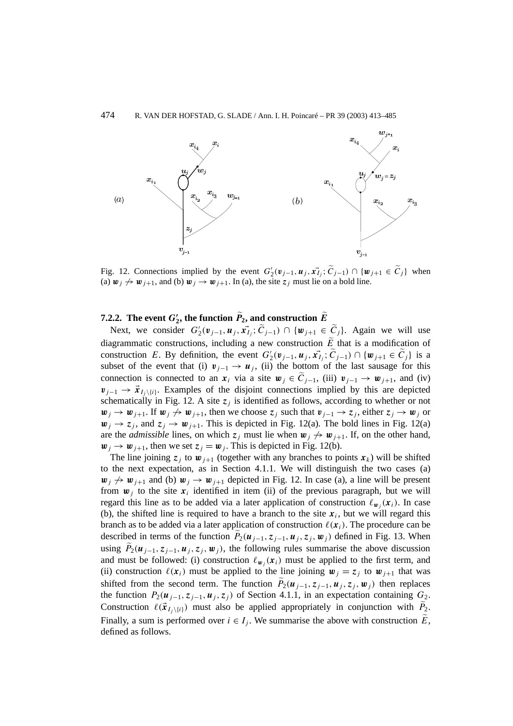

Fig. 12. Connections implied by the event  $G'_2(\mathbf{v}_{j-1}, \mathbf{u}_j, \mathbf{x}_{I_j}; \widetilde{C}_{j-1}) \cap {\mathbf{w}_{j+1} \in \widetilde{C}_j}$  when (a)  $w_j \nightharpoonup w_{j+1}$ , and (b)  $w_j \rightarrow w_{j+1}$ . In (a), the site  $z_j$  must lie on a bold line.

# **7.2.2.** The event  $G'_{2}$ , the function  $P_{2}$ , and construction  $E$

Next, we consider  $G'_2(\mathbf{v}_{j-1}, \mathbf{u}_j, \mathbf{x}_{I_j}; \tilde{C}_{j-1}) \cap {\mathbf{w}_{j+1} \in \tilde{C}_j}$ . Again we will use diagrammatic constructions, including a new construction  $\tilde{E}$  that is a modification of construction *E*. By definition, the event  $G'_2(\mathbf{v}_{j-1}, \mathbf{u}_j, \mathbf{x}_{I_j}^*, \widetilde{C}_{j-1}) \cap {\mathbf{w}_{j+1} \in \widetilde{C}_j}$  is a subset of the event that (i)  $v_{j-1} \rightarrow u_j$ , (ii) the bottom of the last sausage for this connection is connected to an  $x_i$  via a site  $w_j \in \widetilde{C}_{j-1}$ , (iii)  $v_{j-1} \to w_{j+1}$ , and (iv)  $v_{i-1} \rightarrow \vec{x}_{I_i \setminus \{i\}}$ . Examples of the disjoint connections implied by this are depicted schematically in Fig. 12. A site  $z_j$  is identified as follows, according to whether or not *w*<sub>*j*</sub> → *w*<sub>*j*+1</sub>. If *w*<sub>*j*</sub>  $\leftrightarrow$  *w*<sub>*j*+1</sub>, then we choose *z<sub>j</sub>* such that *v*<sub>*j*−1</sub> → *z<sub>j</sub>*, either *z<sub>j</sub>* → *w<sub>j</sub>* or  $w_i \rightarrow z_i$ , and  $z_i \rightarrow w_{i+1}$ . This is depicted in Fig. 12(a). The bold lines in Fig. 12(a) are the *admissible* lines, on which  $z_j$  must lie when  $w_j \nightharpoondown w_{j+1}$ . If, on the other hand,  $w_j \rightarrow w_{j+1}$ , then we set  $z_j = w_j$ . This is depicted in Fig. 12(b).

The line joining  $z_j$  to  $w_{j+1}$  (together with any branches to points  $x_k$ ) will be shifted to the next expectation, as in Section 4.1.1. We will distinguish the two cases (a)  $w_j \nightharpoonup w_{j+1}$  and (b)  $w_j \rightarrow w_{j+1}$  depicted in Fig. 12. In case (a), a line will be present from  $w_i$  to the site  $x_i$  identified in item (ii) of the previous paragraph, but we will regard this line as to be added via a later application of construction  $\ell_{w_i}(x_i)$ . In case (b), the shifted line is required to have a branch to the site  $x_i$ , but we will regard this branch as to be added via a later application of construction  $\ell(x_i)$ . The procedure can be described in terms of the function  $P_2(\mathbf{u}_{j-1}, \mathbf{z}_{j-1}, \mathbf{u}_j, \mathbf{z}_j, \mathbf{w}_j)$  defined in Fig. 13. When using  $P_2(\mathbf{u}_{j-1}, \mathbf{z}_{j-1}, \mathbf{u}_j, \mathbf{z}_j, \mathbf{w}_j)$ , the following rules summarise the above discussion and must be followed: (i) construction  $\ell_{w_i}(x_i)$  must be applied to the first term, and (ii) construction  $\ell(x_i)$  must be applied to the line joining  $w_i = z_i$  to  $w_{i+1}$  that was shifted from the second term. The function  $P_2(\mathbf{u}_{j-1}, \mathbf{z}_{j-1}, \mathbf{u}_j, \mathbf{z}_j, \mathbf{w}_j)$  then replaces the function  $P_2(\mathbf{u}_{j-1}, \mathbf{z}_{j-1}, \mathbf{u}_j, \mathbf{z}_j)$  of Section 4.1.1, in an expectation containing  $G_2$ . Construction  $\ell(\vec{x}_{I_j \setminus \{i\}})$  must also be applied appropriately in conjunction with  $P_2$ . Finally, a sum is performed over  $i \in I_j$ . We summarise the above with construction  $\widetilde{E}$ , defined as follows.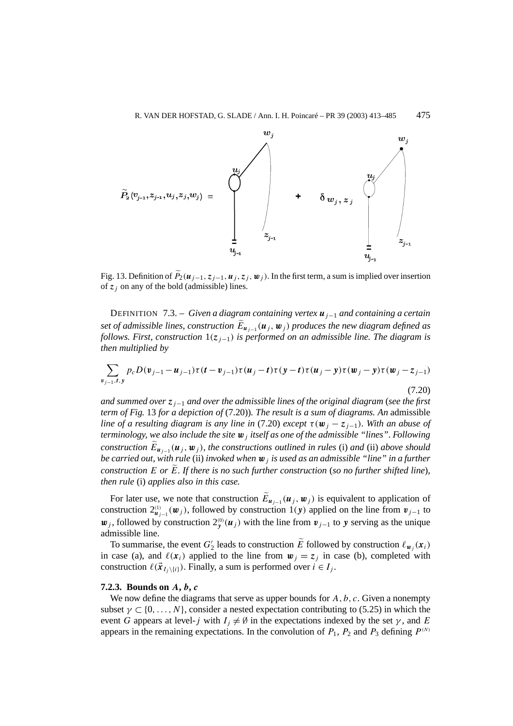

Fig. 13. Definition of  $\widetilde{P}_2(\mathbf{u}_{j-1}, \mathbf{z}_{j-1}, \mathbf{u}_j, \mathbf{z}_j, \mathbf{w}_j)$ . In the first term, a sum is implied over insertion of  $z_j$  on any of the bold (admissible) lines.

DEFINITION 7.3. – *Given a diagram containing vertex uj*−<sup>1</sup> *and containing a certain set of admissible lines, construction*  $E_{u_{i-1}}(u_i, w_i)$  *produces the new diagram defined as follows. First, construction* 1*(zj*−1*) is performed on an admissible line. The diagram is then multiplied by*

$$
\sum_{\mathbf{v}_{j-1},t,\mathbf{y}} p_c D(\mathbf{v}_{j-1}-\mathbf{u}_{j-1}) \tau(\mathbf{t}-\mathbf{v}_{j-1}) \tau(\mathbf{u}_j-\mathbf{t}) \tau(\mathbf{y}-\mathbf{t}) \tau(\mathbf{u}_j-\mathbf{y}) \tau(\mathbf{w}_j-\mathbf{y}) \tau(\mathbf{w}_j-\mathbf{z}_{j-1})
$$
\n(7.20)

*and summed over zj*−<sup>1</sup> *and over the admissible lines of the original diagram* (*see the first term of Fig.* 13 *for a depiction of* (7.20))*. The result is a sum of diagrams. An* admissible *line of a resulting diagram is any line in* (7.20) *except*  $\tau(\mathbf{w}_i - z_{i-1})$ *. With an abuse of terminology, we also include the site w<sup>j</sup> itself as one of the admissible "lines". Following construction*  $\widetilde{E}_{u_{i-1}}(u_j, w_j)$ *, the constructions outlined in rules* (i) *and* (ii) *above should be carried out, with rule* (ii) *invoked when w<sup>j</sup> is used as an admissible "line" in a further construction E or E. If there is no such further construction* (*so no further shifted line*)*, then rule* (i) *applies also in this case.*

For later use, we note that construction *Euj*−<sup>1</sup> *(u<sup>j</sup> ,w<sup>j</sup> )* is equivalent to application of construction  $2^{(1)}_{\mu_{j-1}}(\mu_j)$ , followed by construction 1*(y)* applied on the line from  $v_{j-1}$  to  $w_j$ , followed by construction  $2_y^{(0)}(u_j)$  with the line from  $v_{j-1}$  to *y* serving as the unique admissible line.

To summarise, the event  $G'_2$  leads to construction  $\widetilde{E}$  followed by construction  $\ell_{w_j}(x_i)$ in case (a), and  $\ell(x_i)$  applied to the line from  $w_j = z_j$  in case (b), completed with construction  $\ell(\vec{x}_{I_i \setminus \{i\}})$ . Finally, a sum is performed over  $i \in I_j$ .

## **7.2.3. Bounds on** *A***,** *b***,** *c*

We now define the diagrams that serve as upper bounds for *A, b, c*. Given a nonempty subset  $\gamma \subset \{0, \ldots, N\}$ , consider a nested expectation contributing to (5.25) in which the event *G* appears at level-*j* with  $I_i \neq \emptyset$  in the expectations indexed by the set  $\gamma$ , and *E* appears in the remaining expectations. In the convolution of  $P_1$ ,  $P_2$  and  $P_3$  defining  $P^{(N)}$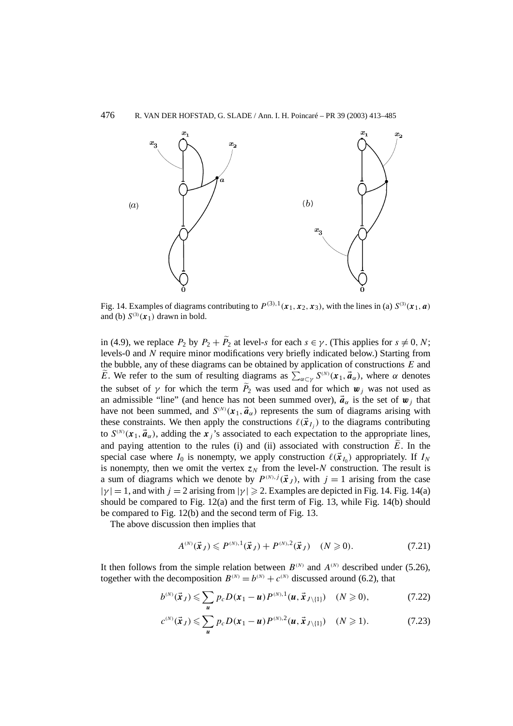

Fig. 14. Examples of diagrams contributing to  $P^{(3),1}(\mathbf{x}_1, \mathbf{x}_2, \mathbf{x}_3)$ , with the lines in (a)  $S^{(3)}(\mathbf{x}_1, \mathbf{a})$ and (b)  $S^{(3)}(x_1)$  drawn in bold.

in (4.9), we replace  $P_2$  by  $P_2 + P_2$  at level-*s* for each  $s \in \gamma$ . (This applies for  $s \neq 0, N$ ; levels-0 and *N* require minor modifications very briefly indicated below.) Starting from the bubble, any of these diagrams can be obtained by application of constructions *E* and *E*. We refer to the sum of resulting diagrams as  $\sum_{\alpha \subset \gamma} S^{(N)}(\mathbf{x}_1, \vec{a}_\alpha)$ , where  $\alpha$  denotes the subset of  $\gamma$  for which the term  $P_2$  was used and for which  $w_j$  was not used as an admissible "line" (and hence has not been summed over),  $\vec{a}_{\alpha}$  is the set of  $\vec{w}_i$  that have not been summed, and  $S^{(N)}(x_1, \vec{a}_\alpha)$  represents the sum of diagrams arising with these constraints. We then apply the constructions  $\ell(\vec{x}_{I_i})$  to the diagrams contributing to  $S^{(N)}(x_1, \vec{a}_\alpha)$ , adding the *x<sub>j</sub>*'s associated to each expectation to the appropriate lines, and paying attention to the rules (i) and (ii) associated with construction  $\tilde{E}$ . In the special case where  $I_0$  is nonempty, we apply construction  $\ell(\vec{x}_i)$  appropriately. If  $I_N$ is nonempty, then we omit the vertex  $z_N$  from the level-*N* construction. The result is a sum of diagrams which we denote by  $P^{(N),j}(\vec{x}_I)$ , with  $j=1$  arising from the case  $|\gamma| = 1$ , and with  $j = 2$  arising from  $|\gamma| \ge 2$ . Examples are depicted in Fig. 14. Fig. 14(a) should be compared to Fig.  $12(a)$  and the first term of Fig. 13, while Fig. 14(b) should be compared to Fig. 12(b) and the second term of Fig. 13.

The above discussion then implies that

$$
A^{(N)}(\vec{x}_J) \leq P^{(N),1}(\vec{x}_J) + P^{(N),2}(\vec{x}_J) \quad (N \geq 0). \tag{7.21}
$$

It then follows from the simple relation between  $B^{(N)}$  and  $A^{(N)}$  described under (5.26). together with the decomposition  $B^{(N)} = b^{(N)} + c^{(N)}$  discussed around (6.2), that

$$
b^{(N)}(\vec{x}_J) \leq \sum_{u} p_c D(x_1 - u) P^{(N),1}(u, \vec{x}_{J \setminus \{1\}}) \quad (N \geq 0), \tag{7.22}
$$

$$
c^{(N)}(\vec{x}_J) \leq \sum_{u} p_c D(\bm{x}_1 - u) P^{(N),2}(\bm{u}, \vec{x}_{J \setminus \{1\}}) \quad (N \geq 1). \tag{7.23}
$$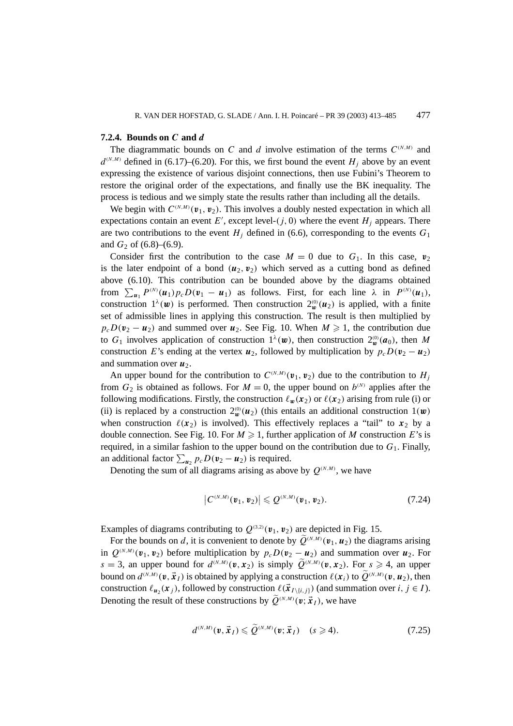#### **7.2.4. Bounds on** *C* **and** *d*

The diagrammatic bounds on *C* and *d* involve estimation of the terms  $C^{(N,M)}$  and  $d^{(N,M)}$  defined in (6.17)–(6.20). For this, we first bound the event *H<sub>j</sub>* above by an event expressing the existence of various disjoint connections, then use Fubini's Theorem to restore the original order of the expectations, and finally use the BK inequality. The process is tedious and we simply state the results rather than including all the details.

We begin with  $C^{(N,M)}(\mathbf{v}_1, \mathbf{v}_2)$ . This involves a doubly nested expectation in which all expectations contain an event  $E'$ , except level- $(j, 0)$  where the event  $H_j$  appears. There are two contributions to the event  $H_i$  defined in (6.6), corresponding to the events  $G_1$ and  $G_2$  of (6.8)–(6.9).

Consider first the contribution to the case  $M = 0$  due to  $G_1$ . In this case,  $v_2$ is the later endpoint of a bond  $(u_2, v_2)$  which served as a cutting bond as defined above (6.10). This contribution can be bounded above by the diagrams obtained from  $\sum_{u_1} P^{(N)}(u_1) p_c D(v_1 - u_1)$  as follows. First, for each line  $\lambda$  in  $P^{(N)}(u_1)$ , construction  $1^{\lambda}(\mathbf{w})$  is performed. Then construction  $2^{\omega}(\mathbf{u}_2)$  is applied, with a finite set of admissible lines in applying this construction. The result is then multiplied by  $p_cD(v_2 - u_2)$  and summed over  $u_2$ . See Fig. 10. When  $M \ge 1$ , the contribution due to  $G_1$  involves application of construction  $1^\lambda(w)$ , then construction  $2^{\omega}(a_0)$ , then M construction *E*'s ending at the vertex  $u_2$ , followed by multiplication by  $p_cD(v_2 - u_2)$ and summation over  $u_2$ .

An upper bound for the contribution to  $C^{(N,M)}(\mathbf{v}_1, \mathbf{v}_2)$  due to the contribution to  $H_j$ from  $G_2$  is obtained as follows. For  $M = 0$ , the upper bound on  $b^{(N)}$  applies after the following modifications. Firstly, the construction  $\ell_w(\mathbf{x}_2)$  or  $\ell(\mathbf{x}_2)$  arising from rule (i) or (ii) is replaced by a construction  $2^{\omega}_{\mathbf{w}}(\mathbf{u}_2)$  (this entails an additional construction  $1(\mathbf{w})$ when construction  $\ell(x_2)$  is involved). This effectively replaces a "tail" to  $x_2$  by a double connection. See Fig. 10. For  $M \geq 1$ , further application of M construction E's is required, in a similar fashion to the upper bound on the contribution due to  $G_1$ . Finally, an additional factor  $\sum_{u_2} p_c D(v_2 - u_2)$  is required.

Denoting the sum of all diagrams arising as above by  $Q^{(N,M)}$ , we have

$$
|C^{(N,M)}(\mathbf{v}_1,\mathbf{v}_2)| \leqslant Q^{(N,M)}(\mathbf{v}_1,\mathbf{v}_2). \tag{7.24}
$$

Examples of diagrams contributing to  $Q^{(3,2)}(\mathbf{v}_1, \mathbf{v}_2)$  are depicted in Fig. 15.

For the bounds on *d*, it is convenient to denote by  $\widetilde{Q}^{(N,M)}(\mathbf{v}_1, \mathbf{u}_2)$  the diagrams arising in  $Q^{(N,M)}(\mathbf{v}_1, \mathbf{v}_2)$  before multiplication by  $p_cD(\mathbf{v}_2 - \mathbf{u}_2)$  and summation over  $\mathbf{u}_2$ . For  $s = 3$ , an upper bound for  $d^{(N,M)}(v, x_2)$  is simply  $\widetilde{Q}^{(N,M)}(v, x_2)$ . For  $s \ge 4$ , an upper bound on  $d^{(N,M)}(\mathbf{v}, \vec{\mathbf{x}}_I)$  is obtained by applying a construction  $\ell(\mathbf{x}_i)$  to  $\widetilde{Q}^{(N,M)}(\mathbf{v}, \mathbf{u}_2)$ , then construction  $\ell_{u_2}(\mathbf{x}_i)$ , followed by construction  $\ell(\vec{\mathbf{x}}_{I \setminus \{i,j\}})$  (and summation over  $i, j \in I$ ). Denoting the result of these constructions by  $\widetilde{Q}^{(N,M)}(\boldsymbol{v}; \vec{x}_I)$ , we have

$$
d^{(N,M)}(\mathbf{v},\vec{\mathbf{x}}_I) \leqslant \widetilde{Q}^{(N,M)}(\mathbf{v};\vec{\mathbf{x}}_I) \quad (s \geqslant 4). \tag{7.25}
$$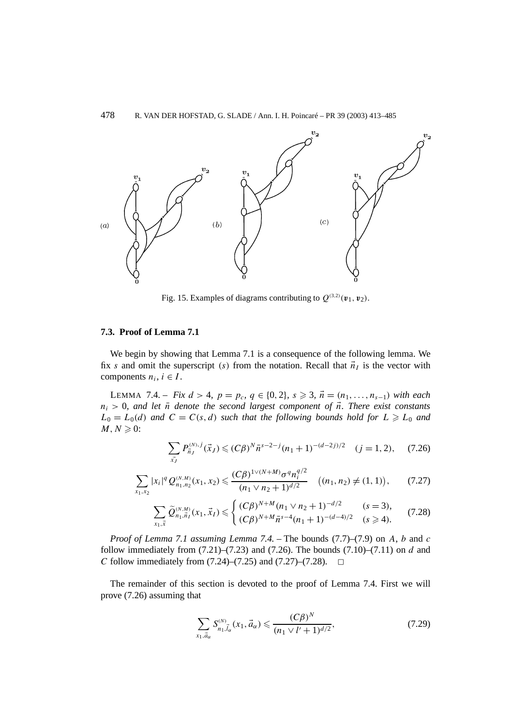478 R. VAN DER HOFSTAD, G. SLADE / Ann. I. H. Poincaré – PR 39 (2003) 413–485



Fig. 15. Examples of diagrams contributing to  $Q^{(3,2)}(\mathbf{v}_1, \mathbf{v}_2)$ .

## **7.3. Proof of Lemma 7.1**

We begin by showing that Lemma 7.1 is a consequence of the following lemma. We fix *s* and omit the superscript *(s)* from the notation. Recall that  $\vec{n}_I$  is the vector with components  $n_i$ ,  $i \in I$ .

LEMMA 7.4. − *Fix*  $d > 4$ *,*  $p = p_c$ *,*  $q \in \{0, 2\}$ *,*  $s \ge 3$ *,*  $\vec{n} = (n_1, ..., n_{s-1})$  *with each*  $n_i > 0$ , and let  $\bar{n}$  denote the second largest component of  $\bar{n}$ . There exist constants  $L_0 = L_0(d)$  *and*  $C = C(s, d)$  *such that the following bounds hold for*  $L \ge L_0$  *and*  $M, N \geqslant 0$ :

$$
\sum_{\vec{x}_J} P_{\vec{n}_J}^{(N),j}(\vec{x}_J) \le (C\beta)^N \bar{n}^{s-2-j} (n_1+1)^{-(d-2j)/2} \quad (j=1,2), \quad (7.26)
$$

$$
\sum_{x_1, x_2} |x_i|^q Q_{n_1, n_2}^{(N,M)}(x_1, x_2) \leq \frac{(C\beta)^{1 \vee (N+M)} \sigma^q n_i^{q/2}}{(n_1 \vee n_2 + 1)^{d/2}} \quad ((n_1, n_2) \neq (1, 1)), \qquad (7.27)
$$

$$
\sum_{x_1, \vec{x}} \widetilde{Q}_{n_1, \vec{n}_I}^{(N,M)}(x_1, \vec{x}_I) \leq \begin{cases} (C\beta)^{N+M} (n_1 \vee n_2 + 1)^{-d/2} & (s = 3), \\ (C\beta)^{N+M} \bar{n}^{s-4} (n_1 + 1)^{-(d-4)/2} & (s \geq 4). \end{cases}
$$
(7.28)

*Proof of Lemma 7.1 assuming Lemma 7.4. –* The bounds (7.7)–(7.9) on *A*, *b* and *c* follow immediately from (7.21)–(7.23) and (7.26). The bounds (7.10)–(7.11) on *d* and *C* follow immediately from  $(7.24)$ – $(7.25)$  and  $(7.27)$ – $(7.28)$ .  $\Box$ 

The remainder of this section is devoted to the proof of Lemma 7.4. First we will prove (7.26) assuming that

$$
\sum_{x_1, \vec{a}_\alpha} S_{n_1, \vec{l}_\alpha}^{(N)}(x_1, \vec{a}_\alpha) \leqslant \frac{(C\beta)^N}{(n_1 \vee l' + 1)^{d/2}},\tag{7.29}
$$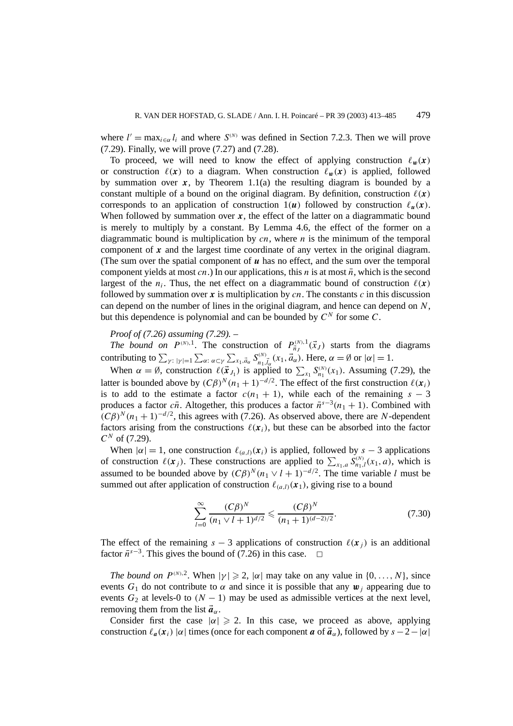where  $l' = \max_{i \in \alpha} l_i$  and where  $S^{(N)}$  was defined in Section 7.2.3. Then we will prove (7.29). Finally, we will prove (7.27) and (7.28).

To proceed, we will need to know the effect of applying construction  $\ell_w(x)$ or construction  $\ell(x)$  to a diagram. When construction  $\ell_w(x)$  is applied, followed by summation over  $x$ , by Theorem 1.1(a) the resulting diagram is bounded by a constant multiple of a bound on the original diagram. By definition, construction  $\ell(x)$ corresponds to an application of construction  $1(u)$  followed by construction  $\ell_u(x)$ . When followed by summation over  $x$ , the effect of the latter on a diagrammatic bound is merely to multiply by a constant. By Lemma 4.6, the effect of the former on a diagrammatic bound is multiplication by *cn*, where *n* is the minimum of the temporal component of *x* and the largest time coordinate of any vertex in the original diagram. (The sum over the spatial component of *u* has no effect, and the sum over the temporal component yields at most  $cn$ .) In our applications, this *n* is at most  $\bar{n}$ , which is the second largest of the  $n_i$ . Thus, the net effect on a diagrammatic bound of construction  $\ell(x)$ followed by summation over  $x$  is multiplication by  $cn$ . The constants  $c$  in this discussion can depend on the number of lines in the original diagram, and hence can depend on *N*, but this dependence is polynomial and can be bounded by  $C^N$  for some  $C$ .

## *Proof of (7.26) assuming (7.29). –*

*The bound on*  $P^{(N),1}$ . The construction of  $P_{\vec{n}_J}^{(N),1}(\vec{x}_J)$  starts from the diagrams contributing to  $\sum_{\gamma: |\gamma|=1} \sum_{\alpha: \alpha \subset \gamma} \sum_{x_1, \vec{a}_\alpha} S_{n_1, \vec{a}_\alpha}^{(N)}(x_1, \vec{a}_\alpha)$ . Here,  $\alpha = \emptyset$  or  $|\alpha| = 1$ .

When  $\alpha = \emptyset$ , construction  $\ell(\vec{x}_{J_1})$  is applied to  $\sum_{x_1} S_{n_1}^{(N)}(x_1)$ . Assuming (7.29), the latter is bounded above by  $(C\beta)^N(n_1 + 1)^{-d/2}$ . The effect of the first construction  $\ell(x_i)$ is to add to the estimate a factor  $c(n_1 + 1)$ , while each of the remaining  $s - 3$ produces a factor  $c\bar{n}$ . Altogether, this produces a factor  $\bar{n}^{s-3}(n_1 + 1)$ . Combined with  $(C\beta)^N(n_1 + 1)^{-d/2}$ , this agrees with (7.26). As observed above, there are *N*-dependent factors arising from the constructions  $\ell(x_i)$ , but these can be absorbed into the factor  $C^N$  of (7.29).

When  $|\alpha| = 1$ , one construction  $\ell_{(a,l)}(\mathbf{x}_i)$  is applied, followed by  $s - 3$  applications of construction  $\ell(x_j)$ . These constructions are applied to  $\sum_{x_1, a} S_{n_1,l}^{(N)}(x_1, a)$ , which is assumed to be bounded above by  $(C\beta)^N (n_1 \vee l + 1)^{-d/2}$ . The time variable *l* must be summed out after application of construction  $\ell_{(a,l)}(\mathbf{x}_1)$ , giving rise to a bound

$$
\sum_{l=0}^{\infty} \frac{(C\beta)^N}{(n_1 \vee l+1)^{d/2}} \leqslant \frac{(C\beta)^N}{(n_1+1)^{(d-2)/2}}.
$$
\n(7.30)

The effect of the remaining  $s - 3$  applications of construction  $\ell(x_i)$  is an additional factor  $\bar{n}$ <sup>s−3</sup>. This gives the bound of (7.26) in this case.  $□$ 

*The bound on*  $P^{(N),2}$ . When  $|\gamma| \ge 2$ ,  $|\alpha|$  may take on any value in  $\{0,\ldots,N\}$ , since events  $G_1$  do not contribute to  $\alpha$  and since it is possible that any  $\boldsymbol{w}_i$  appearing due to events  $G_2$  at levels-0 to  $(N - 1)$  may be used as admissible vertices at the next level, removing them from the list  $\vec{a}_{\alpha}$ .

Consider first the case  $|\alpha| \ge 2$ . In this case, we proceed as above, applying construction  $\ell_a(\mathbf{x}_i)$  |*α*| times (once for each component *a* of  $\vec{a}_\alpha$ ), followed by  $s - 2 - |\alpha|$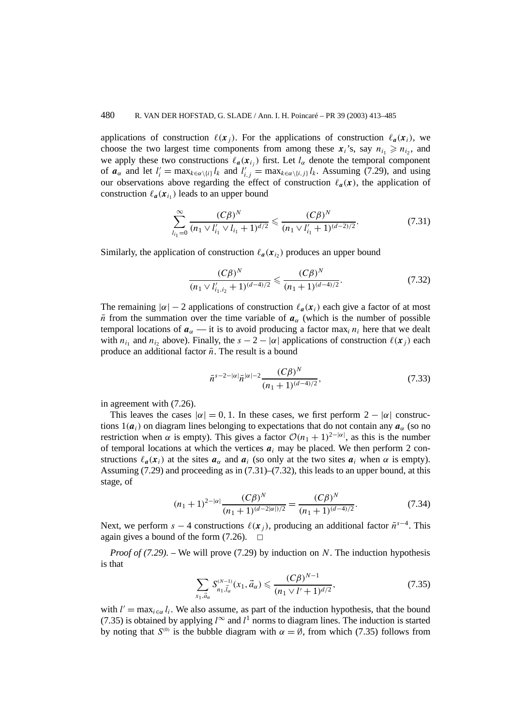applications of construction  $\ell(x_i)$ . For the applications of construction  $\ell_a(x_i)$ , we choose the two largest time components from among these  $x_i$ 's, say  $n_i \geq n_i$ , and we apply these two constructions  $\ell_a(\mathbf{x}_{i_j})$  first. Let  $l_\alpha$  denote the temporal component of  $a_{\alpha}$  and let  $l'_i = \max_{k \in \alpha \setminus \{i\}} l_k$  and  $l'_{i,j} = \max_{k \in \alpha \setminus \{i,j\}} l_k$ . Assuming (7.29), and using our observations above regarding the effect of construction  $\ell_a(x)$ , the application of construction  $\ell_a(\mathbf{x}_{i_1})$  leads to an upper bound

$$
\sum_{l_{i_1}=0}^{\infty} \frac{(C\beta)^N}{(n_1 \vee l'_{i_1} \vee l_{i_1} + 1)^{d/2}} \leq \frac{(C\beta)^N}{(n_1 \vee l'_{i_1} + 1)^{(d-2)/2}}.
$$
\n(7.31)

Similarly, the application of construction  $\ell_a(\mathbf{x}_i)$  produces an upper bound

$$
\frac{(C\beta)^N}{(n_1 \vee l'_{i_1, i_2} + 1)^{(d-4)/2}} \leq \frac{(C\beta)^N}{(n_1 + 1)^{(d-4)/2}}.
$$
\n(7.32)

The remaining  $|\alpha| - 2$  applications of construction  $\ell_a(\mathbf{x}_i)$  each give a factor of at most  $\bar{n}$  from the summation over the time variable of  $a_\alpha$  (which is the number of possible temporal locations of  $a_{\alpha}$  — it is to avoid producing a factor max<sub>*i*</sub>  $n_i$  here that we dealt with  $n_{i_1}$  and  $n_i$ , above). Finally, the  $s - 2 - |\alpha|$  applications of construction  $\ell(x_i)$  each produce an additional factor  $\bar{n}$ . The result is a bound

$$
\bar{n}^{s-2-|\alpha|}\bar{n}^{|\alpha|-2}\frac{(C\beta)^N}{(n_1+1)^{(d-4)/2}},\tag{7.33}
$$

in agreement with (7.26).

This leaves the cases  $|\alpha| = 0, 1$ . In these cases, we first perform  $2 - |\alpha|$  constructions  $1(a_i)$  on diagram lines belonging to expectations that do not contain any  $a_\alpha$  (so no restriction when *α* is empty). This gives a factor  $O(n_1 + 1)^{2-|\alpha|}$ , as this is the number of temporal locations at which the vertices  $a_i$  may be placed. We then perform 2 constructions  $\ell_a(\mathbf{x}_i)$  at the sites  $\mathbf{a}_\alpha$  and  $\mathbf{a}_i$  (so only at the two sites  $\mathbf{a}_i$  when  $\alpha$  is empty). Assuming (7.29) and proceeding as in (7.31)–(7.32), this leads to an upper bound, at this stage, of

$$
(n_1+1)^{2-|\alpha|}\frac{(C\beta)^N}{(n_1+1)^{(d-2|\alpha|)/2}} = \frac{(C\beta)^N}{(n_1+1)^{(d-4)/2}}.
$$
\n(7.34)

Next, we perform  $s - 4$  constructions  $\ell(x_i)$ , producing an additional factor  $\bar{n}^{s-4}$ . This again gives a bound of the form  $(7.26)$ .  $\Box$ 

*Proof of (7.29).* – We will prove (7.29) by induction on *N*. The induction hypothesis is that

$$
\sum_{x_1, \vec{a}_\alpha} S_{n_1, \vec{l}_\alpha}^{(N-1)}(x_1, \vec{a}_\alpha) \leqslant \frac{(C\beta)^{N-1}}{(n_1 \vee l' + 1)^{d/2}},\tag{7.35}
$$

with  $l' = \max_{i \in \alpha} l_i$ . We also assume, as part of the induction hypothesis, that the bound (7.35) is obtained by applying  $l^{\infty}$  and  $l^1$  norms to diagram lines. The induction is started by noting that  $S^{(0)}$  is the bubble diagram with  $\alpha = \emptyset$ , from which (7.35) follows from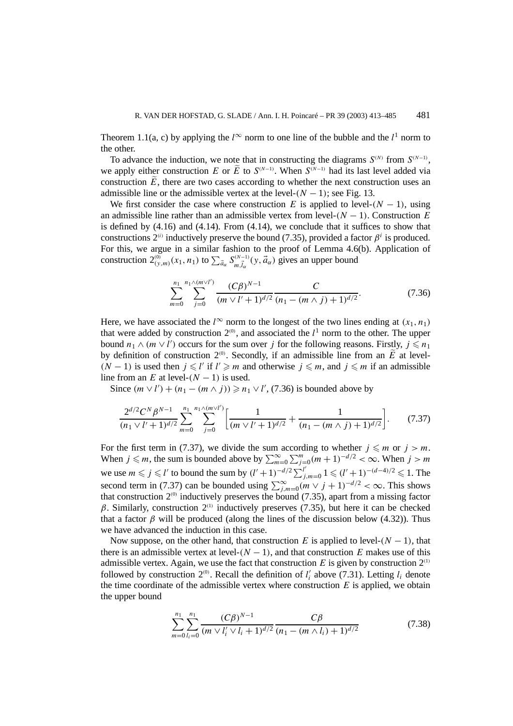Theorem 1.1(a, c) by applying the  $l^{\infty}$  norm to one line of the bubble and the  $l^1$  norm to the other.

To advance the induction, we note that in constructing the diagrams  $S^{(N)}$  from  $S^{(N-1)}$ , we apply either construction *E* or *E* to  $S^{(N-1)}$ . When  $S^{(N-1)}$  had its last level added via construction  $\tilde{E}$ , there are two cases according to whether the next construction uses an admissible line or the admissible vertex at the level- $(N - 1)$ ; see Fig. 13.

We first consider the case where construction *E* is applied to level- $(N - 1)$ , using an admissible line rather than an admissible vertex from level- $(N - 1)$ . Construction *E* is defined by (4.16) and (4.14). From (4.14), we conclude that it suffices to show that constructions  $2^{(i)}$  inductively preserve the bound (7.35), provided a factor  $\beta^i$  is produced. For this, we argue in a similar fashion to the proof of Lemma 4.6(b). Application of construction  $2^{(0)}_{(y,m)}(x_1, n_1)$  to  $\sum_{\vec{a}_{\alpha}} S^{(N-1)}_{m,\vec{t}_{\alpha}}(y, \vec{a}_{\alpha})$  gives an upper bound

$$
\sum_{m=0}^{n_1} \sum_{j=0}^{n_1 \wedge (m \vee l')} \frac{(C\beta)^{N-1}}{(m \vee l'+1)^{d/2}} \frac{C}{(n_1 - (m \wedge j) + 1)^{d/2}}.
$$
 (7.36)

Here, we have associated the  $l^{\infty}$  norm to the longest of the two lines ending at  $(x_1, n_1)$ that were added by construction  $2^{\circ}$ , and associated the  $l^1$  norm to the other. The upper bound  $n_1 \wedge (m \vee l')$  occurs for the sum over *j* for the following reasons. Firstly,  $j \le n_1$ by definition of construction  $2^{(0)}$ . Secondly, if an admissible line from an *E* at level-*(N* − 1*)* is used then *j*  $\leq$  *l'* if *l'*  $\geq$  *m* and otherwise *j*  $\leq$  *m*, and *j*  $\leq$  *m* if an admissible line from an *E* at level- $(N - 1)$  is used.

Since  $(m \vee l') + (n_1 - (m \wedge j)) \ge n_1 \vee l'$ , (7.36) is bounded above by

$$
\frac{2^{d/2}C^N\beta^{N-1}}{(n_1\vee l'+1)^{d/2}}\sum_{m=0}^{n_1}\sum_{j=0}^{n_1\wedge (m\vee l')} \left[\frac{1}{(m\vee l'+1)^{d/2}}+\frac{1}{(n_1-(m\wedge j)+1)^{d/2}}\right].
$$
 (7.37)

For the first term in (7.37), we divide the sum according to whether  $j \leq m$  or  $j > m$ . When  $j \leq m$ , the sum is bounded above by  $\sum_{m=0}^{\infty} \sum_{j=0}^{m} (m+1)^{-d/2} < \infty$ . When  $j > m$ we use  $m \le j \le l'$  to bound the sum by  $(l' + 1)^{-d/2} \sum_{j,m=0}^{l'} 1 \le (l' + 1)^{-(d-4)/2} \le 1$ . The second term in (7.37) can be bounded using  $\sum_{j,m=0}^{\infty} (m \vee j + 1)^{-d/2} < \infty$ . This shows that construction 2*(*0*)* inductively preserves the bound (7.35), apart from a missing factor *β*. Similarly, construction 2*(*1*)* inductively preserves (7.35), but here it can be checked that a factor  $\beta$  will be produced (along the lines of the discussion below (4.32)). Thus we have advanced the induction in this case.

Now suppose, on the other hand, that construction *E* is applied to level- $(N - 1)$ , that there is an admissible vertex at level- $(N - 1)$ , and that construction *E* makes use of this admissible vertex. Again, we use the fact that construction *E* is given by construction 2*(*1*)* followed by construction  $2^{(0)}$ . Recall the definition of  $l'_i$  above (7.31). Letting  $l_i$  denote the time coordinate of the admissible vertex where construction  $E$  is applied, we obtain the upper bound

$$
\sum_{m=0}^{n_1} \sum_{l_i=0}^{n_1} \frac{(C\beta)^{N-1}}{(m \vee l'_i \vee l_i + 1)^{d/2}} \frac{C\beta}{(n_1 - (m \wedge l_i) + 1)^{d/2}}
$$
(7.38)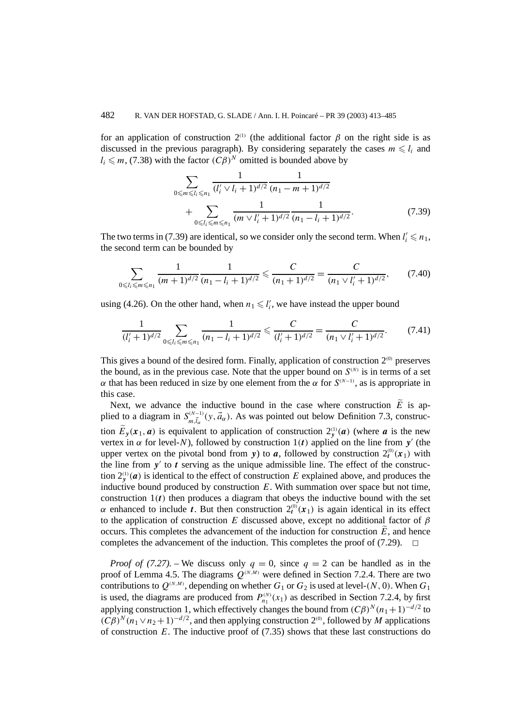for an application of construction 2*(*1*)* (the additional factor *β* on the right side is as discussed in the previous paragraph). By considering separately the cases  $m \le l_i$  and  $l_i \leq m$ , (7.38) with the factor  $(C\beta)^N$  omitted is bounded above by

$$
\sum_{0 \le m \le l_i \le n_1} \frac{1}{(l'_i \vee l_i + 1)^{d/2}} \frac{1}{(n_1 - m + 1)^{d/2}} + \sum_{0 \le l_i \le m \le n_1} \frac{1}{(m \vee l'_i + 1)^{d/2}} \frac{1}{(n_1 - l_i + 1)^{d/2}}.
$$
\n(7.39)

The two terms in (7.39) are identical, so we consider only the second term. When  $l'_i \le n_1$ , the second term can be bounded by

$$
\sum_{0 \le l_i \le m \le n_1} \frac{1}{(m+1)^{d/2}} \frac{1}{(n_1 - l_i + 1)^{d/2}} \le \frac{C}{(n_1 + 1)^{d/2}} = \frac{C}{(n_1 \vee l'_i + 1)^{d/2}},\qquad(7.40)
$$

using (4.26). On the other hand, when  $n_1 \leq l'_i$ , we have instead the upper bound

$$
\frac{1}{(l'_i+1)^{d/2}}\sum_{0\le l_i\le m\le n_1}\frac{1}{(n_1-l_i+1)^{d/2}}\le \frac{C}{(l'_i+1)^{d/2}}=\frac{C}{(n_1\vee l'_i+1)^{d/2}}.\tag{7.41}
$$

This gives a bound of the desired form. Finally, application of construction 2*(*0*)* preserves the bound, as in the previous case. Note that the upper bound on  $S^{(N)}$  is in terms of a set *α* that has been reduced in size by one element from the *α* for  $S^{(N-1)}$ , as is appropriate in this case.

Next, we advance the inductive bound in the case where construction  $\tilde{E}$  is applied to a diagram in  $S_{m,\vec{l}_\alpha}^{(N-1)}(y,\vec{a}_\alpha)$ . As was pointed out below Definition 7.3, construction  $E_y(x_1, a)$  is equivalent to application of construction  $2_y^{(1)}(a)$  (where *a* is the new vertex in  $\alpha$  for level-*N*), followed by construction 1*(t)* applied on the line from *y'* (the upper vertex on the pivotal bond from *y*) to *a*, followed by construction  $2_t^{(0)}(x_1)$  with the line from  $y'$  to  $t$  serving as the unique admissible line. The effect of the construction  $2_y^{(1)}(a)$  is identical to the effect of construction *E* explained above, and produces the inductive bound produced by construction *E*. With summation over space but not time, construction  $1(t)$  then produces a diagram that obeys the inductive bound with the set *α* enhanced to include *t*. But then construction  $2_t^{(0)}(x_1)$  is again identical in its effect to the application of construction *E* discussed above, except no additional factor of *β* occurs. This completes the advancement of the induction for construction  $\tilde{E}$ , and hence completes the advancement of the induction. This completes the proof of  $(7.29)$ .  $\Box$ 

*Proof of (7.27).* – We discuss only  $q = 0$ , since  $q = 2$  can be handled as in the proof of Lemma 4.5. The diagrams  $Q^{(N,M)}$  were defined in Section 7.2.4. There are two contributions to  $Q^{(N,M)}$ , depending on whether  $G_1$  or  $G_2$  is used at level- $(N, 0)$ . When  $G_1$ is used, the diagrams are produced from  $P_{n_1}^{(N)}(x_1)$  as described in Section 7.2.4, by first applying construction 1, which effectively changes the bound from  $(C\beta)^N(n_1+1)^{-d/2}$  to  $(C\beta)^N(n_1 \vee n_2 + 1)^{-d/2}$ , and then applying construction 2<sup>(0)</sup>, followed by *M* applications of construction *E*. The inductive proof of (7.35) shows that these last constructions do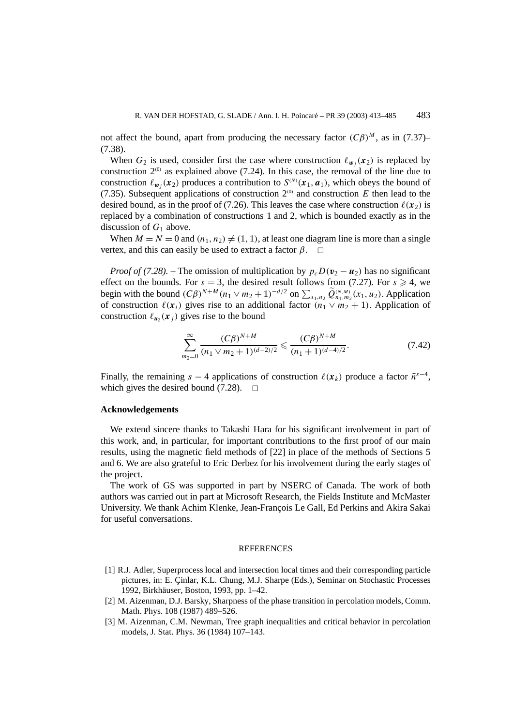not affect the bound, apart from producing the necessary factor  $(C\beta)^M$ , as in (7.37)– (7.38).

When  $G_2$  is used, consider first the case where construction  $\ell_{w_i}(x_2)$  is replaced by construction  $2^{(0)}$  as explained above (7.24). In this case, the removal of the line due to construction  $\ell_{w_i}(\mathbf{x}_2)$  produces a contribution to  $S^{(N)}(\mathbf{x}_1, \mathbf{a}_1)$ , which obeys the bound of (7.35). Subsequent applications of construction  $2^{(0)}$  and construction *E* then lead to the desired bound, as in the proof of (7.26). This leaves the case where construction  $\ell(x_2)$  is replaced by a combination of constructions 1 and 2, which is bounded exactly as in the discussion of *G*<sup>1</sup> above.

When  $M = N = 0$  and  $(n_1, n_2) \neq (1, 1)$ , at least one diagram line is more than a single vertex, and this can easily be used to extract a factor  $\beta$ .  $\Box$ 

*Proof of (7.28).* – The omission of multiplication by  $p_cD(v_2 - u_2)$  has no significant effect on the bounds. For  $s = 3$ , the desired result follows from (7.27). For  $s \ge 4$ , we begin with the bound  $(C\beta)^{N+M} (n_1 \vee m_2 + 1)^{-d/2}$  on  $\sum_{x_1, u_2} \widetilde{Q}_{n_1, m_2}^{(N,M)}(x_1, u_2)$ . Application of construction  $\ell(x_i)$  gives rise to an additional factor  $(n_1 \vee m_2 + 1)$ . Application of construction  $\ell_{\mathbf{u}_2}(\mathbf{x}_i)$  gives rise to the bound

$$
\sum_{m_2=0}^{\infty} \frac{(C\beta)^{N+M}}{(n_1 \vee m_2 + 1)^{(d-2)/2}} \leqslant \frac{(C\beta)^{N+M}}{(n_1 + 1)^{(d-4)/2}}.
$$
 (7.42)

Finally, the remaining  $s - 4$  applications of construction  $\ell(x_k)$  produce a factor  $\bar{n}^{s-4}$ , which gives the desired bound (7.28).  $\Box$ 

## **Acknowledgements**

We extend sincere thanks to Takashi Hara for his significant involvement in part of this work, and, in particular, for important contributions to the first proof of our main results, using the magnetic field methods of [22] in place of the methods of Sections 5 and 6. We are also grateful to Eric Derbez for his involvement during the early stages of the project.

The work of GS was supported in part by NSERC of Canada. The work of both authors was carried out in part at Microsoft Research, the Fields Institute and McMaster University. We thank Achim Klenke, Jean-François Le Gall, Ed Perkins and Akira Sakai for useful conversations.

#### **REFERENCES**

- [1] R.J. Adler, Superprocess local and intersection local times and their corresponding particle pictures, in: E. Çinlar, K.L. Chung, M.J. Sharpe (Eds.), Seminar on Stochastic Processes 1992, Birkhäuser, Boston, 1993, pp. 1–42.
- [2] M. Aizenman, D.J. Barsky, Sharpness of the phase transition in percolation models, Comm. Math. Phys. 108 (1987) 489–526.
- [3] M. Aizenman, C.M. Newman, Tree graph inequalities and critical behavior in percolation models, J. Stat. Phys. 36 (1984) 107–143.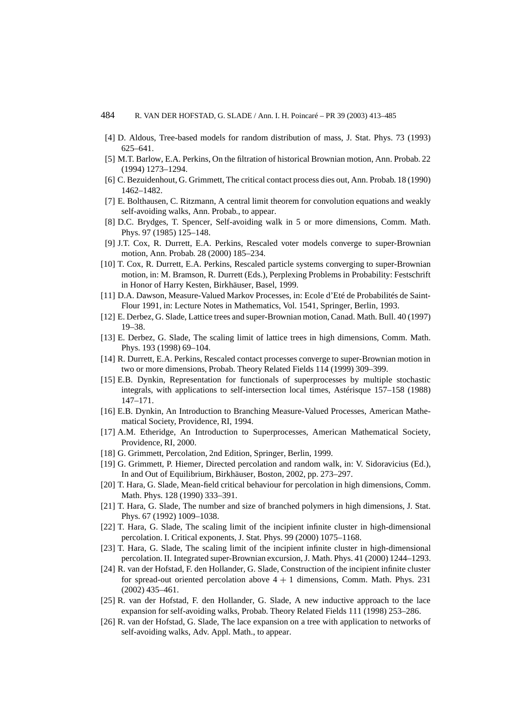# 484 R. VAN DER HOFSTAD, G. SLADE / Ann. I. H. Poincaré – PR 39 (2003) 413–485

- [4] D. Aldous, Tree-based models for random distribution of mass, J. Stat. Phys. 73 (1993) 625–641.
- [5] M.T. Barlow, E.A. Perkins, On the filtration of historical Brownian motion, Ann. Probab. 22 (1994) 1273–1294.
- [6] C. Bezuidenhout, G. Grimmett, The critical contact process dies out, Ann. Probab. 18 (1990) 1462–1482.
- [7] E. Bolthausen, C. Ritzmann, A central limit theorem for convolution equations and weakly self-avoiding walks, Ann. Probab., to appear.
- [8] D.C. Brydges, T. Spencer, Self-avoiding walk in 5 or more dimensions, Comm. Math. Phys. 97 (1985) 125–148.
- [9] J.T. Cox, R. Durrett, E.A. Perkins, Rescaled voter models converge to super-Brownian motion, Ann. Probab. 28 (2000) 185–234.
- [10] T. Cox, R. Durrett, E.A. Perkins, Rescaled particle systems converging to super-Brownian motion, in: M. Bramson, R. Durrett (Eds.), Perplexing Problems in Probability: Festschrift in Honor of Harry Kesten, Birkhäuser, Basel, 1999.
- [11] D.A. Dawson, Measure-Valued Markov Processes, in: Ecole d'Eté de Probabilités de Saint-Flour 1991, in: Lecture Notes in Mathematics, Vol. 1541, Springer, Berlin, 1993.
- [12] E. Derbez, G. Slade, Lattice trees and super-Brownian motion, Canad. Math. Bull. 40 (1997) 19–38.
- [13] E. Derbez, G. Slade, The scaling limit of lattice trees in high dimensions, Comm. Math. Phys. 193 (1998) 69–104.
- [14] R. Durrett, E.A. Perkins, Rescaled contact processes converge to super-Brownian motion in two or more dimensions, Probab. Theory Related Fields 114 (1999) 309–399.
- [15] E.B. Dynkin, Representation for functionals of superprocesses by multiple stochastic integrals, with applications to self-intersection local times, Astérisque 157–158 (1988) 147–171.
- [16] E.B. Dynkin, An Introduction to Branching Measure-Valued Processes, American Mathematical Society, Providence, RI, 1994.
- [17] A.M. Etheridge, An Introduction to Superprocesses, American Mathematical Society, Providence, RI, 2000.
- [18] G. Grimmett, Percolation, 2nd Edition, Springer, Berlin, 1999.
- [19] G. Grimmett, P. Hiemer, Directed percolation and random walk, in: V. Sidoravicius (Ed.), In and Out of Equilibrium, Birkhäuser, Boston, 2002, pp. 273–297.
- [20] T. Hara, G. Slade, Mean-field critical behaviour for percolation in high dimensions, Comm. Math. Phys. 128 (1990) 333–391.
- [21] T. Hara, G. Slade, The number and size of branched polymers in high dimensions, J. Stat. Phys. 67 (1992) 1009–1038.
- [22] T. Hara, G. Slade, The scaling limit of the incipient infinite cluster in high-dimensional percolation. I. Critical exponents, J. Stat. Phys. 99 (2000) 1075–1168.
- [23] T. Hara, G. Slade, The scaling limit of the incipient infinite cluster in high-dimensional percolation. II. Integrated super-Brownian excursion, J. Math. Phys. 41 (2000) 1244–1293.
- [24] R. van der Hofstad, F. den Hollander, G. Slade, Construction of the incipient infinite cluster for spread-out oriented percolation above  $4 + 1$  dimensions, Comm. Math. Phys. 231 (2002) 435–461.
- [25] R. van der Hofstad, F. den Hollander, G. Slade, A new inductive approach to the lace expansion for self-avoiding walks, Probab. Theory Related Fields 111 (1998) 253–286.
- [26] R. van der Hofstad, G. Slade, The lace expansion on a tree with application to networks of self-avoiding walks, Adv. Appl. Math., to appear.